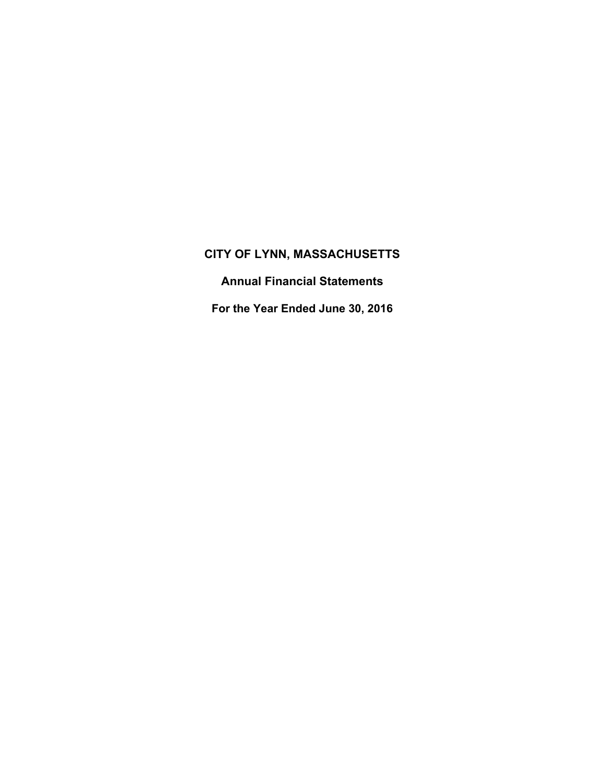**Annual Financial Statements** 

**For the Year Ended June 30, 2016**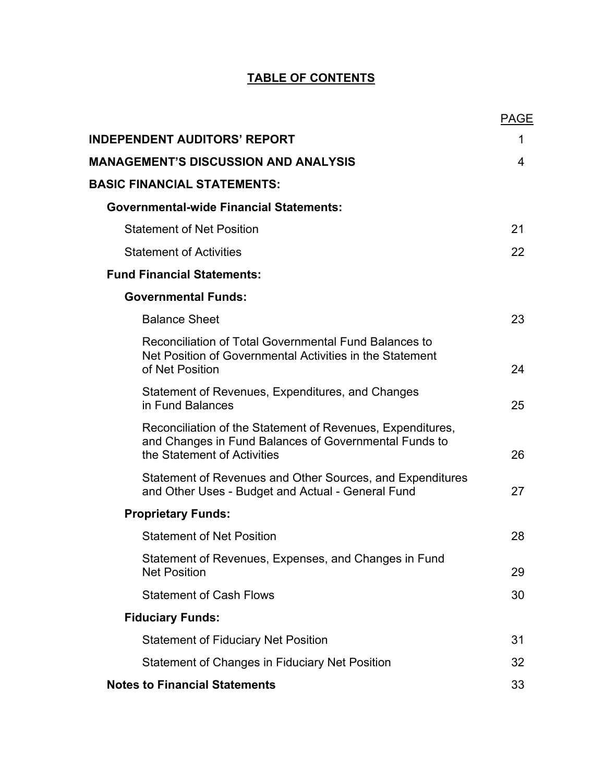# **TABLE OF CONTENTS**

|                                                                                                                                                    | <b>PAGE</b> |
|----------------------------------------------------------------------------------------------------------------------------------------------------|-------------|
| <b>INDEPENDENT AUDITORS' REPORT</b>                                                                                                                | 1           |
| <b>MANAGEMENT'S DISCUSSION AND ANALYSIS</b>                                                                                                        | 4           |
| <b>BASIC FINANCIAL STATEMENTS:</b>                                                                                                                 |             |
| <b>Governmental-wide Financial Statements:</b>                                                                                                     |             |
| <b>Statement of Net Position</b>                                                                                                                   | 21          |
| <b>Statement of Activities</b>                                                                                                                     | 22          |
| <b>Fund Financial Statements:</b>                                                                                                                  |             |
| <b>Governmental Funds:</b>                                                                                                                         |             |
| <b>Balance Sheet</b>                                                                                                                               | 23          |
| Reconciliation of Total Governmental Fund Balances to<br>Net Position of Governmental Activities in the Statement<br>of Net Position               | 24          |
| Statement of Revenues, Expenditures, and Changes<br>in Fund Balances                                                                               | 25          |
| Reconciliation of the Statement of Revenues, Expenditures,<br>and Changes in Fund Balances of Governmental Funds to<br>the Statement of Activities | 26          |
| Statement of Revenues and Other Sources, and Expenditures<br>and Other Uses - Budget and Actual - General Fund                                     | 27          |
| <b>Proprietary Funds:</b>                                                                                                                          |             |
| <b>Statement of Net Position</b>                                                                                                                   | 28          |
| Statement of Revenues, Expenses, and Changes in Fund<br><b>Net Position</b>                                                                        | 29          |
| <b>Statement of Cash Flows</b>                                                                                                                     | 30          |
| <b>Fiduciary Funds:</b>                                                                                                                            |             |
| <b>Statement of Fiduciary Net Position</b>                                                                                                         | 31          |
| Statement of Changes in Fiduciary Net Position                                                                                                     | 32          |
| <b>Notes to Financial Statements</b>                                                                                                               | 33          |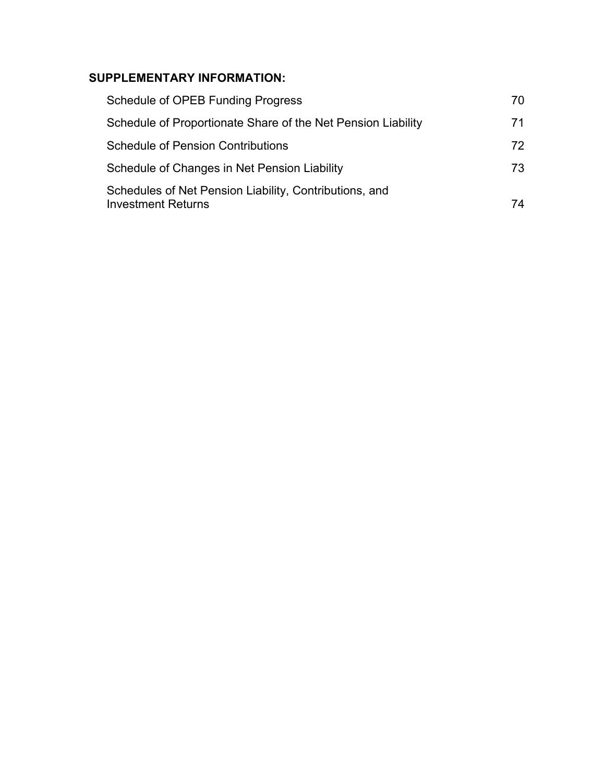# **SUPPLEMENTARY INFORMATION:**

| Schedule of OPEB Funding Progress                                                   | 70  |
|-------------------------------------------------------------------------------------|-----|
| Schedule of Proportionate Share of the Net Pension Liability                        | 71  |
| <b>Schedule of Pension Contributions</b>                                            | 72. |
| Schedule of Changes in Net Pension Liability                                        | 73. |
| Schedules of Net Pension Liability, Contributions, and<br><b>Investment Returns</b> | 74  |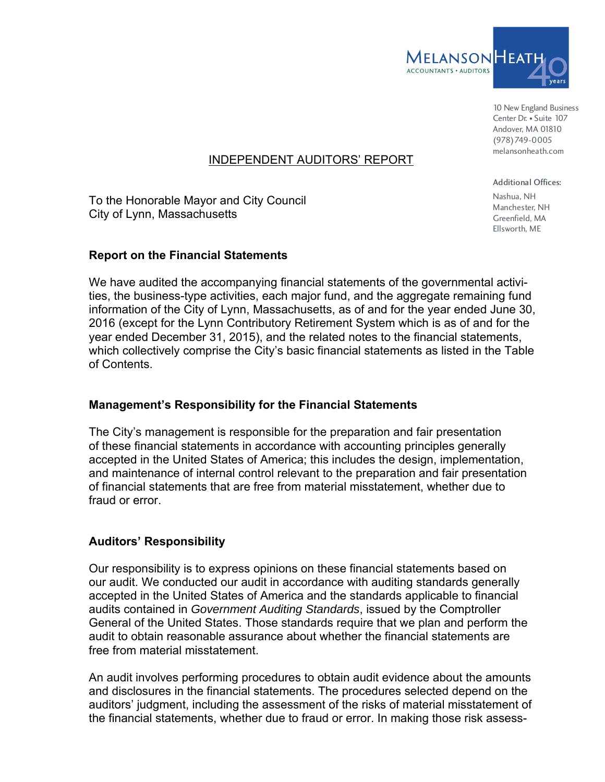

10 New England Business Center Dr. • Suite 107 Andover, MA 01810 (978)749-0005 melansonheath.com

# INDEPENDENT AUDITORS' REPORT

To the Honorable Mayor and City Council City of Lynn, Massachusetts

### **Report on the Financial Statements**

We have audited the accompanying financial statements of the governmental activities, the business-type activities, each major fund, and the aggregate remaining fund information of the City of Lynn, Massachusetts, as of and for the year ended June 30, 2016 (except for the Lynn Contributory Retirement System which is as of and for the year ended December 31, 2015), and the related notes to the financial statements, which collectively comprise the City's basic financial statements as listed in the Table of Contents.

### **Management's Responsibility for the Financial Statements**

The City's management is responsible for the preparation and fair presentation of these financial statements in accordance with accounting principles generally accepted in the United States of America; this includes the design, implementation, and maintenance of internal control relevant to the preparation and fair presentation of financial statements that are free from material misstatement, whether due to fraud or error.

### **Auditors' Responsibility**

Our responsibility is to express opinions on these financial statements based on our audit. We conducted our audit in accordance with auditing standards generally accepted in the United States of America and the standards applicable to financial audits contained in *Government Auditing Standards*, issued by the Comptroller General of the United States. Those standards require that we plan and perform the audit to obtain reasonable assurance about whether the financial statements are free from material misstatement.

An audit involves performing procedures to obtain audit evidence about the amounts and disclosures in the financial statements. The procedures selected depend on the auditors' judgment, including the assessment of the risks of material misstatement of the financial statements, whether due to fraud or error. In making those risk assess-

Additional Offices: Nashua, NH Manchester, NH Greenfield, MA Ellsworth, ME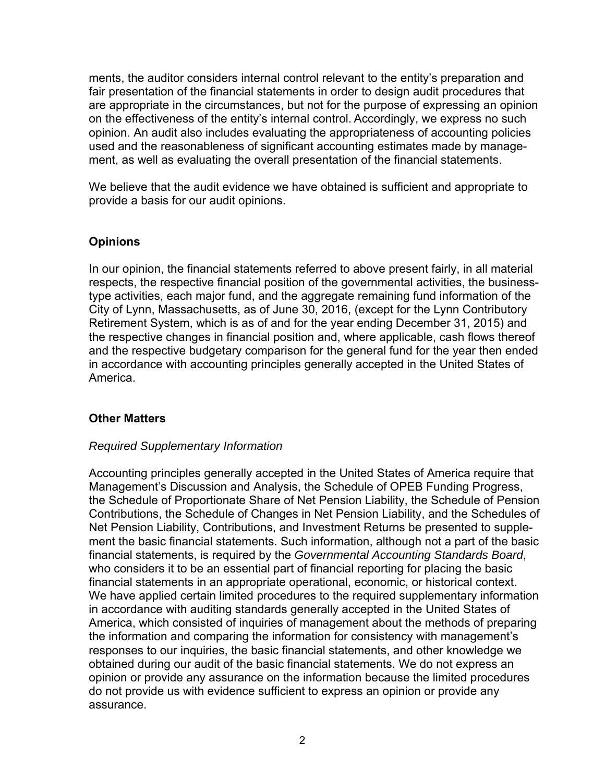ments, the auditor considers internal control relevant to the entity's preparation and fair presentation of the financial statements in order to design audit procedures that are appropriate in the circumstances, but not for the purpose of expressing an opinion on the effectiveness of the entity's internal control. Accordingly, we express no such opinion. An audit also includes evaluating the appropriateness of accounting policies used and the reasonableness of significant accounting estimates made by management, as well as evaluating the overall presentation of the financial statements.

We believe that the audit evidence we have obtained is sufficient and appropriate to provide a basis for our audit opinions.

# **Opinions**

In our opinion, the financial statements referred to above present fairly, in all material respects, the respective financial position of the governmental activities, the businesstype activities, each major fund, and the aggregate remaining fund information of the City of Lynn, Massachusetts, as of June 30, 2016, (except for the Lynn Contributory Retirement System, which is as of and for the year ending December 31, 2015) and the respective changes in financial position and, where applicable, cash flows thereof and the respective budgetary comparison for the general fund for the year then ended in accordance with accounting principles generally accepted in the United States of America.

### **Other Matters**

### *Required Supplementary Information*

Accounting principles generally accepted in the United States of America require that Management's Discussion and Analysis, the Schedule of OPEB Funding Progress, the Schedule of Proportionate Share of Net Pension Liability, the Schedule of Pension Contributions, the Schedule of Changes in Net Pension Liability, and the Schedules of Net Pension Liability, Contributions, and Investment Returns be presented to supplement the basic financial statements. Such information, although not a part of the basic financial statements, is required by the *Governmental Accounting Standards Board*, who considers it to be an essential part of financial reporting for placing the basic financial statements in an appropriate operational, economic, or historical context. We have applied certain limited procedures to the required supplementary information in accordance with auditing standards generally accepted in the United States of America, which consisted of inquiries of management about the methods of preparing the information and comparing the information for consistency with management's responses to our inquiries, the basic financial statements, and other knowledge we obtained during our audit of the basic financial statements. We do not express an opinion or provide any assurance on the information because the limited procedures do not provide us with evidence sufficient to express an opinion or provide any assurance.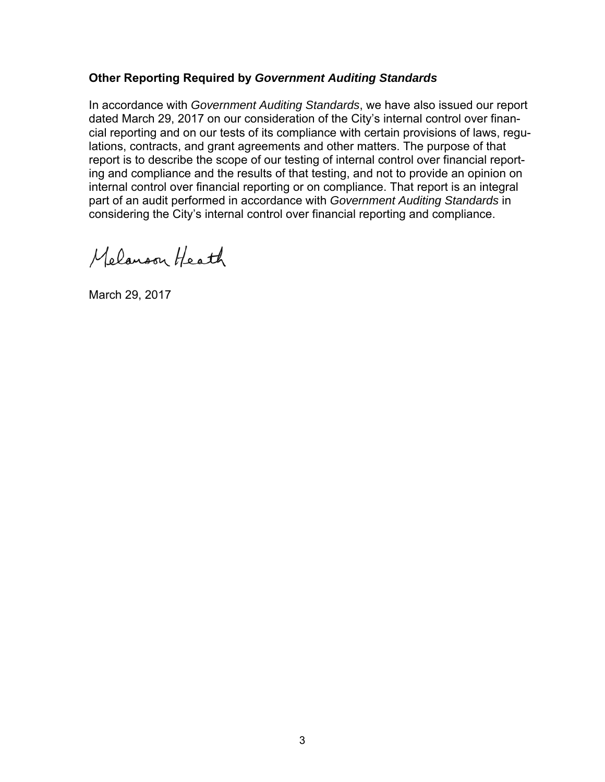### **Other Reporting Required by** *Government Auditing Standards*

In accordance with *Government Auditing Standards*, we have also issued our report dated March 29, 2017 on our consideration of the City's internal control over financial reporting and on our tests of its compliance with certain provisions of laws, regulations, contracts, and grant agreements and other matters. The purpose of that report is to describe the scope of our testing of internal control over financial reporting and compliance and the results of that testing, and not to provide an opinion on internal control over financial reporting or on compliance. That report is an integral part of an audit performed in accordance with *Government Auditing Standards* in considering the City's internal control over financial reporting and compliance.

Melanson Heath

March 29, 2017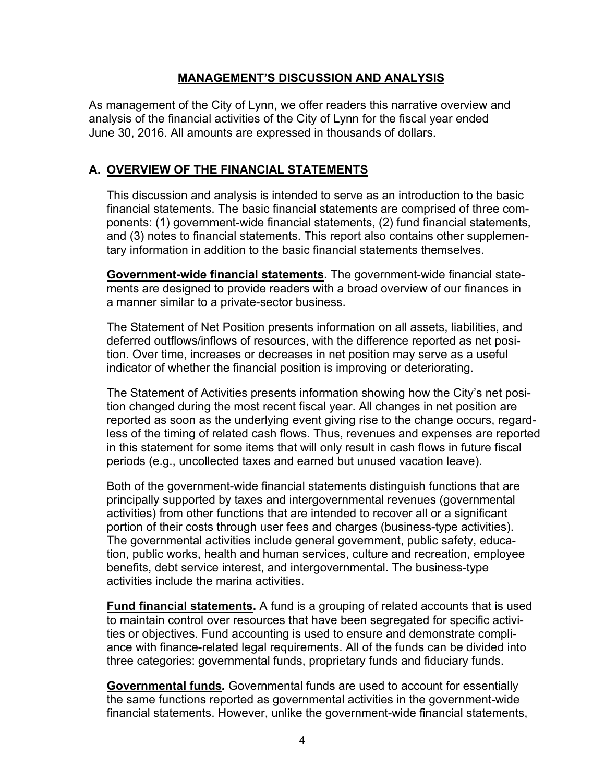### **MANAGEMENT'S DISCUSSION AND ANALYSIS**

As management of the City of Lynn, we offer readers this narrative overview and analysis of the financial activities of the City of Lynn for the fiscal year ended June 30, 2016. All amounts are expressed in thousands of dollars.

# **A. OVERVIEW OF THE FINANCIAL STATEMENTS**

This discussion and analysis is intended to serve as an introduction to the basic financial statements. The basic financial statements are comprised of three components: (1) government-wide financial statements, (2) fund financial statements, and (3) notes to financial statements. This report also contains other supplementary information in addition to the basic financial statements themselves.

**Government-wide financial statements.** The government-wide financial statements are designed to provide readers with a broad overview of our finances in a manner similar to a private-sector business.

The Statement of Net Position presents information on all assets, liabilities, and deferred outflows/inflows of resources, with the difference reported as net position. Over time, increases or decreases in net position may serve as a useful indicator of whether the financial position is improving or deteriorating.

The Statement of Activities presents information showing how the City's net position changed during the most recent fiscal year. All changes in net position are reported as soon as the underlying event giving rise to the change occurs, regardless of the timing of related cash flows. Thus, revenues and expenses are reported in this statement for some items that will only result in cash flows in future fiscal periods (e.g., uncollected taxes and earned but unused vacation leave).

Both of the government-wide financial statements distinguish functions that are principally supported by taxes and intergovernmental revenues (governmental activities) from other functions that are intended to recover all or a significant portion of their costs through user fees and charges (business-type activities). The governmental activities include general government, public safety, education, public works, health and human services, culture and recreation, employee benefits, debt service interest, and intergovernmental. The business-type activities include the marina activities.

**Fund financial statements.** A fund is a grouping of related accounts that is used to maintain control over resources that have been segregated for specific activities or objectives. Fund accounting is used to ensure and demonstrate compliance with finance-related legal requirements. All of the funds can be divided into three categories: governmental funds, proprietary funds and fiduciary funds.

**Governmental funds***.* Governmental funds are used to account for essentially the same functions reported as governmental activities in the government-wide financial statements. However, unlike the government-wide financial statements,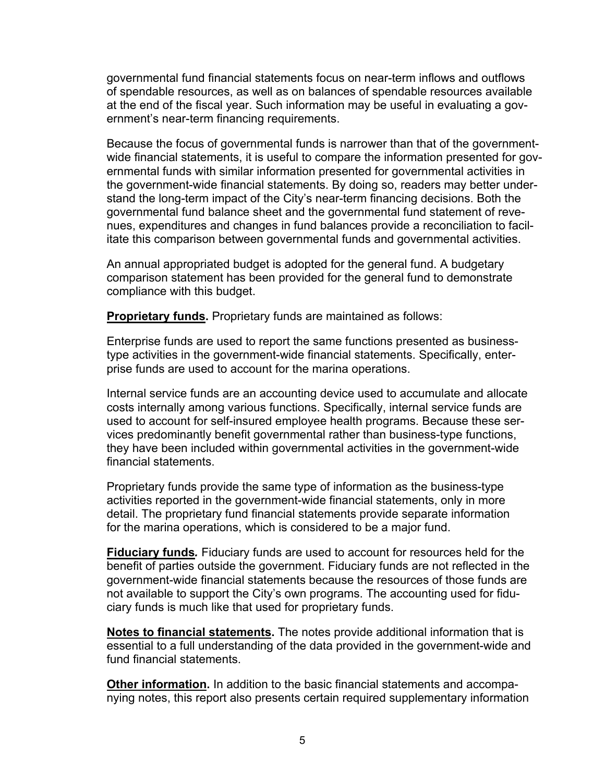governmental fund financial statements focus on near-term inflows and outflows of spendable resources, as well as on balances of spendable resources available at the end of the fiscal year. Such information may be useful in evaluating a government's near-term financing requirements.

Because the focus of governmental funds is narrower than that of the governmentwide financial statements, it is useful to compare the information presented for governmental funds with similar information presented for governmental activities in the government-wide financial statements. By doing so, readers may better understand the long-term impact of the City's near-term financing decisions. Both the governmental fund balance sheet and the governmental fund statement of revenues, expenditures and changes in fund balances provide a reconciliation to facilitate this comparison between governmental funds and governmental activities.

An annual appropriated budget is adopted for the general fund. A budgetary comparison statement has been provided for the general fund to demonstrate compliance with this budget.

**Proprietary funds.** Proprietary funds are maintained as follows:

Enterprise funds are used to report the same functions presented as businesstype activities in the government-wide financial statements. Specifically, enterprise funds are used to account for the marina operations.

Internal service funds are an accounting device used to accumulate and allocate costs internally among various functions. Specifically, internal service funds are used to account for self-insured employee health programs. Because these services predominantly benefit governmental rather than business-type functions, they have been included within governmental activities in the government-wide financial statements.

Proprietary funds provide the same type of information as the business-type activities reported in the government-wide financial statements, only in more detail. The proprietary fund financial statements provide separate information for the marina operations, which is considered to be a major fund.

**Fiduciary funds***.* Fiduciary funds are used to account for resources held for the benefit of parties outside the government. Fiduciary funds are not reflected in the government-wide financial statements because the resources of those funds are not available to support the City's own programs. The accounting used for fiduciary funds is much like that used for proprietary funds.

**Notes to financial statements.** The notes provide additional information that is essential to a full understanding of the data provided in the government-wide and fund financial statements.

**Other information.** In addition to the basic financial statements and accompanying notes, this report also presents certain required supplementary information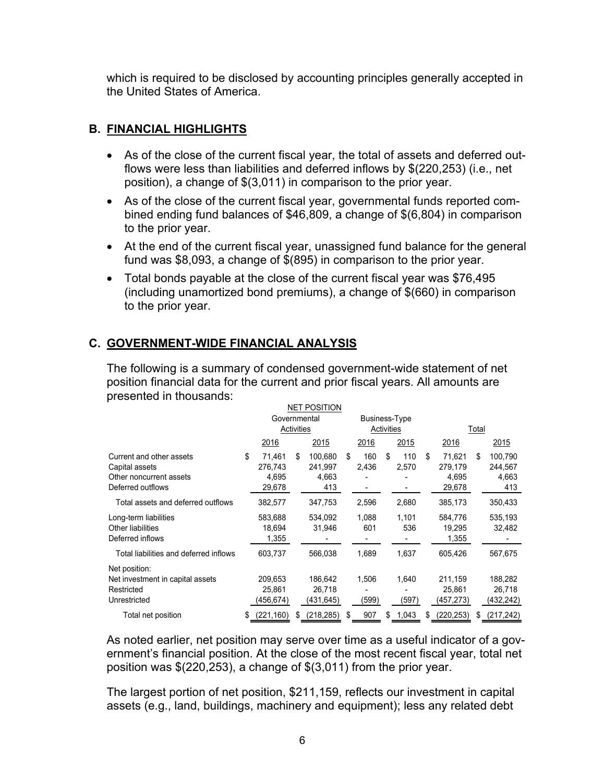which is required to be disclosed by accounting principles generally accepted in the United States of America.

# **B. FINANCIAL HIGHLIGHTS**

- As of the close of the current fiscal year, the total of assets and deferred outflows were less than liabilities and deferred inflows by \$(220,253) (i.e., net position), a change of \$(3,011) in comparison to the prior year.
- As of the close of the current fiscal year, governmental funds reported combined ending fund balances of \$46,809, a change of \$(6,804) in comparison to the prior year.
- At the end of the current fiscal year, unassigned fund balance for the general fund was \$8,093, a change of \$(895) in comparison to the prior year.
- Total bonds payable at the close of the current fiscal year was \$76,495 (including unamortized bond premiums), a change of \$(660) in comparison to the prior year.

# **C. GOVERNMENT-WIDE FINANCIAL ANALYSIS**

The following is a summary of condensed government-wide statement of net position financial data for the current and prior fiscal years. All amounts are presented in thousands:

| NET POSITION                                                                               |    |                                      |    |                                    |               |                |    |               |    |                                      |    |                                    |
|--------------------------------------------------------------------------------------------|----|--------------------------------------|----|------------------------------------|---------------|----------------|----|---------------|----|--------------------------------------|----|------------------------------------|
|                                                                                            |    | Governmental                         |    |                                    | Business-Type |                |    |               |    |                                      |    |                                    |
|                                                                                            |    | Activities                           |    |                                    | Activities    |                |    |               |    | Total                                |    |                                    |
|                                                                                            |    | 2016                                 |    | 2015                               |               | 2016           |    | 2015          |    | 2016                                 |    | 2015                               |
| Current and other assets<br>Capital assets<br>Other noncurrent assets<br>Deferred outflows | \$ | 71.461<br>276,743<br>4,695<br>29,678 | \$ | 100.680<br>241,997<br>4,663<br>413 | \$            | 160<br>2,436   | \$ | 110<br>2,570  | \$ | 71.621<br>279,179<br>4,695<br>29,678 | \$ | 100,790<br>244,567<br>4,663<br>413 |
| Total assets and deferred outflows                                                         |    | 382,577                              |    | 347,753                            |               | 2,596          |    | 2,680         |    | 385,173                              |    | 350,433                            |
| Long-term liabilities<br>Other liabilities<br>Deferred inflows                             |    | 583,688<br>18,694<br>1,355           |    | 534,092<br>31,946                  |               | 1,088<br>601   |    | 1.101<br>536  |    | 584,776<br>19,295<br>1,355           |    | 535,193<br>32,482                  |
| Total liabilities and deferred inflows                                                     |    | 603,737                              |    | 566,038                            |               | 1,689          |    | 1,637         |    | 605,426                              |    | 567,675                            |
| Net position:<br>Net investment in capital assets<br>Restricted<br>Unrestricted            |    | 209,653<br>25,861<br>(456,674)       |    | 186,642<br>26,718<br>(431,645)     |               | 1,506<br>(599) |    | 1,640<br>(597 |    | 211,159<br>25,861<br>(457,273)       |    | 188,282<br>26,718<br>(432,242)     |
| Total net position                                                                         | \$ | (221, 160)                           | S  | (218, 285)                         | \$.           | 907            | \$ | 1,043         | S  | (220, 253)                           | S  | (217, 242)                         |

As noted earlier, net position may serve over time as a useful indicator of a government's financial position. At the close of the most recent fiscal year, total net position was \$(220,253), a change of \$(3,011) from the prior year.

The largest portion of net position, \$211,159, reflects our investment in capital assets (e.g., land, buildings, machinery and equipment); less any related debt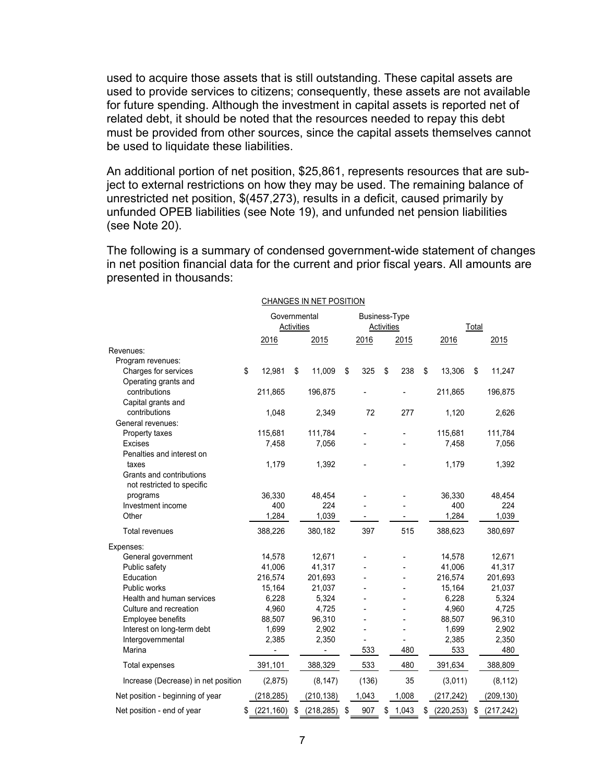used to acquire those assets that is still outstanding. These capital assets are used to provide services to citizens; consequently, these assets are not available for future spending. Although the investment in capital assets is reported net of related debt, it should be noted that the resources needed to repay this debt must be provided from other sources, since the capital assets themselves cannot be used to liquidate these liabilities.

An additional portion of net position, \$25,861, represents resources that are subject to external restrictions on how they may be used. The remaining balance of unrestricted net position, \$(457,273), results in a deficit, caused primarily by unfunded OPEB liabilities (see Note 19), and unfunded net pension liabilities (see Note 20).

The following is a summary of condensed government-wide statement of changes in net position financial data for the current and prior fiscal years. All amounts are presented in thousands:

|                                     |                            |    | <b>DITAINDED IN INET LOUTING</b> |                                    |    |       |    |            |    |            |
|-------------------------------------|----------------------------|----|----------------------------------|------------------------------------|----|-------|----|------------|----|------------|
|                                     | Governmental<br>Activities |    |                                  | <b>Business-Type</b><br>Activities |    |       |    | Total      |    |            |
|                                     | 2016                       |    | 2015                             | 2016                               |    | 2015  |    | 2016       |    | 2015       |
| Revenues:                           |                            |    |                                  |                                    |    |       |    |            |    |            |
| Program revenues:                   |                            |    |                                  |                                    |    |       |    |            |    |            |
| Charges for services                | \$<br>12,981               | \$ | 11,009                           | \$<br>325                          | \$ | 238   | \$ | 13,306     | \$ | 11,247     |
| Operating grants and                |                            |    |                                  |                                    |    |       |    |            |    |            |
| contributions                       | 211,865                    |    | 196,875                          |                                    |    |       |    | 211,865    |    | 196,875    |
| Capital grants and                  |                            |    |                                  |                                    |    |       |    |            |    |            |
| contributions                       | 1,048                      |    | 2,349                            | 72                                 |    | 277   |    | 1,120      |    | 2,626      |
| General revenues:                   |                            |    |                                  |                                    |    |       |    |            |    |            |
| Property taxes                      | 115,681                    |    | 111,784                          |                                    |    |       |    | 115,681    |    | 111,784    |
| <b>Excises</b>                      | 7,458                      |    | 7,056                            |                                    |    |       |    | 7,458      |    | 7,056      |
| Penalties and interest on           |                            |    |                                  |                                    |    |       |    |            |    |            |
| taxes                               | 1,179                      |    | 1,392                            |                                    |    |       |    | 1,179      |    | 1,392      |
| Grants and contributions            |                            |    |                                  |                                    |    |       |    |            |    |            |
| not restricted to specific          |                            |    |                                  |                                    |    |       |    |            |    |            |
| programs                            | 36,330                     |    | 48,454                           |                                    |    |       |    | 36,330     |    | 48,454     |
| Investment income                   | 400                        |    | 224                              |                                    |    |       |    | 400        |    | 224        |
| Other                               | 1,284                      |    | 1,039                            |                                    |    |       |    | 1,284      |    | 1,039      |
| <b>Total revenues</b>               | 388,226                    |    | 380,182                          | 397                                |    | 515   |    | 388,623    |    | 380,697    |
| Expenses:                           |                            |    |                                  |                                    |    |       |    |            |    |            |
| General government                  | 14,578                     |    | 12,671                           |                                    |    |       |    | 14,578     |    | 12,671     |
| Public safety                       | 41,006                     |    | 41,317                           |                                    |    |       |    | 41,006     |    | 41,317     |
| Education                           | 216,574                    |    | 201,693                          |                                    |    |       |    | 216,574    |    | 201,693    |
| <b>Public works</b>                 | 15,164                     |    | 21,037                           |                                    |    |       |    | 15,164     |    | 21,037     |
| Health and human services           | 6,228                      |    | 5,324                            |                                    |    |       |    | 6,228      |    | 5,324      |
| Culture and recreation              | 4,960                      |    | 4,725                            |                                    |    |       |    | 4,960      |    | 4,725      |
| Employee benefits                   | 88,507                     |    | 96,310                           |                                    |    |       |    | 88,507     |    | 96,310     |
| Interest on long-term debt          | 1,699                      |    | 2,902                            |                                    |    |       |    | 1,699      |    | 2,902      |
| Intergovernmental                   | 2,385                      |    | 2,350                            |                                    |    |       |    | 2,385      |    | 2,350      |
| Marina                              |                            |    |                                  | 533                                |    | 480   |    | 533        |    | 480        |
| Total expenses                      | 391,101                    |    | 388,329                          | 533                                |    | 480   |    | 391,634    |    | 388,809    |
| Increase (Decrease) in net position | (2,875)                    |    | (8, 147)                         | (136)                              |    | 35    |    | (3,011)    |    | (8, 112)   |
| Net position - beginning of year    | (218, 285)                 |    | (210, 138)                       | 1,043                              |    | 1,008 |    | (217, 242) |    | (209, 130) |
| Net position - end of year          | \$<br>(221, 160)           | \$ | (218, 285)                       | \$<br>907                          | \$ | 1,043 | \$ | (220, 253) | \$ | (217, 242) |

#### CHANGES IN NET POSITION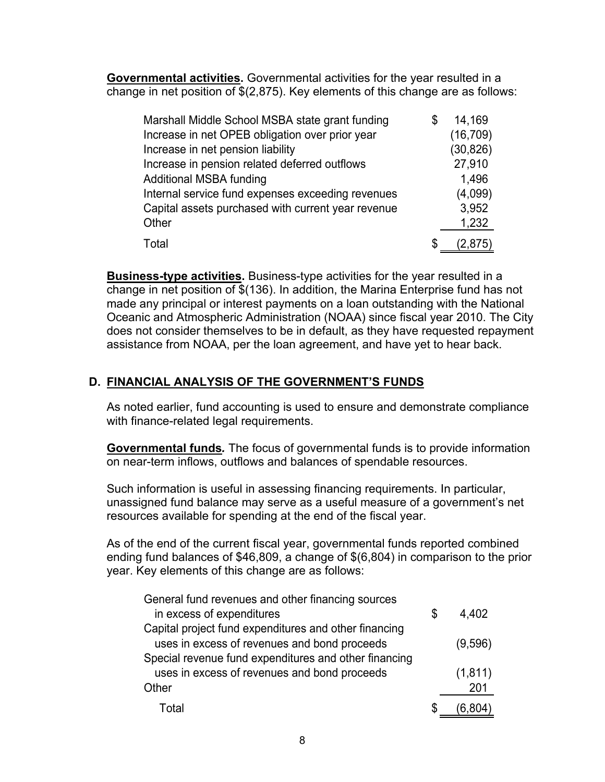**Governmental activities.** Governmental activities for the year resulted in a change in net position of \$(2,875). Key elements of this change are as follows:

| Marshall Middle School MSBA state grant funding    | 14,169    |
|----------------------------------------------------|-----------|
| Increase in net OPEB obligation over prior year    | (16, 709) |
| Increase in net pension liability                  | (30, 826) |
| Increase in pension related deferred outflows      | 27,910    |
| <b>Additional MSBA funding</b>                     | 1,496     |
| Internal service fund expenses exceeding revenues  | (4,099)   |
| Capital assets purchased with current year revenue | 3,952     |
| Other                                              | 1,232     |
| Total                                              | (2,875)   |

**Business-type activities.** Business-type activities for the year resulted in a change in net position of \$(136). In addition, the Marina Enterprise fund has not made any principal or interest payments on a loan outstanding with the National Oceanic and Atmospheric Administration (NOAA) since fiscal year 2010. The City does not consider themselves to be in default, as they have requested repayment assistance from NOAA, per the loan agreement, and have yet to hear back.

# **D. FINANCIAL ANALYSIS OF THE GOVERNMENT'S FUNDS**

As noted earlier, fund accounting is used to ensure and demonstrate compliance with finance-related legal requirements.

**Governmental funds***.* The focus of governmental funds is to provide information on near-term inflows, outflows and balances of spendable resources.

Such information is useful in assessing financing requirements. In particular, unassigned fund balance may serve as a useful measure of a government's net resources available for spending at the end of the fiscal year.

As of the end of the current fiscal year, governmental funds reported combined ending fund balances of \$46,809, a change of \$(6,804) in comparison to the prior year. Key elements of this change are as follows:

| General fund revenues and other financing sources     |               |
|-------------------------------------------------------|---------------|
| in excess of expenditures                             | \$<br>4,402   |
| Capital project fund expenditures and other financing |               |
| uses in excess of revenues and bond proceeds          | (9,596)       |
| Special revenue fund expenditures and other financing |               |
| uses in excess of revenues and bond proceeds          | (1, 811)      |
| Other                                                 | 201           |
| Total                                                 | \$<br>(6,804) |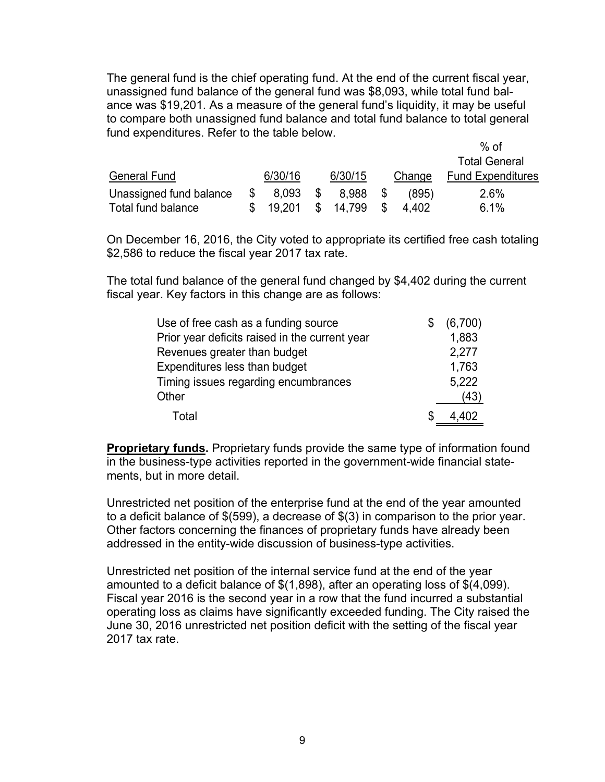The general fund is the chief operating fund. At the end of the current fiscal year, unassigned fund balance of the general fund was \$8,093, while total fund balance was \$19,201. As a measure of the general fund's liquidity, it may be useful to compare both unassigned fund balance and total fund balance to total general fund expenditures. Refer to the table below.

|                         |    |         |      |         |      |         | $%$ of                   |
|-------------------------|----|---------|------|---------|------|---------|--------------------------|
|                         |    |         |      |         |      |         | <b>Total General</b>     |
| <b>General Fund</b>     |    | 6/30/16 |      | 6/30/15 |      | Change  | <b>Fund Expenditures</b> |
| Unassigned fund balance | S. | 8,093   | - \$ | 8,988   | - \$ | (895)   | 2.6%                     |
| Total fund balance      |    | 19.201  | \$.  | 14.799  | \$.  | 4 4 0 2 | 6.1%                     |

On December 16, 2016, the City voted to appropriate its certified free cash totaling \$2,586 to reduce the fiscal year 2017 tax rate.

The total fund balance of the general fund changed by \$4,402 during the current fiscal year. Key factors in this change are as follows:

| Use of free cash as a funding source           |   | (6,700) |
|------------------------------------------------|---|---------|
| Prior year deficits raised in the current year |   | 1,883   |
| Revenues greater than budget                   |   | 2,277   |
| Expenditures less than budget                  |   | 1,763   |
| Timing issues regarding encumbrances           |   | 5,222   |
| Other                                          |   | (43)    |
| Total                                          | S | 4.402   |

**Proprietary funds.** Proprietary funds provide the same type of information found in the business-type activities reported in the government-wide financial statements, but in more detail.

Unrestricted net position of the enterprise fund at the end of the year amounted to a deficit balance of \$(599), a decrease of \$(3) in comparison to the prior year. Other factors concerning the finances of proprietary funds have already been addressed in the entity-wide discussion of business-type activities.

Unrestricted net position of the internal service fund at the end of the year amounted to a deficit balance of \$(1,898), after an operating loss of \$(4,099). Fiscal year 2016 is the second year in a row that the fund incurred a substantial operating loss as claims have significantly exceeded funding. The City raised the June 30, 2016 unrestricted net position deficit with the setting of the fiscal year 2017 tax rate.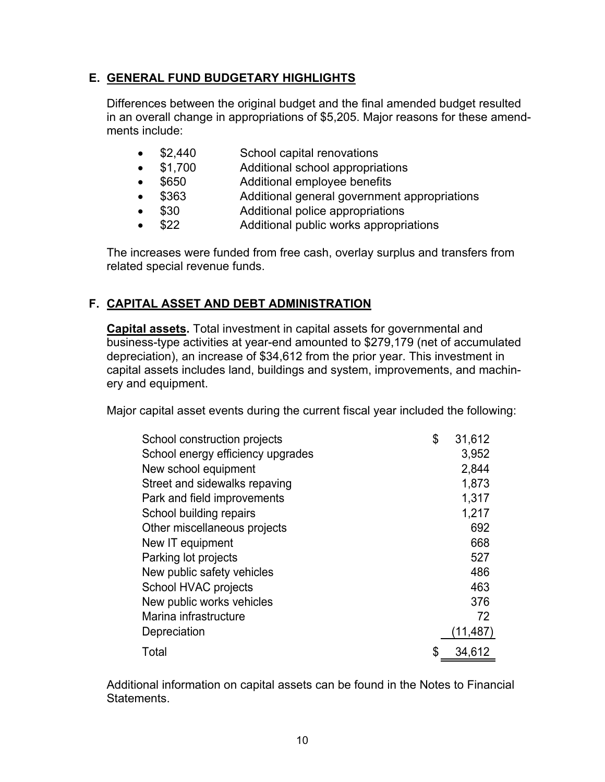# **E. GENERAL FUND BUDGETARY HIGHLIGHTS**

Differences between the original budget and the final amended budget resulted in an overall change in appropriations of \$5,205. Major reasons for these amendments include:

- \$2,440 School capital renovations
- \$1,700 Additional school appropriations
- \$650 Additional employee benefits
- \$363 Additional general government appropriations
- \$30 Additional police appropriations
- \$22 Additional public works appropriations

The increases were funded from free cash, overlay surplus and transfers from related special revenue funds.

# **F. CAPITAL ASSET AND DEBT ADMINISTRATION**

**Capital assets.** Total investment in capital assets for governmental and business-type activities at year-end amounted to \$279,179 (net of accumulated depreciation), an increase of \$34,612 from the prior year. This investment in capital assets includes land, buildings and system, improvements, and machinery and equipment.

Major capital asset events during the current fiscal year included the following:

| School construction projects      | \$<br>31,612 |
|-----------------------------------|--------------|
| School energy efficiency upgrades | 3,952        |
| New school equipment              | 2,844        |
| Street and sidewalks repaving     | 1,873        |
| Park and field improvements       | 1,317        |
| School building repairs           | 1,217        |
| Other miscellaneous projects      | 692          |
| New IT equipment                  | 668          |
| Parking lot projects              | 527          |
| New public safety vehicles        | 486          |
| School HVAC projects              | 463          |
| New public works vehicles         | 376          |
| Marina infrastructure             | 72           |
| Depreciation                      | (11,487)     |
| Total                             | \$<br>34,612 |

Additional information on capital assets can be found in the Notes to Financial Statements.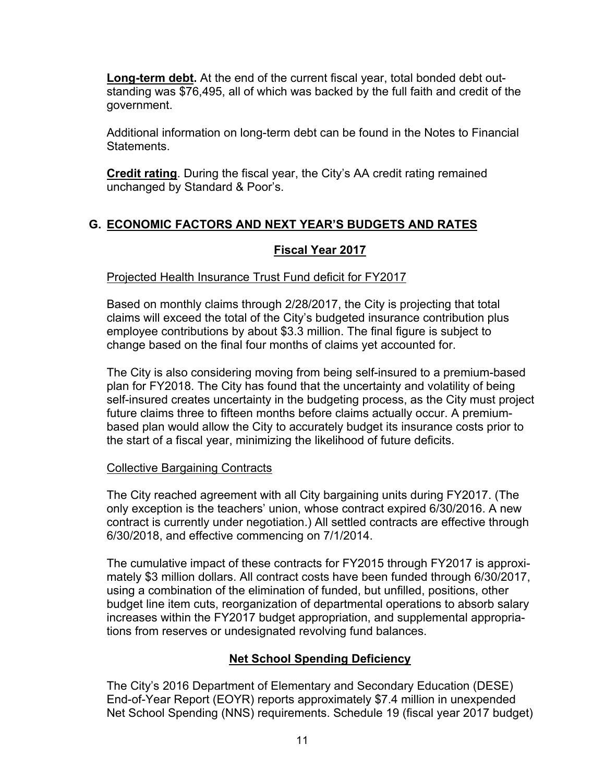**Long-term debt.** At the end of the current fiscal year, total bonded debt outstanding was \$76,495, all of which was backed by the full faith and credit of the government.

Additional information on long-term debt can be found in the Notes to Financial Statements.

**Credit rating**. During the fiscal year, the City's AA credit rating remained unchanged by Standard & Poor's.

# **G. ECONOMIC FACTORS AND NEXT YEAR'S BUDGETS AND RATES**

## **Fiscal Year 2017**

## Projected Health Insurance Trust Fund deficit for FY2017

Based on monthly claims through 2/28/2017, the City is projecting that total claims will exceed the total of the City's budgeted insurance contribution plus employee contributions by about \$3.3 million. The final figure is subject to change based on the final four months of claims yet accounted for.

The City is also considering moving from being self-insured to a premium-based plan for FY2018. The City has found that the uncertainty and volatility of being self-insured creates uncertainty in the budgeting process, as the City must project future claims three to fifteen months before claims actually occur. A premiumbased plan would allow the City to accurately budget its insurance costs prior to the start of a fiscal year, minimizing the likelihood of future deficits.

### Collective Bargaining Contracts

The City reached agreement with all City bargaining units during FY2017. (The only exception is the teachers' union, whose contract expired 6/30/2016. A new contract is currently under negotiation.) All settled contracts are effective through 6/30/2018, and effective commencing on 7/1/2014.

The cumulative impact of these contracts for FY2015 through FY2017 is approximately \$3 million dollars. All contract costs have been funded through 6/30/2017, using a combination of the elimination of funded, but unfilled, positions, other budget line item cuts, reorganization of departmental operations to absorb salary increases within the FY2017 budget appropriation, and supplemental appropriations from reserves or undesignated revolving fund balances.

# **Net School Spending Deficiency**

The City's 2016 Department of Elementary and Secondary Education (DESE) End-of-Year Report (EOYR) reports approximately \$7.4 million in unexpended Net School Spending (NNS) requirements. Schedule 19 (fiscal year 2017 budget)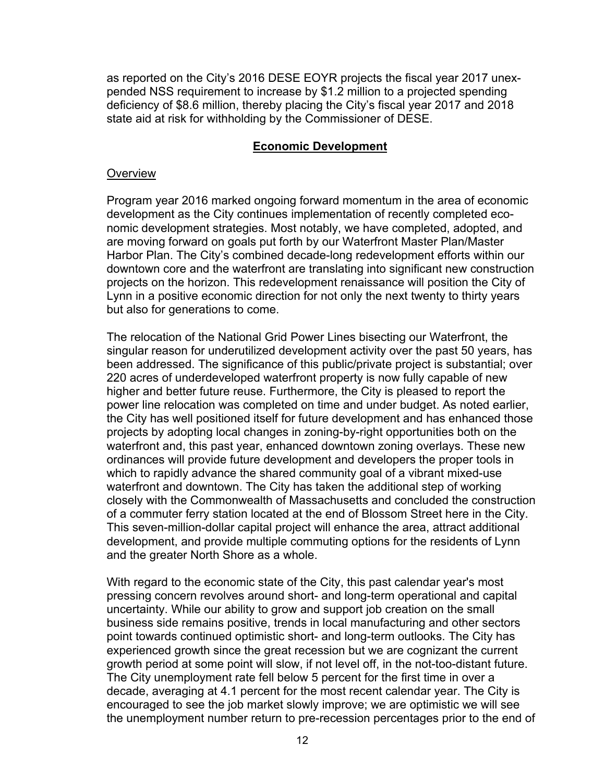as reported on the City's 2016 DESE EOYR projects the fiscal year 2017 unexpended NSS requirement to increase by \$1.2 million to a projected spending deficiency of \$8.6 million, thereby placing the City's fiscal year 2017 and 2018 state aid at risk for withholding by the Commissioner of DESE.

### **Economic Development**

### **Overview**

Program year 2016 marked ongoing forward momentum in the area of economic development as the City continues implementation of recently completed economic development strategies. Most notably, we have completed, adopted, and are moving forward on goals put forth by our Waterfront Master Plan/Master Harbor Plan. The City's combined decade-long redevelopment efforts within our downtown core and the waterfront are translating into significant new construction projects on the horizon. This redevelopment renaissance will position the City of Lynn in a positive economic direction for not only the next twenty to thirty years but also for generations to come.

The relocation of the National Grid Power Lines bisecting our Waterfront, the singular reason for underutilized development activity over the past 50 years, has been addressed. The significance of this public/private project is substantial; over 220 acres of underdeveloped waterfront property is now fully capable of new higher and better future reuse. Furthermore, the City is pleased to report the power line relocation was completed on time and under budget. As noted earlier, the City has well positioned itself for future development and has enhanced those projects by adopting local changes in zoning-by-right opportunities both on the waterfront and, this past year, enhanced downtown zoning overlays. These new ordinances will provide future development and developers the proper tools in which to rapidly advance the shared community goal of a vibrant mixed-use waterfront and downtown. The City has taken the additional step of working closely with the Commonwealth of Massachusetts and concluded the construction of a commuter ferry station located at the end of Blossom Street here in the City. This seven-million-dollar capital project will enhance the area, attract additional development, and provide multiple commuting options for the residents of Lynn and the greater North Shore as a whole.

With regard to the economic state of the City, this past calendar year's most pressing concern revolves around short- and long-term operational and capital uncertainty. While our ability to grow and support job creation on the small business side remains positive, trends in local manufacturing and other sectors point towards continued optimistic short- and long-term outlooks. The City has experienced growth since the great recession but we are cognizant the current growth period at some point will slow, if not level off, in the not-too-distant future. The City unemployment rate fell below 5 percent for the first time in over a decade, averaging at 4.1 percent for the most recent calendar year. The City is encouraged to see the job market slowly improve; we are optimistic we will see the unemployment number return to pre-recession percentages prior to the end of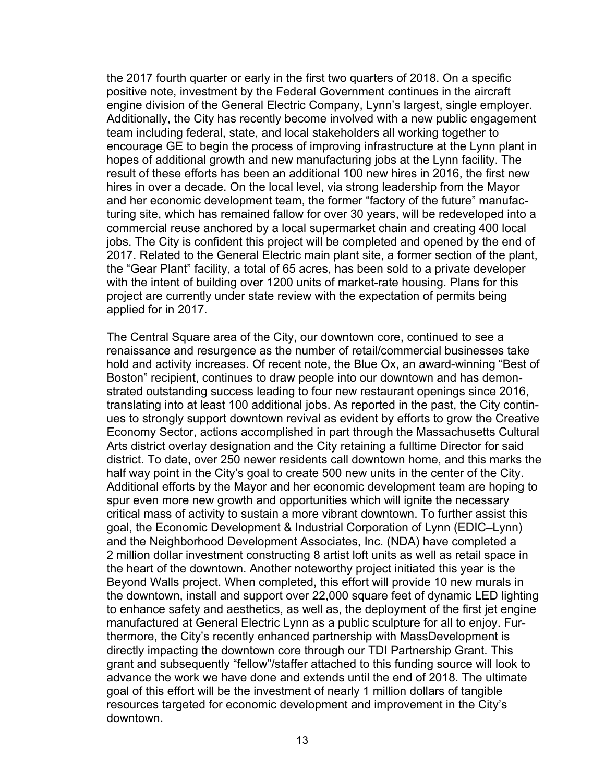the 2017 fourth quarter or early in the first two quarters of 2018. On a specific positive note, investment by the Federal Government continues in the aircraft engine division of the General Electric Company, Lynn's largest, single employer. Additionally, the City has recently become involved with a new public engagement team including federal, state, and local stakeholders all working together to encourage GE to begin the process of improving infrastructure at the Lynn plant in hopes of additional growth and new manufacturing jobs at the Lynn facility. The result of these efforts has been an additional 100 new hires in 2016, the first new hires in over a decade. On the local level, via strong leadership from the Mayor and her economic development team, the former "factory of the future" manufacturing site, which has remained fallow for over 30 years, will be redeveloped into a commercial reuse anchored by a local supermarket chain and creating 400 local jobs. The City is confident this project will be completed and opened by the end of 2017. Related to the General Electric main plant site, a former section of the plant, the "Gear Plant" facility, a total of 65 acres, has been sold to a private developer with the intent of building over 1200 units of market-rate housing. Plans for this project are currently under state review with the expectation of permits being applied for in 2017.

The Central Square area of the City, our downtown core, continued to see a renaissance and resurgence as the number of retail/commercial businesses take hold and activity increases. Of recent note, the Blue Ox, an award-winning "Best of Boston" recipient, continues to draw people into our downtown and has demonstrated outstanding success leading to four new restaurant openings since 2016, translating into at least 100 additional jobs. As reported in the past, the City continues to strongly support downtown revival as evident by efforts to grow the Creative Economy Sector, actions accomplished in part through the Massachusetts Cultural Arts district overlay designation and the City retaining a fulltime Director for said district. To date, over 250 newer residents call downtown home, and this marks the half way point in the City's goal to create 500 new units in the center of the City. Additional efforts by the Mayor and her economic development team are hoping to spur even more new growth and opportunities which will ignite the necessary critical mass of activity to sustain a more vibrant downtown. To further assist this goal, the Economic Development & Industrial Corporation of Lynn (EDIC–Lynn) and the Neighborhood Development Associates, Inc. (NDA) have completed a 2 million dollar investment constructing 8 artist loft units as well as retail space in the heart of the downtown. Another noteworthy project initiated this year is the Beyond Walls project. When completed, this effort will provide 10 new murals in the downtown, install and support over 22,000 square feet of dynamic LED lighting to enhance safety and aesthetics, as well as, the deployment of the first jet engine manufactured at General Electric Lynn as a public sculpture for all to enjoy. Furthermore, the City's recently enhanced partnership with MassDevelopment is directly impacting the downtown core through our TDI Partnership Grant. This grant and subsequently "fellow"/staffer attached to this funding source will look to advance the work we have done and extends until the end of 2018. The ultimate goal of this effort will be the investment of nearly 1 million dollars of tangible resources targeted for economic development and improvement in the City's downtown.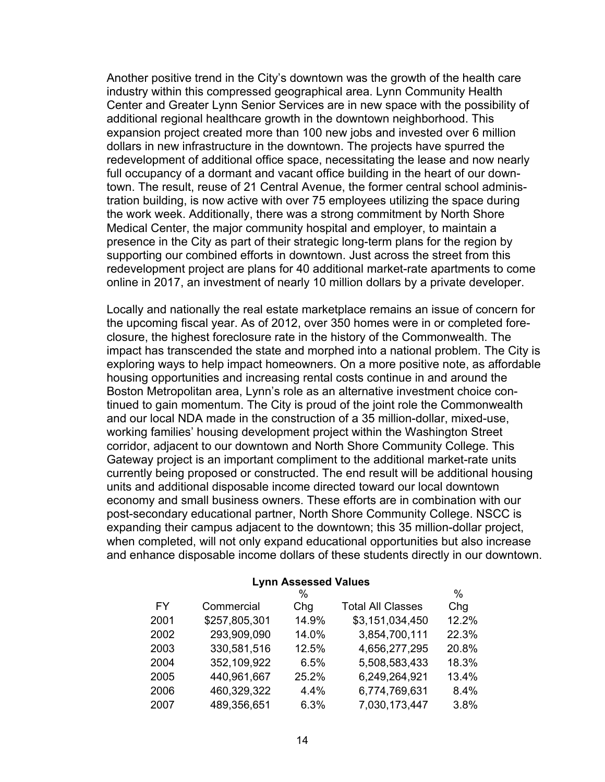Another positive trend in the City's downtown was the growth of the health care industry within this compressed geographical area. Lynn Community Health Center and Greater Lynn Senior Services are in new space with the possibility of additional regional healthcare growth in the downtown neighborhood. This expansion project created more than 100 new jobs and invested over 6 million dollars in new infrastructure in the downtown. The projects have spurred the redevelopment of additional office space, necessitating the lease and now nearly full occupancy of a dormant and vacant office building in the heart of our downtown. The result, reuse of 21 Central Avenue, the former central school administration building, is now active with over 75 employees utilizing the space during the work week. Additionally, there was a strong commitment by North Shore Medical Center, the major community hospital and employer, to maintain a presence in the City as part of their strategic long-term plans for the region by supporting our combined efforts in downtown. Just across the street from this redevelopment project are plans for 40 additional market-rate apartments to come online in 2017, an investment of nearly 10 million dollars by a private developer.

Locally and nationally the real estate marketplace remains an issue of concern for the upcoming fiscal year. As of 2012, over 350 homes were in or completed foreclosure, the highest foreclosure rate in the history of the Commonwealth. The impact has transcended the state and morphed into a national problem. The City is exploring ways to help impact homeowners. On a more positive note, as affordable housing opportunities and increasing rental costs continue in and around the Boston Metropolitan area, Lynn's role as an alternative investment choice continued to gain momentum. The City is proud of the joint role the Commonwealth and our local NDA made in the construction of a 35 million-dollar, mixed-use, working families' housing development project within the Washington Street corridor, adjacent to our downtown and North Shore Community College. This Gateway project is an important compliment to the additional market-rate units currently being proposed or constructed. The end result will be additional housing units and additional disposable income directed toward our local downtown economy and small business owners. These efforts are in combination with our post-secondary educational partner, North Shore Community College. NSCC is expanding their campus adjacent to the downtown; this 35 million-dollar project, when completed, will not only expand educational opportunities but also increase and enhance disposable income dollars of these students directly in our downtown.

| $L$ , $\sim$ $L$ $\sim$ $\sim$ $\sim$ $\sim$ $\sim$ $\sim$ $\sim$ |               |       |                          |       |  |  |  |  |
|-------------------------------------------------------------------|---------------|-------|--------------------------|-------|--|--|--|--|
|                                                                   |               | $\%$  |                          | $\%$  |  |  |  |  |
| FY                                                                | Commercial    | Chg   | <b>Total All Classes</b> | Chg   |  |  |  |  |
| 2001                                                              | \$257,805,301 | 14.9% | \$3,151,034,450          | 12.2% |  |  |  |  |
| 2002                                                              | 293,909,090   | 14.0% | 3,854,700,111            | 22.3% |  |  |  |  |
| 2003                                                              | 330,581,516   | 12.5% | 4,656,277,295            | 20.8% |  |  |  |  |
| 2004                                                              | 352,109,922   | 6.5%  | 5,508,583,433            | 18.3% |  |  |  |  |
| 2005                                                              | 440,961,667   | 25.2% | 6,249,264,921            | 13.4% |  |  |  |  |
| 2006                                                              | 460,329,322   | 4.4%  | 6,774,769,631            | 8.4%  |  |  |  |  |
| 2007                                                              | 489,356,651   | 6.3%  | 7,030,173,447            | 3.8%  |  |  |  |  |

**Lynn Assessed Values**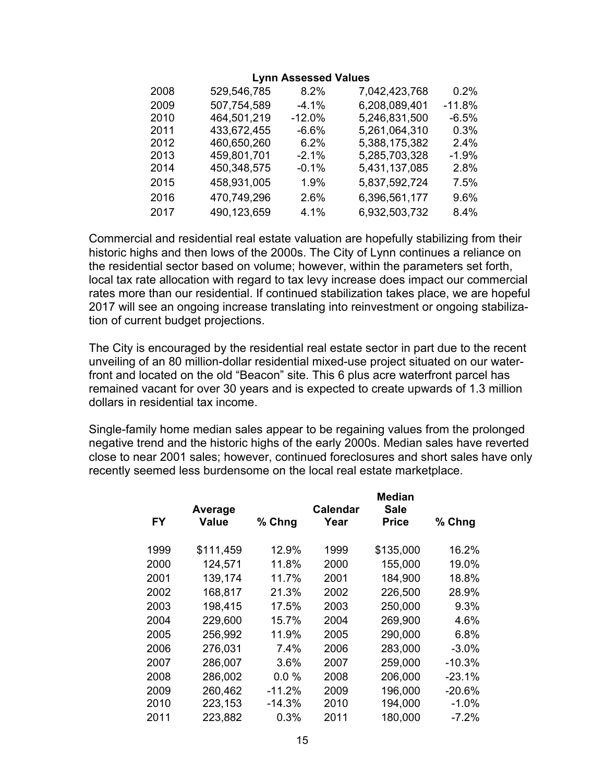### **Lynn Assessed Values**

| 2008 | 529,546,785 | 8.2%     | 7,042,423,768 | 0.2%     |
|------|-------------|----------|---------------|----------|
| 2009 | 507,754,589 | $-4.1%$  | 6,208,089,401 | $-11.8%$ |
| 2010 | 464,501,219 | $-12.0%$ | 5,246,831,500 | $-6.5%$  |
| 2011 | 433,672,455 | $-6.6%$  | 5,261,064,310 | $0.3\%$  |
| 2012 | 460,650,260 | $6.2\%$  | 5,388,175,382 | 24%      |
| 2013 | 459,801,701 | $-2.1%$  | 5,285,703,328 | $-1.9%$  |
| 2014 | 450,348,575 | $-0.1%$  | 5,431,137,085 | 2.8%     |
| 2015 | 458,931,005 | 1.9%     | 5,837,592,724 | 7.5%     |
| 2016 | 470,749,296 | 2.6%     | 6,396,561,177 | 9.6%     |
| 2017 | 490,123,659 | 4.1%     | 6,932,503,732 | 8.4%     |

Commercial and residential real estate valuation are hopefully stabilizing from their historic highs and then lows of the 2000s. The City of Lynn continues a reliance on the residential sector based on volume; however, within the parameters set forth, local tax rate allocation with regard to tax levy increase does impact our commercial rates more than our residential. If continued stabilization takes place, we are hopeful 2017 will see an ongoing increase translating into reinvestment or ongoing stabilization of current budget projections.

The City is encouraged by the residential real estate sector in part due to the recent unveiling of an 80 million-dollar residential mixed-use project situated on our waterfront and located on the old "Beacon" site. This 6 plus acre waterfront parcel has remained vacant for over 30 years and is expected to create upwards of 1.3 million dollars in residential tax income.

Single-family home median sales appear to be regaining values from the prolonged negative trend and the historic highs of the early 2000s. Median sales have reverted close to near 2001 sales; however, continued foreclosures and short sales have only recently seemed less burdensome on the local real estate marketplace.

|      | Average   |          | Calendar | Median<br><b>Sale</b> |          |
|------|-----------|----------|----------|-----------------------|----------|
| FY   | Value     | % Chng   | Year     | <b>Price</b>          | % Chng   |
| 1999 | \$111,459 | 12.9%    | 1999     | \$135,000             | 16.2%    |
| 2000 | 124,571   | 11.8%    | 2000     | 155,000               | 19.0%    |
| 2001 | 139,174   | 11.7%    | 2001     | 184,900               | 18.8%    |
| 2002 | 168,817   | 21.3%    | 2002     | 226,500               | 28.9%    |
| 2003 | 198,415   | 17.5%    | 2003     | 250,000               | 9.3%     |
| 2004 | 229,600   | 15.7%    | 2004     | 269,900               | 4.6%     |
| 2005 | 256,992   | 11.9%    | 2005     | 290,000               | 6.8%     |
| 2006 | 276,031   | 7.4%     | 2006     | 283,000               | $-3.0\%$ |
| 2007 | 286,007   | 3.6%     | 2007     | 259,000               | $-10.3%$ |
| 2008 | 286,002   | $0.0\%$  | 2008     | 206,000               | $-23.1%$ |
| 2009 | 260,462   | $-11.2%$ | 2009     | 196,000               | $-20.6%$ |
| 2010 | 223,153   | $-14.3%$ | 2010     | 194,000               | $-1.0\%$ |
| 2011 | 223,882   | 0.3%     | 2011     | 180,000               | -7.2%    |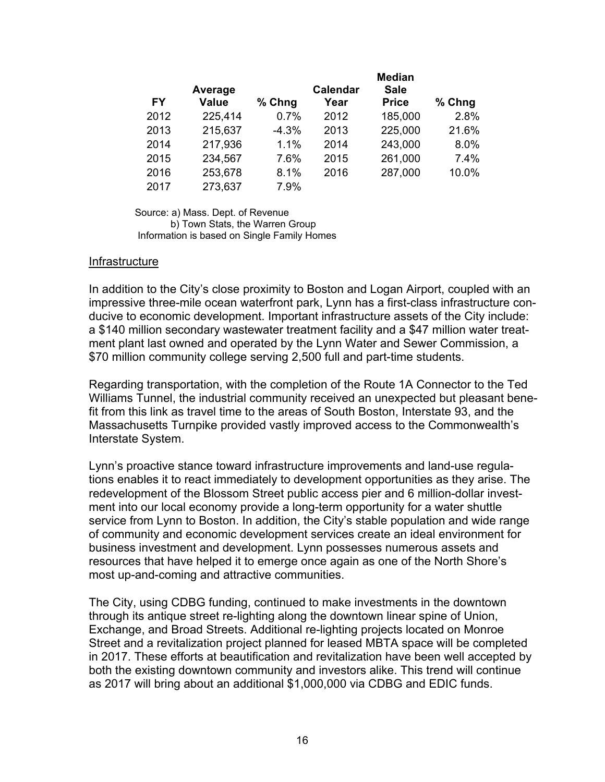|           |                         |          |                         | <b>Median</b>               |        |
|-----------|-------------------------|----------|-------------------------|-----------------------------|--------|
| <b>FY</b> | Average<br><b>Value</b> | $%$ Chng | <b>Calendar</b><br>Year | <b>Sale</b><br><b>Price</b> | % Chng |
| 2012      | 225,414                 | 0.7%     | 2012                    | 185,000                     | 2.8%   |
| 2013      | 215,637                 | $-4.3%$  | 2013                    | 225,000                     | 21.6%  |
| 2014      | 217,936                 | 1.1%     | 2014                    | 243,000                     | 8.0%   |
| 2015      | 234,567                 | 7.6%     | 2015                    | 261,000                     | 7.4%   |
| 2016      | 253,678                 | 8.1%     | 2016                    | 287,000                     | 10.0%  |
| 2017      | 273,637                 | 7.9%     |                         |                             |        |

Source: a) Mass. Dept. of Revenue b) Town Stats, the Warren Group Information is based on Single Family Homes

### **Infrastructure**

In addition to the City's close proximity to Boston and Logan Airport, coupled with an impressive three-mile ocean waterfront park, Lynn has a first-class infrastructure conducive to economic development. Important infrastructure assets of the City include: a \$140 million secondary wastewater treatment facility and a \$47 million water treatment plant last owned and operated by the Lynn Water and Sewer Commission, a \$70 million community college serving 2,500 full and part-time students.

Regarding transportation, with the completion of the Route 1A Connector to the Ted Williams Tunnel, the industrial community received an unexpected but pleasant benefit from this link as travel time to the areas of South Boston, Interstate 93, and the Massachusetts Turnpike provided vastly improved access to the Commonwealth's Interstate System.

Lynn's proactive stance toward infrastructure improvements and land-use regulations enables it to react immediately to development opportunities as they arise. The redevelopment of the Blossom Street public access pier and 6 million-dollar investment into our local economy provide a long-term opportunity for a water shuttle service from Lynn to Boston. In addition, the City's stable population and wide range of community and economic development services create an ideal environment for business investment and development. Lynn possesses numerous assets and resources that have helped it to emerge once again as one of the North Shore's most up-and-coming and attractive communities.

The City, using CDBG funding, continued to make investments in the downtown through its antique street re-lighting along the downtown linear spine of Union, Exchange, and Broad Streets. Additional re-lighting projects located on Monroe Street and a revitalization project planned for leased MBTA space will be completed in 2017. These efforts at beautification and revitalization have been well accepted by both the existing downtown community and investors alike. This trend will continue as 2017 will bring about an additional \$1,000,000 via CDBG and EDIC funds.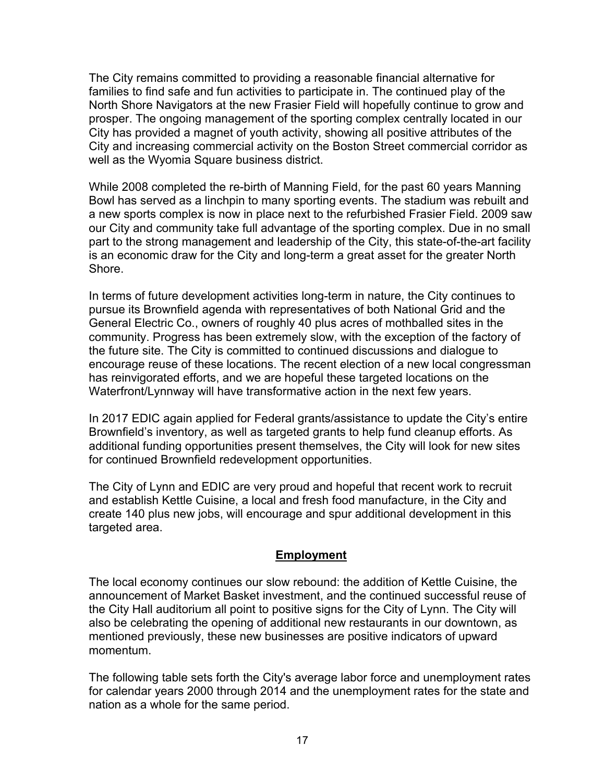The City remains committed to providing a reasonable financial alternative for families to find safe and fun activities to participate in. The continued play of the North Shore Navigators at the new Frasier Field will hopefully continue to grow and prosper. The ongoing management of the sporting complex centrally located in our City has provided a magnet of youth activity, showing all positive attributes of the City and increasing commercial activity on the Boston Street commercial corridor as well as the Wyomia Square business district.

While 2008 completed the re-birth of Manning Field, for the past 60 years Manning Bowl has served as a linchpin to many sporting events. The stadium was rebuilt and a new sports complex is now in place next to the refurbished Frasier Field. 2009 saw our City and community take full advantage of the sporting complex. Due in no small part to the strong management and leadership of the City, this state-of-the-art facility is an economic draw for the City and long-term a great asset for the greater North **Shore** 

In terms of future development activities long-term in nature, the City continues to pursue its Brownfield agenda with representatives of both National Grid and the General Electric Co., owners of roughly 40 plus acres of mothballed sites in the community. Progress has been extremely slow, with the exception of the factory of the future site. The City is committed to continued discussions and dialogue to encourage reuse of these locations. The recent election of a new local congressman has reinvigorated efforts, and we are hopeful these targeted locations on the Waterfront/Lynnway will have transformative action in the next few years.

In 2017 EDIC again applied for Federal grants/assistance to update the City's entire Brownfield's inventory, as well as targeted grants to help fund cleanup efforts. As additional funding opportunities present themselves, the City will look for new sites for continued Brownfield redevelopment opportunities.

The City of Lynn and EDIC are very proud and hopeful that recent work to recruit and establish Kettle Cuisine, a local and fresh food manufacture, in the City and create 140 plus new jobs, will encourage and spur additional development in this targeted area.

### **Employment**

The local economy continues our slow rebound: the addition of Kettle Cuisine, the announcement of Market Basket investment, and the continued successful reuse of the City Hall auditorium all point to positive signs for the City of Lynn. The City will also be celebrating the opening of additional new restaurants in our downtown, as mentioned previously, these new businesses are positive indicators of upward momentum.

The following table sets forth the City's average labor force and unemployment rates for calendar years 2000 through 2014 and the unemployment rates for the state and nation as a whole for the same period.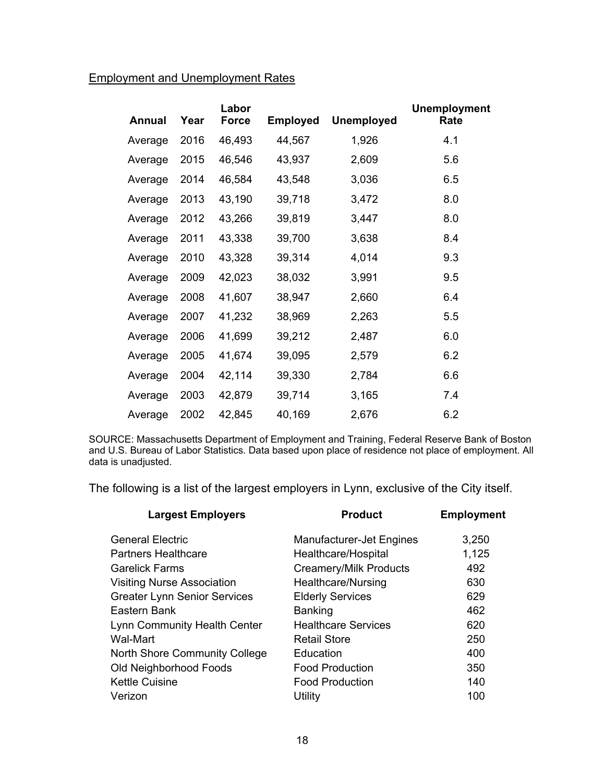# Employment and Unemployment Rates

| Annual  | Year | Labor<br><b>Force</b> | <b>Employed</b> | <b>Unemployed</b> | <b>Unemployment</b><br>Rate |
|---------|------|-----------------------|-----------------|-------------------|-----------------------------|
| Average | 2016 | 46,493                | 44,567          | 1,926             | 4.1                         |
| Average | 2015 | 46,546                | 43,937          | 2,609             | 5.6                         |
| Average | 2014 | 46,584                | 43,548          | 3,036             | 6.5                         |
| Average | 2013 | 43,190                | 39,718          | 3,472             | 8.0                         |
| Average | 2012 | 43,266                | 39,819          | 3,447             | 8.0                         |
| Average | 2011 | 43,338                | 39,700          | 3,638             | 8.4                         |
| Average | 2010 | 43,328                | 39,314          | 4,014             | 9.3                         |
| Average | 2009 | 42,023                | 38,032          | 3,991             | 9.5                         |
| Average | 2008 | 41,607                | 38,947          | 2,660             | 6.4                         |
| Average | 2007 | 41,232                | 38,969          | 2,263             | 5.5                         |
| Average | 2006 | 41,699                | 39,212          | 2,487             | 6.0                         |
| Average | 2005 | 41,674                | 39,095          | 2,579             | 6.2                         |
| Average | 2004 | 42,114                | 39,330          | 2,784             | 6.6                         |
| Average | 2003 | 42,879                | 39,714          | 3,165             | 7.4                         |
| Average | 2002 | 42,845                | 40,169          | 2,676             | 6.2                         |

SOURCE: Massachusetts Department of Employment and Training, Federal Reserve Bank of Boston and U.S. Bureau of Labor Statistics. Data based upon place of residence not place of employment. All data is unadjusted.

The following is a list of the largest employers in Lynn, exclusive of the City itself.

| <b>Largest Employers</b>            | <b>Product</b>                | <b>Employment</b> |
|-------------------------------------|-------------------------------|-------------------|
| <b>General Electric</b>             | Manufacturer-Jet Engines      | 3,250             |
| <b>Partners Healthcare</b>          | Healthcare/Hospital           | 1,125             |
| <b>Garelick Farms</b>               | <b>Creamery/Milk Products</b> | 492               |
| <b>Visiting Nurse Association</b>   | Healthcare/Nursing            | 630               |
| <b>Greater Lynn Senior Services</b> | <b>Elderly Services</b>       | 629               |
| Eastern Bank                        | <b>Banking</b>                | 462               |
| Lynn Community Health Center        | <b>Healthcare Services</b>    | 620               |
| Wal-Mart                            | <b>Retail Store</b>           | 250               |
| North Shore Community College       | Education                     | 400               |
| Old Neighborhood Foods              | <b>Food Production</b>        | 350               |
| <b>Kettle Cuisine</b>               | <b>Food Production</b>        | 140               |
| Verizon                             | <b>Utility</b>                | 100               |
|                                     |                               |                   |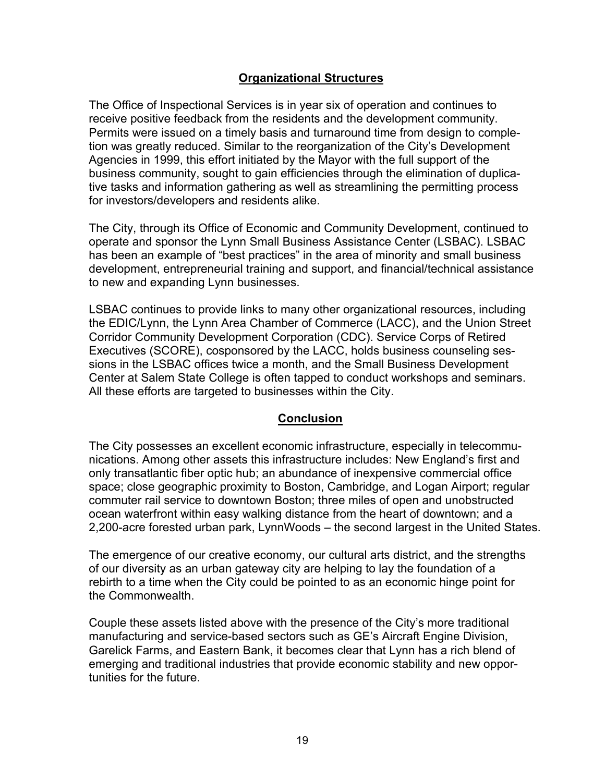## **Organizational Structures**

The Office of Inspectional Services is in year six of operation and continues to receive positive feedback from the residents and the development community. Permits were issued on a timely basis and turnaround time from design to completion was greatly reduced. Similar to the reorganization of the City's Development Agencies in 1999, this effort initiated by the Mayor with the full support of the business community, sought to gain efficiencies through the elimination of duplicative tasks and information gathering as well as streamlining the permitting process for investors/developers and residents alike.

The City, through its Office of Economic and Community Development, continued to operate and sponsor the Lynn Small Business Assistance Center (LSBAC). LSBAC has been an example of "best practices" in the area of minority and small business development, entrepreneurial training and support, and financial/technical assistance to new and expanding Lynn businesses.

LSBAC continues to provide links to many other organizational resources, including the EDIC/Lynn, the Lynn Area Chamber of Commerce (LACC), and the Union Street Corridor Community Development Corporation (CDC). Service Corps of Retired Executives (SCORE), cosponsored by the LACC, holds business counseling sessions in the LSBAC offices twice a month, and the Small Business Development Center at Salem State College is often tapped to conduct workshops and seminars. All these efforts are targeted to businesses within the City.

### **Conclusion**

The City possesses an excellent economic infrastructure, especially in telecommunications. Among other assets this infrastructure includes: New England's first and only transatlantic fiber optic hub; an abundance of inexpensive commercial office space; close geographic proximity to Boston, Cambridge, and Logan Airport; regular commuter rail service to downtown Boston; three miles of open and unobstructed ocean waterfront within easy walking distance from the heart of downtown; and a 2,200-acre forested urban park, LynnWoods – the second largest in the United States.

The emergence of our creative economy, our cultural arts district, and the strengths of our diversity as an urban gateway city are helping to lay the foundation of a rebirth to a time when the City could be pointed to as an economic hinge point for the Commonwealth.

Couple these assets listed above with the presence of the City's more traditional manufacturing and service-based sectors such as GE's Aircraft Engine Division, Garelick Farms, and Eastern Bank, it becomes clear that Lynn has a rich blend of emerging and traditional industries that provide economic stability and new opportunities for the future.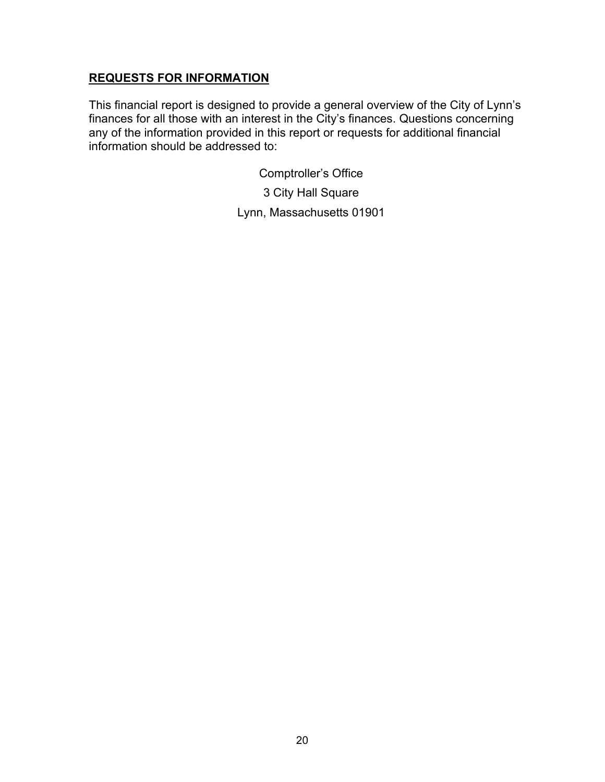### **REQUESTS FOR INFORMATION**

This financial report is designed to provide a general overview of the City of Lynn's finances for all those with an interest in the City's finances. Questions concerning any of the information provided in this report or requests for additional financial information should be addressed to:

Comptroller's Office

3 City Hall Square Lynn, Massachusetts 01901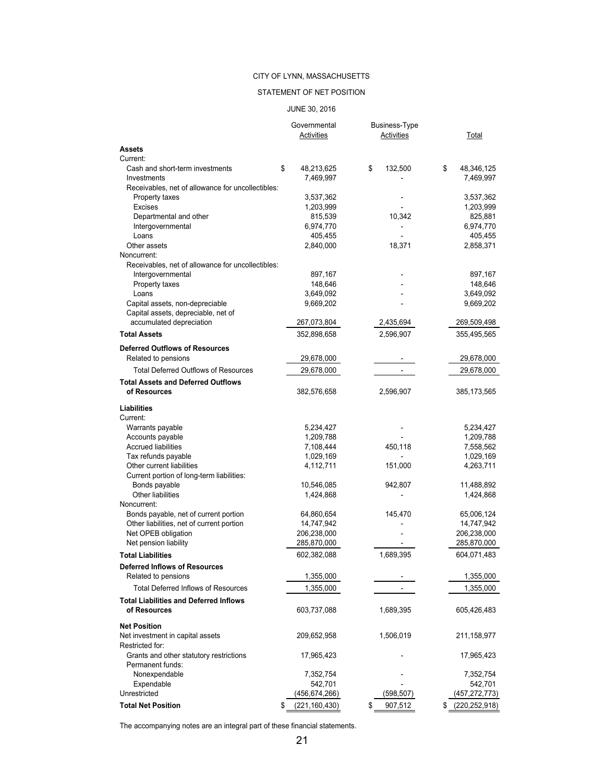### STATEMENT OF NET POSITION

#### JUNE 30, 2016

|                                                   | Governmental          | Business-Type |                       |
|---------------------------------------------------|-----------------------|---------------|-----------------------|
|                                                   | Activities            | Activities    | Total                 |
| Assets                                            |                       |               |                       |
| Current:                                          |                       |               |                       |
| Cash and short-term investments                   | \$<br>48,213,625      | \$<br>132,500 | \$<br>48,346,125      |
| Investments                                       | 7,469,997             |               | 7,469,997             |
| Receivables, net of allowance for uncollectibles: |                       |               |                       |
| Property taxes                                    | 3,537,362             | -             | 3,537,362             |
| <b>Excises</b>                                    | 1,203,999             |               | 1,203,999             |
| Departmental and other                            | 815,539               | 10,342        | 825,881               |
| Intergovernmental                                 | 6,974,770             |               | 6,974,770             |
| Loans                                             | 405,455               |               | 405,455               |
| Other assets                                      | 2,840,000             | 18,371        | 2,858,371             |
| Noncurrent:                                       |                       |               |                       |
| Receivables, net of allowance for uncollectibles: |                       |               |                       |
| Intergovernmental                                 | 897,167               |               | 897,167               |
| Property taxes                                    | 148,646               |               | 148,646               |
| Loans                                             | 3,649,092             |               | 3,649,092             |
| Capital assets, non-depreciable                   | 9,669,202             |               | 9,669,202             |
| Capital assets, depreciable, net of               |                       |               |                       |
| accumulated depreciation                          | 267,073,804           | 2,435,694     | 269,509,498           |
| <b>Total Assets</b>                               | 352,898,658           | 2,596,907     | 355,495,565           |
| <b>Deferred Outflows of Resources</b>             |                       |               |                       |
| Related to pensions                               | 29,678,000            |               | 29,678,000            |
| <b>Total Deferred Outflows of Resources</b>       | 29,678,000            |               | 29,678,000            |
|                                                   |                       |               |                       |
| <b>Total Assets and Deferred Outflows</b>         |                       |               |                       |
| of Resources                                      | 382,576,658           | 2,596,907     | 385,173,565           |
| Liabilities                                       |                       |               |                       |
| Current:                                          |                       |               |                       |
| Warrants payable                                  | 5,234,427             |               | 5,234,427             |
| Accounts payable                                  | 1,209,788             |               | 1,209,788             |
| <b>Accrued liabilities</b>                        | 7,108,444             | 450,118       | 7,558,562             |
| Tax refunds payable                               | 1,029,169             |               | 1,029,169             |
| Other current liabilities                         | 4,112,711             | 151,000       | 4,263,711             |
| Current portion of long-term liabilities:         |                       |               |                       |
| Bonds payable                                     | 10,546,085            | 942,807       | 11,488,892            |
| Other liabilities                                 | 1,424,868             |               | 1,424,868             |
| Noncurrent:                                       |                       |               |                       |
| Bonds payable, net of current portion             | 64,860,654            | 145,470       | 65,006,124            |
| Other liabilities, net of current portion         | 14,747,942            |               | 14,747,942            |
| Net OPEB obligation                               | 206,238,000           |               | 206,238,000           |
| Net pension liability                             | 285,870,000           |               | 285,870,000           |
| <b>Total Liabilities</b>                          | 602,382,088           | 1,689,395     | 604,071,483           |
|                                                   |                       |               |                       |
| <b>Deferred Inflows of Resources</b>              |                       |               |                       |
| Related to pensions                               | 1,355,000             |               | 1,355,000             |
| <b>Total Deferred Inflows of Resources</b>        | 1,355,000             |               | 1,355,000             |
| <b>Total Liabilities and Deferred Inflows</b>     |                       |               |                       |
| of Resources                                      | 603,737,088           | 1,689,395     | 605,426,483           |
|                                                   |                       |               |                       |
| <b>Net Position</b>                               |                       |               |                       |
| Net investment in capital assets                  | 209,652,958           | 1,506,019     | 211,158,977           |
| Restricted for:                                   |                       |               |                       |
| Grants and other statutory restrictions           | 17,965,423            |               | 17,965,423            |
| Permanent funds:                                  |                       |               |                       |
| Nonexpendable                                     | 7,352,754             |               | 7,352,754             |
| Expendable                                        | 542,701               |               | 542,701               |
| Unrestricted                                      | (456,674,266)         | (598, 507)    | (457, 272, 773)       |
| <b>Total Net Position</b>                         | \$<br>(221, 160, 430) | 907,512<br>\$ | (220, 252, 918)<br>\$ |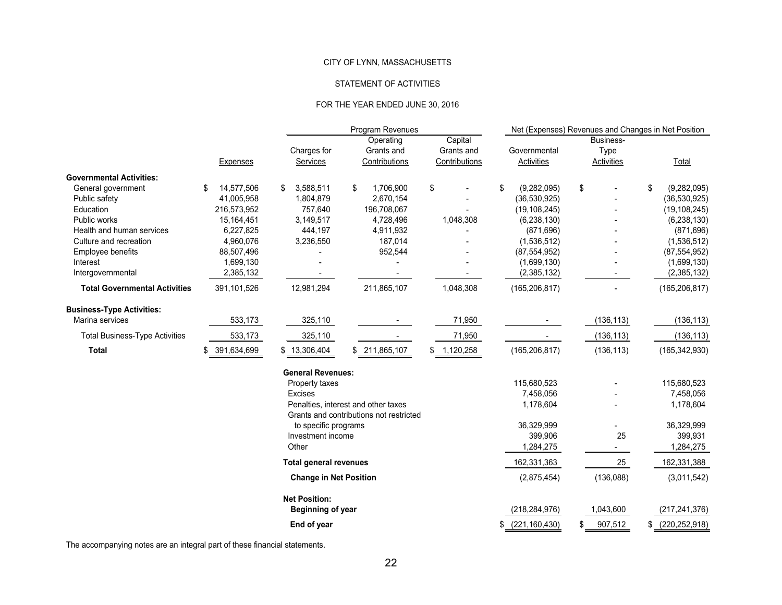#### STATEMENT OF ACTIVITIES

#### FOR THE YEAR ENDED JUNE 30, 2016

|                                       |                   |                                | <b>Program Revenues</b>                                                        |                                        |                                   | Net (Expenses) Revenues and Changes in Net Position |                   |  |  |  |  |
|---------------------------------------|-------------------|--------------------------------|--------------------------------------------------------------------------------|----------------------------------------|-----------------------------------|-----------------------------------------------------|-------------------|--|--|--|--|
|                                       | <b>Expenses</b>   | Charges for<br><b>Services</b> | Operating<br>Grants and<br>Contributions                                       | Capital<br>Grants and<br>Contributions | Governmental<br><b>Activities</b> | Business-<br>Type<br><b>Activities</b>              | Total             |  |  |  |  |
| <b>Governmental Activities:</b>       |                   |                                |                                                                                |                                        |                                   |                                                     |                   |  |  |  |  |
| General government                    | 14,577,506<br>\$  | 3,588,511<br>\$                | \$<br>1,706,900                                                                | \$                                     | \$<br>(9,282,095)                 | \$                                                  | \$<br>(9,282,095) |  |  |  |  |
| Public safety                         | 41,005,958        | 1,804,879                      | 2,670,154                                                                      |                                        | (36, 530, 925)                    |                                                     | (36,530,925)      |  |  |  |  |
| Education                             | 216,573,952       | 757,640                        | 196,708,067                                                                    |                                        | (19, 108, 245)                    |                                                     | (19, 108, 245)    |  |  |  |  |
| Public works                          | 15,164,451        | 3,149,517                      | 4,728,496                                                                      | 1,048,308                              | (6, 238, 130)                     |                                                     | (6, 238, 130)     |  |  |  |  |
| Health and human services             | 6,227,825         | 444,197                        | 4,911,932                                                                      |                                        | (871, 696)                        |                                                     | (871, 696)        |  |  |  |  |
| Culture and recreation                | 4,960,076         | 3,236,550                      | 187,014                                                                        |                                        | (1,536,512)                       |                                                     | (1,536,512)       |  |  |  |  |
| <b>Employee benefits</b>              | 88,507,496        |                                | 952,544                                                                        |                                        | (87, 554, 952)                    |                                                     | (87, 554, 952)    |  |  |  |  |
| Interest                              | 1,699,130         |                                |                                                                                |                                        | (1,699,130)                       |                                                     | (1,699,130)       |  |  |  |  |
| Intergovernmental                     | 2,385,132         |                                |                                                                                |                                        | (2,385,132)                       |                                                     | (2,385,132)       |  |  |  |  |
| <b>Total Governmental Activities</b>  | 391,101,526       | 12,981,294                     | 211,865,107                                                                    | 1,048,308                              | (165, 206, 817)                   |                                                     | (165, 206, 817)   |  |  |  |  |
| <b>Business-Type Activities:</b>      |                   |                                |                                                                                |                                        |                                   |                                                     |                   |  |  |  |  |
| Marina services                       | 533,173           | 325,110                        |                                                                                | 71,950                                 |                                   | (136, 113)                                          | (136, 113)        |  |  |  |  |
| <b>Total Business-Type Activities</b> | 533,173           | 325,110                        |                                                                                | 71,950                                 |                                   | (136, 113)                                          | (136, 113)        |  |  |  |  |
| <b>Total</b>                          | 391,634,699<br>\$ | \$13,306,404                   | \$211,865,107                                                                  | \$1,120,258                            | (165, 206, 817)                   | (136, 113)                                          | (165, 342, 930)   |  |  |  |  |
|                                       |                   | <b>General Revenues:</b>       |                                                                                |                                        |                                   |                                                     |                   |  |  |  |  |
|                                       |                   | Property taxes                 |                                                                                |                                        | 115,680,523                       |                                                     | 115,680,523       |  |  |  |  |
|                                       |                   | <b>Excises</b>                 |                                                                                |                                        | 7,458,056                         |                                                     | 7,458,056         |  |  |  |  |
|                                       |                   |                                | Penalties, interest and other taxes<br>Grants and contributions not restricted |                                        | 1,178,604                         |                                                     | 1,178,604         |  |  |  |  |
|                                       |                   | to specific programs           |                                                                                |                                        | 36,329,999                        |                                                     | 36,329,999        |  |  |  |  |
|                                       |                   | Investment income              |                                                                                |                                        | 399,906                           | 25                                                  | 399,931           |  |  |  |  |
|                                       |                   | Other                          |                                                                                |                                        | 1,284,275                         |                                                     | 1,284,275         |  |  |  |  |
|                                       |                   | <b>Total general revenues</b>  |                                                                                |                                        | 162,331,363                       | 25                                                  | 162,331,388       |  |  |  |  |
|                                       |                   |                                | <b>Change in Net Position</b>                                                  |                                        |                                   | (136,088)                                           | (3,011,542)       |  |  |  |  |
|                                       |                   | <b>Net Position:</b>           |                                                                                |                                        |                                   |                                                     |                   |  |  |  |  |
|                                       |                   | <b>Beginning of year</b>       |                                                                                |                                        | (218, 284, 976)                   | 1,043,600                                           | (217, 241, 376)   |  |  |  |  |
|                                       |                   | End of year                    |                                                                                |                                        | \$<br>(221, 160, 430)             | 907,512                                             | (220, 252, 918)   |  |  |  |  |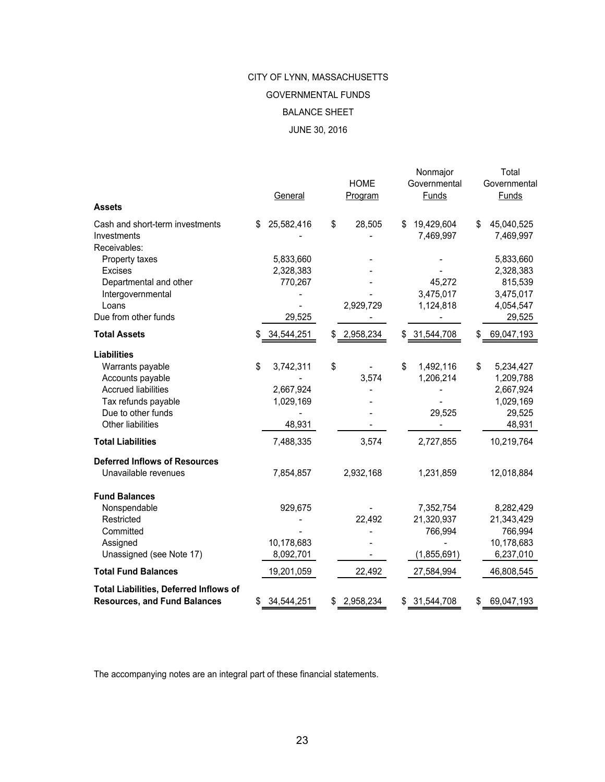# JUNE 30, 2016 CITY OF LYNN, MASSACHUSETTS BALANCE SHEET GOVERNMENTAL FUNDS

| Assets                                                                               |    | <b>General</b>          | <b>HOME</b><br>Program | Nonmajor<br>Governmental<br>Funds | Total<br>Governmental<br><b>Funds</b> |
|--------------------------------------------------------------------------------------|----|-------------------------|------------------------|-----------------------------------|---------------------------------------|
| Cash and short-term investments<br>Investments<br>Receivables:                       | S  | 25,582,416              | \$<br>28,505           | \$<br>19,429,604<br>7,469,997     | \$<br>45,040,525<br>7,469,997         |
| Property taxes<br><b>Excises</b>                                                     |    | 5,833,660<br>2,328,383  |                        |                                   | 5,833,660<br>2,328,383                |
| Departmental and other<br>Intergovernmental<br>Loans                                 |    | 770,267                 | 2,929,729              | 45,272<br>3,475,017<br>1,124,818  | 815,539<br>3,475,017<br>4,054,547     |
| Due from other funds                                                                 |    | 29,525                  |                        |                                   | 29,525                                |
| <b>Total Assets</b>                                                                  |    | 34,544,251              | \$<br>2,958,234        | \$<br>31,544,708                  | \$<br>69,047,193                      |
| <b>Liabilities</b><br>Warrants payable                                               | \$ | 3,742,311               | \$                     | \$<br>1,492,116                   | \$<br>5,234,427                       |
| Accounts payable<br><b>Accrued liabilities</b><br>Tax refunds payable                |    | 2,667,924<br>1,029,169  | 3,574                  | 1,206,214                         | 1,209,788<br>2,667,924<br>1,029,169   |
| Due to other funds<br>Other liabilities                                              |    | 48,931                  |                        | 29,525                            | 29,525<br>48,931                      |
| <b>Total Liabilities</b>                                                             |    | 7,488,335               | 3,574                  | 2,727,855                         | 10,219,764                            |
| <b>Deferred Inflows of Resources</b>                                                 |    |                         |                        |                                   |                                       |
| Unavailable revenues                                                                 |    | 7,854,857               | 2,932,168              | 1,231,859                         | 12,018,884                            |
| <b>Fund Balances</b>                                                                 |    |                         |                        |                                   |                                       |
| Nonspendable                                                                         |    | 929,675                 |                        | 7,352,754                         | 8,282,429                             |
| Restricted                                                                           |    |                         | 22,492                 | 21,320,937                        | 21,343,429                            |
| Committed                                                                            |    |                         |                        | 766,994                           | 766,994                               |
| Assigned<br>Unassigned (see Note 17)                                                 |    | 10,178,683<br>8,092,701 |                        | (1,855,691)                       | 10,178,683<br>6,237,010               |
| <b>Total Fund Balances</b>                                                           |    | 19,201,059              | 22,492                 | 27,584,994                        | 46,808,545                            |
|                                                                                      |    |                         |                        |                                   |                                       |
| <b>Total Liabilities, Deferred Inflows of</b><br><b>Resources, and Fund Balances</b> | \$ | 34,544,251              | \$<br>2,958,234        | \$31,544,708                      | \$<br>69,047,193                      |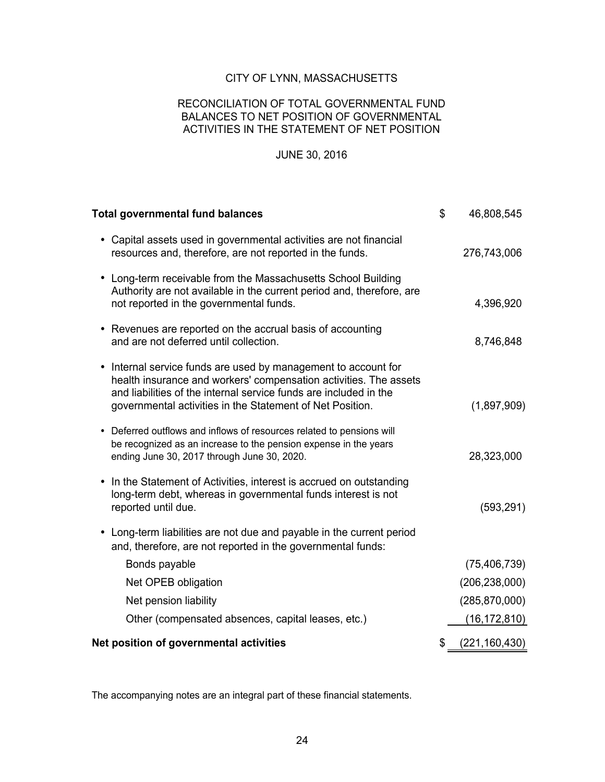### RECONCILIATION OF TOTAL GOVERNMENTAL FUND BALANCES TO NET POSITION OF GOVERNMENTAL ACTIVITIES IN THE STATEMENT OF NET POSITION

### JUNE 30, 2016

| <b>Total governmental fund balances</b>                                                                                                                                                                                                                               | \$<br>46,808,545      |
|-----------------------------------------------------------------------------------------------------------------------------------------------------------------------------------------------------------------------------------------------------------------------|-----------------------|
| • Capital assets used in governmental activities are not financial<br>resources and, therefore, are not reported in the funds.                                                                                                                                        | 276,743,006           |
| • Long-term receivable from the Massachusetts School Building<br>Authority are not available in the current period and, therefore, are<br>not reported in the governmental funds.                                                                                     | 4,396,920             |
| • Revenues are reported on the accrual basis of accounting<br>and are not deferred until collection.                                                                                                                                                                  | 8,746,848             |
| • Internal service funds are used by management to account for<br>health insurance and workers' compensation activities. The assets<br>and liabilities of the internal service funds are included in the<br>governmental activities in the Statement of Net Position. | (1,897,909)           |
| Deferred outflows and inflows of resources related to pensions will<br>$\bullet$<br>be recognized as an increase to the pension expense in the years<br>ending June 30, 2017 through June 30, 2020.                                                                   | 28,323,000            |
| In the Statement of Activities, interest is accrued on outstanding<br>$\bullet$<br>long-term debt, whereas in governmental funds interest is not<br>reported until due.                                                                                               | (593, 291)            |
| Long-term liabilities are not due and payable in the current period<br>$\bullet$<br>and, therefore, are not reported in the governmental funds:                                                                                                                       |                       |
| Bonds payable                                                                                                                                                                                                                                                         | (75, 406, 739)        |
| Net OPEB obligation                                                                                                                                                                                                                                                   | (206, 238, 000)       |
| Net pension liability                                                                                                                                                                                                                                                 | (285, 870, 000)       |
| Other (compensated absences, capital leases, etc.)                                                                                                                                                                                                                    | (16, 172, 810)        |
| Net position of governmental activities                                                                                                                                                                                                                               | \$<br>(221, 160, 430) |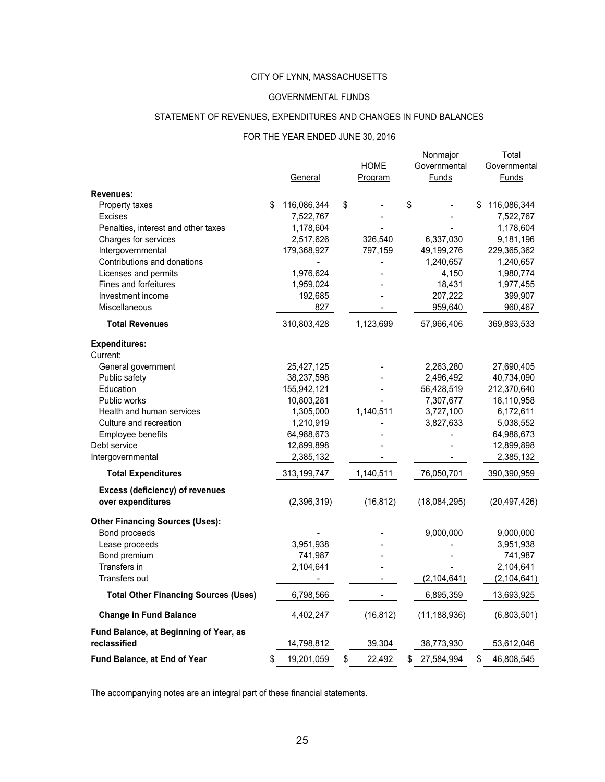#### GOVERNMENTAL FUNDS

### STATEMENT OF REVENUES, EXPENDITURES AND CHANGES IN FUND BALANCES

#### FOR THE YEAR ENDED JUNE 30, 2016

|                                             | General           | <b>HOME</b><br>Program | Nonmajor<br>Governmental<br>Funds | Total<br>Governmental<br><b>Funds</b> |
|---------------------------------------------|-------------------|------------------------|-----------------------------------|---------------------------------------|
| Revenues:                                   |                   |                        |                                   |                                       |
| Property taxes                              | \$<br>116,086,344 | \$                     | \$                                | \$<br>116,086,344                     |
| <b>Excises</b>                              | 7,522,767         |                        |                                   | 7,522,767                             |
| Penalties, interest and other taxes         | 1,178,604         |                        |                                   | 1,178,604                             |
| Charges for services                        | 2,517,626         | 326,540                | 6,337,030                         | 9,181,196                             |
| Intergovernmental                           | 179,368,927       | 797,159                | 49,199,276                        | 229,365,362                           |
| Contributions and donations                 |                   |                        | 1,240,657                         | 1,240,657                             |
| Licenses and permits                        | 1,976,624         |                        | 4,150                             | 1,980,774                             |
| Fines and forfeitures                       | 1,959,024         |                        | 18,431                            | 1,977,455                             |
| Investment income                           | 192,685           |                        | 207,222                           | 399,907                               |
| Miscellaneous                               | 827               |                        | 959,640                           | 960,467                               |
| <b>Total Revenues</b>                       | 310,803,428       | 1,123,699              | 57,966,406                        | 369,893,533                           |
| <b>Expenditures:</b>                        |                   |                        |                                   |                                       |
| Current:                                    |                   |                        |                                   |                                       |
| General government                          | 25,427,125        |                        | 2,263,280                         | 27,690,405                            |
| Public safety                               | 38,237,598        |                        | 2,496,492                         | 40,734,090                            |
| Education                                   | 155,942,121       |                        | 56,428,519                        | 212,370,640                           |
| Public works                                | 10,803,281        |                        | 7,307,677                         | 18,110,958                            |
| Health and human services                   | 1,305,000         | 1,140,511              | 3,727,100                         | 6,172,611                             |
| Culture and recreation                      | 1,210,919         |                        | 3,827,633                         | 5,038,552                             |
| Employee benefits                           | 64,988,673        |                        |                                   | 64,988,673                            |
| Debt service                                | 12,899,898        |                        |                                   | 12,899,898                            |
| Intergovernmental                           | 2,385,132         |                        |                                   | 2,385,132                             |
| <b>Total Expenditures</b>                   | 313,199,747       | 1,140,511              | 76,050,701                        | 390,390,959                           |
| <b>Excess (deficiency) of revenues</b>      |                   |                        |                                   |                                       |
| over expenditures                           | (2,396,319)       | (16, 812)              | (18,084,295)                      | (20, 497, 426)                        |
| <b>Other Financing Sources (Uses):</b>      |                   |                        |                                   |                                       |
| Bond proceeds                               |                   |                        | 9,000,000                         | 9,000,000                             |
| Lease proceeds                              | 3,951,938         |                        |                                   | 3,951,938                             |
| Bond premium                                | 741,987           |                        |                                   | 741,987                               |
| Transfers in                                | 2,104,641         |                        |                                   | 2,104,641                             |
| Transfers out                               |                   |                        | (2, 104, 641)                     | (2, 104, 641)                         |
| <b>Total Other Financing Sources (Uses)</b> | 6,798,566         |                        | 6,895,359                         | 13,693,925                            |
| <b>Change in Fund Balance</b>               | 4,402,247         | (16, 812)              | (11, 188, 936)                    | (6,803,501)                           |
| Fund Balance, at Beginning of Year, as      |                   |                        |                                   |                                       |
| reclassified                                | 14,798,812        | 39,304                 | 38,773,930                        | 53,612,046                            |
| Fund Balance, at End of Year                | \$<br>19,201,059  | \$<br>22,492           | \$<br>27,584,994                  | \$<br>46,808,545                      |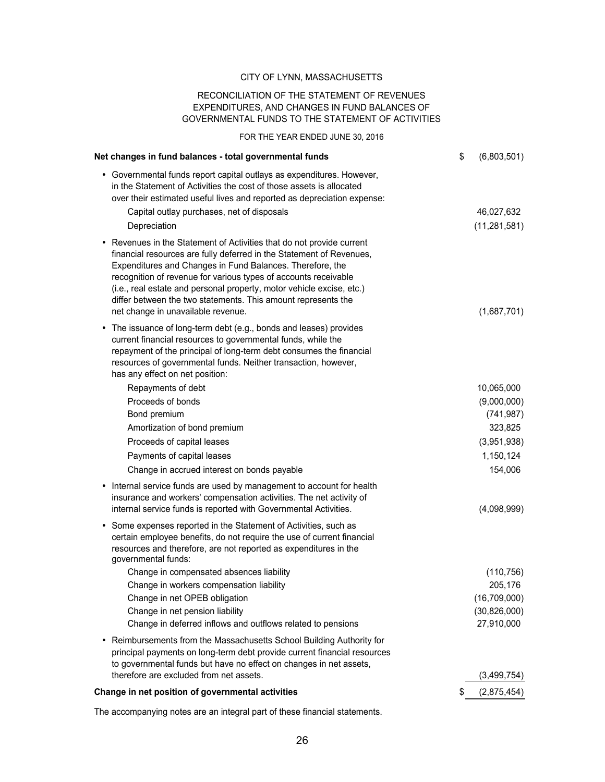#### RECONCILIATION OF THE STATEMENT OF REVENUES EXPENDITURES, AND CHANGES IN FUND BALANCES OF GOVERNMENTAL FUNDS TO THE STATEMENT OF ACTIVITIES

FOR THE YEAR ENDED JUNE 30, 2016

| Net changes in fund balances - total governmental funds                                                                                                                                                                                                                                                                                                                                                                                                       | \$<br>(6,803,501) |
|---------------------------------------------------------------------------------------------------------------------------------------------------------------------------------------------------------------------------------------------------------------------------------------------------------------------------------------------------------------------------------------------------------------------------------------------------------------|-------------------|
| • Governmental funds report capital outlays as expenditures. However,<br>in the Statement of Activities the cost of those assets is allocated<br>over their estimated useful lives and reported as depreciation expense:                                                                                                                                                                                                                                      |                   |
| Capital outlay purchases, net of disposals                                                                                                                                                                                                                                                                                                                                                                                                                    | 46,027,632        |
| Depreciation                                                                                                                                                                                                                                                                                                                                                                                                                                                  | (11, 281, 581)    |
| • Revenues in the Statement of Activities that do not provide current<br>financial resources are fully deferred in the Statement of Revenues,<br>Expenditures and Changes in Fund Balances. Therefore, the<br>recognition of revenue for various types of accounts receivable<br>(i.e., real estate and personal property, motor vehicle excise, etc.)<br>differ between the two statements. This amount represents the<br>net change in unavailable revenue. | (1,687,701)       |
| The issuance of long-term debt (e.g., bonds and leases) provides<br>٠<br>current financial resources to governmental funds, while the<br>repayment of the principal of long-term debt consumes the financial<br>resources of governmental funds. Neither transaction, however,<br>has any effect on net position:                                                                                                                                             |                   |
| Repayments of debt                                                                                                                                                                                                                                                                                                                                                                                                                                            | 10,065,000        |
| Proceeds of bonds                                                                                                                                                                                                                                                                                                                                                                                                                                             | (9,000,000)       |
| Bond premium                                                                                                                                                                                                                                                                                                                                                                                                                                                  | (741, 987)        |
| Amortization of bond premium                                                                                                                                                                                                                                                                                                                                                                                                                                  | 323,825           |
| Proceeds of capital leases                                                                                                                                                                                                                                                                                                                                                                                                                                    | (3,951,938)       |
| Payments of capital leases                                                                                                                                                                                                                                                                                                                                                                                                                                    | 1,150,124         |
| Change in accrued interest on bonds payable                                                                                                                                                                                                                                                                                                                                                                                                                   | 154,006           |
| Internal service funds are used by management to account for health<br>٠<br>insurance and workers' compensation activities. The net activity of<br>internal service funds is reported with Governmental Activities.                                                                                                                                                                                                                                           | (4,098,999)       |
| • Some expenses reported in the Statement of Activities, such as<br>certain employee benefits, do not require the use of current financial<br>resources and therefore, are not reported as expenditures in the<br>governmental funds:                                                                                                                                                                                                                         |                   |
| Change in compensated absences liability                                                                                                                                                                                                                                                                                                                                                                                                                      | (110, 756)        |
| Change in workers compensation liability                                                                                                                                                                                                                                                                                                                                                                                                                      | 205,176           |
| Change in net OPEB obligation                                                                                                                                                                                                                                                                                                                                                                                                                                 | (16, 709, 000)    |
| Change in net pension liability                                                                                                                                                                                                                                                                                                                                                                                                                               | (30, 826, 000)    |
| Change in deferred inflows and outflows related to pensions                                                                                                                                                                                                                                                                                                                                                                                                   | 27,910,000        |
| Reimbursements from the Massachusetts School Building Authority for<br>٠<br>principal payments on long-term debt provide current financial resources<br>to governmental funds but have no effect on changes in net assets,                                                                                                                                                                                                                                    |                   |
| therefore are excluded from net assets.                                                                                                                                                                                                                                                                                                                                                                                                                       | (3,499,754)       |
| Change in net position of governmental activities                                                                                                                                                                                                                                                                                                                                                                                                             | \$<br>(2,875,454) |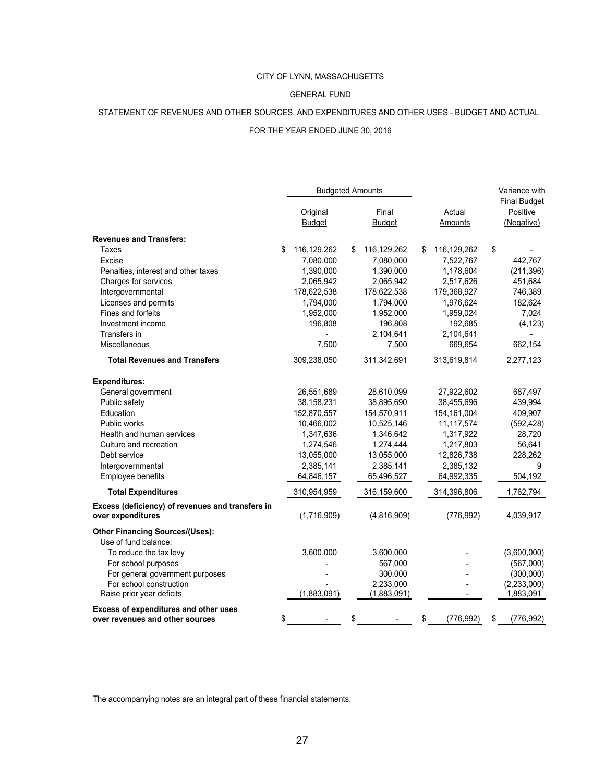#### GENERAL FUND

### STATEMENT OF REVENUES AND OTHER SOURCES, AND EXPENDITURES AND OTHER USES - BUDGET AND ACTUAL

#### FOR THE YEAR ENDED JUNE 30, 2016

|                                                                       | <b>Budgeted Amounts</b>   |    |                        | Variance with     |    |                                               |
|-----------------------------------------------------------------------|---------------------------|----|------------------------|-------------------|----|-----------------------------------------------|
|                                                                       | Original<br><b>Budget</b> |    | Final<br><b>Budget</b> | Actual<br>Amounts |    | <b>Final Budget</b><br>Positive<br>(Negative) |
| <b>Revenues and Transfers:</b>                                        |                           |    |                        |                   |    |                                               |
| Taxes                                                                 | \$<br>116,129,262         | \$ | 116,129,262            | \$<br>116,129,262 | \$ |                                               |
| Excise                                                                | 7,080,000                 |    | 7,080,000              | 7,522,767         |    | 442,767                                       |
| Penalties, interest and other taxes                                   | 1,390,000                 |    | 1,390,000              | 1,178,604         |    | (211, 396)                                    |
| Charges for services                                                  | 2,065,942                 |    | 2,065,942              | 2,517,626         |    | 451,684                                       |
| Intergovernmental                                                     | 178,622,538               |    | 178,622,538            | 179,368,927       |    | 746,389                                       |
| Licenses and permits                                                  | 1,794,000                 |    | 1,794,000              | 1,976,624         |    | 182,624                                       |
| Fines and forfeits                                                    | 1,952,000                 |    | 1,952,000              | 1,959,024         |    | 7,024                                         |
| Investment income                                                     | 196,808                   |    | 196,808                | 192,685           |    | (4, 123)                                      |
| Transfers in                                                          |                           |    | 2,104,641              | 2,104,641         |    |                                               |
| Miscellaneous                                                         | 7,500                     |    | 7,500                  | 669,654           |    | 662,154                                       |
| <b>Total Revenues and Transfers</b>                                   | 309,238,050               |    | 311,342,691            | 313,619,814       |    | 2,277,123                                     |
| <b>Expenditures:</b>                                                  |                           |    |                        |                   |    |                                               |
| General government                                                    | 26,551,689                |    | 28,610,099             | 27,922,602        |    | 687,497                                       |
| Public safety                                                         | 38,158,231                |    | 38,895,690             | 38,455,696        |    | 439,994                                       |
| Education                                                             | 152,870,557               |    | 154,570,911            | 154,161,004       |    | 409,907                                       |
| Public works                                                          | 10,466,002                |    | 10,525,146             | 11,117,574        |    | (592, 428)                                    |
| Health and human services                                             | 1,347,636                 |    | 1,346,642              | 1,317,922         |    | 28,720                                        |
| Culture and recreation                                                | 1,274,546                 |    | 1,274,444              | 1,217,803         |    | 56,641                                        |
| Debt service                                                          | 13,055,000                |    | 13,055,000             | 12,826,738        |    | 228,262                                       |
| Intergovernmental                                                     | 2,385,141                 |    | 2,385,141              | 2,385,132         |    | 9                                             |
| Employee benefits                                                     | 64,846,157                |    | 65,496,527             | 64,992,335        |    | 504,192                                       |
| <b>Total Expenditures</b>                                             | 310,954,959               |    | 316,159,600            | 314,396,806       |    | 1,762,794                                     |
| Excess (deficiency) of revenues and transfers in<br>over expenditures | (1,716,909)               |    | (4,816,909)            | (776, 992)        |    | 4,039,917                                     |
| <b>Other Financing Sources/(Uses):</b>                                |                           |    |                        |                   |    |                                               |
| Use of fund balance:                                                  |                           |    |                        |                   |    |                                               |
| To reduce the tax levy                                                | 3,600,000                 |    | 3,600,000              |                   |    | (3,600,000)                                   |
| For school purposes                                                   |                           |    | 567,000                |                   |    | (567,000)                                     |
| For general government purposes                                       |                           |    | 300,000                |                   |    | (300,000)                                     |
| For school construction                                               |                           |    | 2,233,000              |                   |    | (2,233,000)                                   |
| Raise prior year deficits                                             | (1,883,091)               |    | (1,883,091)            |                   |    | 1,883,091                                     |
| Excess of expenditures and other uses                                 |                           |    |                        |                   |    |                                               |
| over revenues and other sources                                       | \$                        | \$ |                        | \$<br>(776, 992)  | \$ | (776, 992)                                    |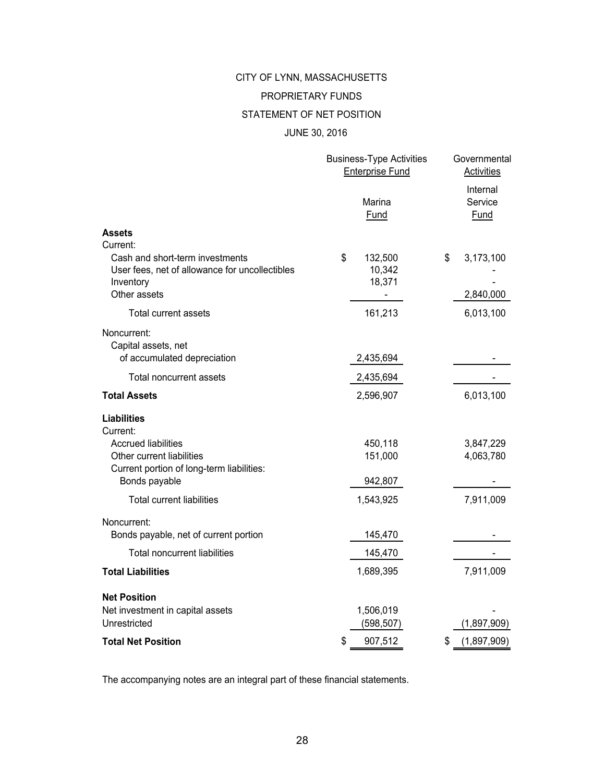# CITY OF LYNN, MASSACHUSETTS PROPRIETARY FUNDS

### STATEMENT OF NET POSITION

### JUNE 30, 2016

|                                                                        | <b>Business-Type Activities</b><br><b>Enterprise Fund</b> | Governmental<br><b>Activities</b> |
|------------------------------------------------------------------------|-----------------------------------------------------------|-----------------------------------|
|                                                                        | Marina<br>Fund                                            | Internal<br>Service<br>Fund       |
| <b>Assets</b>                                                          |                                                           |                                   |
| Current:                                                               |                                                           |                                   |
| Cash and short-term investments                                        | \$<br>132,500                                             | \$<br>3,173,100                   |
| User fees, net of allowance for uncollectibles<br>Inventory            | 10,342<br>18,371                                          |                                   |
| Other assets                                                           |                                                           | 2,840,000                         |
| <b>Total current assets</b>                                            | 161,213                                                   | 6,013,100                         |
| Noncurrent:                                                            |                                                           |                                   |
| Capital assets, net                                                    |                                                           |                                   |
| of accumulated depreciation                                            | 2,435,694                                                 |                                   |
| Total noncurrent assets                                                | 2,435,694                                                 |                                   |
| <b>Total Assets</b>                                                    | 2,596,907                                                 | 6,013,100                         |
| <b>Liabilities</b>                                                     |                                                           |                                   |
| Current:                                                               |                                                           |                                   |
| <b>Accrued liabilities</b>                                             | 450,118                                                   | 3,847,229                         |
| Other current liabilities<br>Current portion of long-term liabilities: | 151,000                                                   | 4,063,780                         |
| Bonds payable                                                          | 942,807                                                   |                                   |
| <b>Total current liabilities</b>                                       | 1,543,925                                                 | 7,911,009                         |
|                                                                        |                                                           |                                   |
| Noncurrent:                                                            |                                                           |                                   |
| Bonds payable, net of current portion                                  | 145,470                                                   |                                   |
| <b>Total noncurrent liabilities</b>                                    | 145,470                                                   |                                   |
| <b>Total Liabilities</b>                                               | 1,689,395                                                 | 7,911,009                         |
| <b>Net Position</b>                                                    |                                                           |                                   |
| Net investment in capital assets                                       | 1,506,019                                                 |                                   |
| Unrestricted                                                           | (598,507)                                                 | (1,897,909)                       |
| <b>Total Net Position</b>                                              | \$<br>907,512                                             | (1,897,909)<br>\$                 |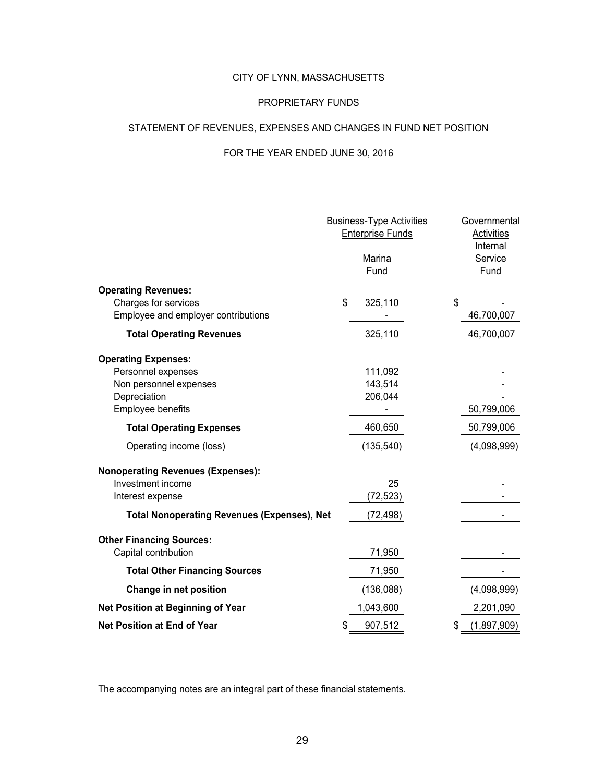### PROPRIETARY FUNDS

### STATEMENT OF REVENUES, EXPENSES AND CHANGES IN FUND NET POSITION

### FOR THE YEAR ENDED JUNE 30, 2016

|                                                                                                                                         | <b>Business-Type Activities</b><br><b>Enterprise Funds</b><br>Marina<br>Fund | Governmental<br><b>Activities</b><br>Internal<br>Service<br><b>Fund</b> |
|-----------------------------------------------------------------------------------------------------------------------------------------|------------------------------------------------------------------------------|-------------------------------------------------------------------------|
| <b>Operating Revenues:</b><br>Charges for services<br>Employee and employer contributions                                               | \$<br>325,110                                                                | \$<br>46,700,007                                                        |
| <b>Total Operating Revenues</b>                                                                                                         | 325,110                                                                      | 46,700,007                                                              |
| <b>Operating Expenses:</b><br>Personnel expenses<br>Non personnel expenses<br>Depreciation<br>Employee benefits                         | 111,092<br>143,514<br>206,044                                                | 50,799,006                                                              |
| <b>Total Operating Expenses</b>                                                                                                         | 460,650                                                                      | 50,799,006                                                              |
| Operating income (loss)                                                                                                                 | (135, 540)                                                                   | (4,098,999)                                                             |
| <b>Nonoperating Revenues (Expenses):</b><br>Investment income<br>Interest expense<br><b>Total Nonoperating Revenues (Expenses), Net</b> | 25<br>(72, 523)<br>(72,498)                                                  |                                                                         |
| <b>Other Financing Sources:</b><br>Capital contribution                                                                                 | 71,950                                                                       |                                                                         |
| <b>Total Other Financing Sources</b>                                                                                                    | 71,950                                                                       |                                                                         |
| Change in net position                                                                                                                  | (136,088)                                                                    | (4,098,999)                                                             |
| Net Position at Beginning of Year                                                                                                       | 1,043,600                                                                    | 2,201,090                                                               |
| <b>Net Position at End of Year</b>                                                                                                      | \$<br>907,512                                                                | \$<br>(1,897,909)                                                       |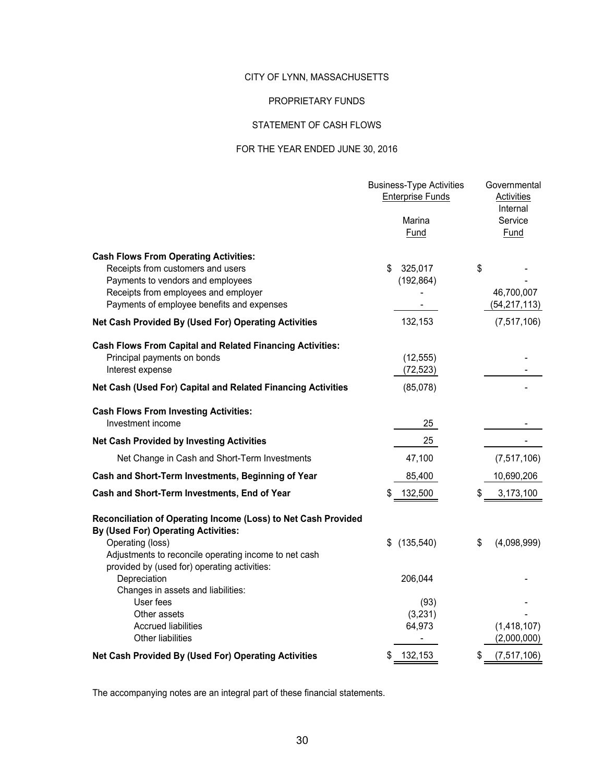### PROPRIETARY FUNDS

### STATEMENT OF CASH FLOWS

### FOR THE YEAR ENDED JUNE 30, 2016

|                                                                                                              | <b>Business-Type Activities</b><br><b>Enterprise Funds</b><br>Marina<br>Fund | Governmental<br>Activities<br>Internal<br>Service<br>Fund |
|--------------------------------------------------------------------------------------------------------------|------------------------------------------------------------------------------|-----------------------------------------------------------|
| <b>Cash Flows From Operating Activities:</b>                                                                 |                                                                              |                                                           |
| Receipts from customers and users                                                                            | \$<br>325,017                                                                | \$                                                        |
| Payments to vendors and employees                                                                            | (192, 864)                                                                   |                                                           |
| Receipts from employees and employer<br>Payments of employee benefits and expenses                           | ٠                                                                            | 46,700,007<br>(54, 217, 113)                              |
| Net Cash Provided By (Used For) Operating Activities                                                         | 132,153                                                                      | (7, 517, 106)                                             |
| <b>Cash Flows From Capital and Related Financing Activities:</b>                                             |                                                                              |                                                           |
| Principal payments on bonds                                                                                  | (12, 555)                                                                    |                                                           |
| Interest expense                                                                                             | (72, 523)                                                                    |                                                           |
| Net Cash (Used For) Capital and Related Financing Activities                                                 | (85,078)                                                                     |                                                           |
| <b>Cash Flows From Investing Activities:</b>                                                                 |                                                                              |                                                           |
| Investment income                                                                                            | 25                                                                           |                                                           |
| <b>Net Cash Provided by Investing Activities</b>                                                             | 25                                                                           |                                                           |
| Net Change in Cash and Short-Term Investments                                                                | 47,100                                                                       | (7, 517, 106)                                             |
| Cash and Short-Term Investments, Beginning of Year                                                           | 85,400                                                                       | 10,690,206                                                |
| Cash and Short-Term Investments, End of Year                                                                 | 132,500                                                                      | \$<br>3,173,100                                           |
| Reconciliation of Operating Income (Loss) to Net Cash Provided<br><b>By (Used For) Operating Activities:</b> |                                                                              |                                                           |
| Operating (loss)                                                                                             | (135, 540)<br>\$                                                             | \$<br>(4,098,999)                                         |
| Adjustments to reconcile operating income to net cash<br>provided by (used for) operating activities:        |                                                                              |                                                           |
| Depreciation                                                                                                 | 206,044                                                                      |                                                           |
| Changes in assets and liabilities:                                                                           |                                                                              |                                                           |
| User fees                                                                                                    | (93)                                                                         |                                                           |
| Other assets<br><b>Accrued liabilities</b>                                                                   | (3,231)<br>64,973                                                            | (1,418,107)                                               |
| <b>Other liabilities</b>                                                                                     |                                                                              | (2,000,000)                                               |
| Net Cash Provided By (Used For) Operating Activities                                                         | 132,153<br>\$                                                                | \$<br>(7, 517, 106)                                       |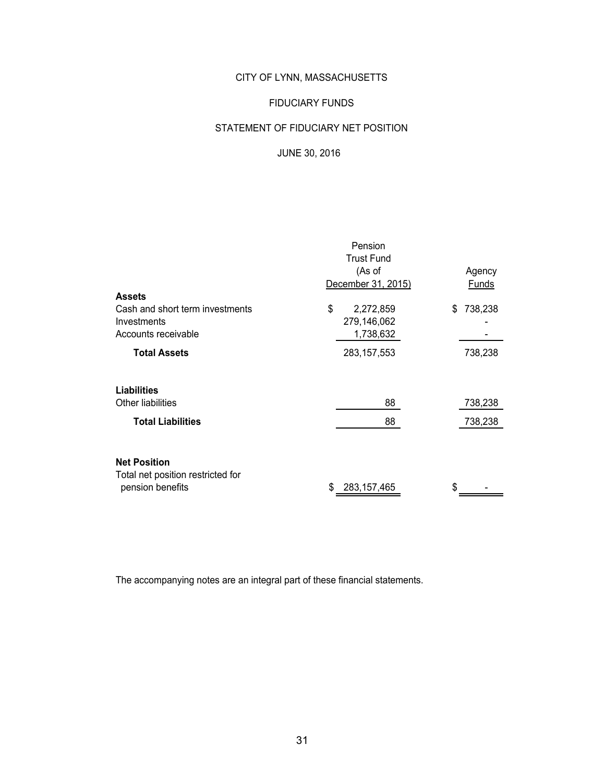### FIDUCIARY FUNDS

# STATEMENT OF FIDUCIARY NET POSITION

### JUNE 30, 2016

|                                   | Pension              |               |  |  |
|-----------------------------------|----------------------|---------------|--|--|
|                                   | <b>Trust Fund</b>    |               |  |  |
|                                   | (As of               | Agency        |  |  |
|                                   | December 31, 2015)   | <b>Funds</b>  |  |  |
| <b>Assets</b>                     |                      |               |  |  |
| Cash and short term investments   | \$<br>2,272,859      | 738,238<br>\$ |  |  |
| Investments                       | 279,146,062          |               |  |  |
| Accounts receivable               | 1,738,632            |               |  |  |
| <b>Total Assets</b>               | 283, 157, 553        | 738,238       |  |  |
|                                   |                      |               |  |  |
| <b>Liabilities</b>                |                      |               |  |  |
| Other liabilities                 | 88                   | 738,238       |  |  |
| <b>Total Liabilities</b>          | 88                   | 738,238       |  |  |
|                                   |                      |               |  |  |
| <b>Net Position</b>               |                      |               |  |  |
| Total net position restricted for |                      |               |  |  |
| pension benefits                  | \$.<br>283, 157, 465 | \$.           |  |  |
|                                   |                      |               |  |  |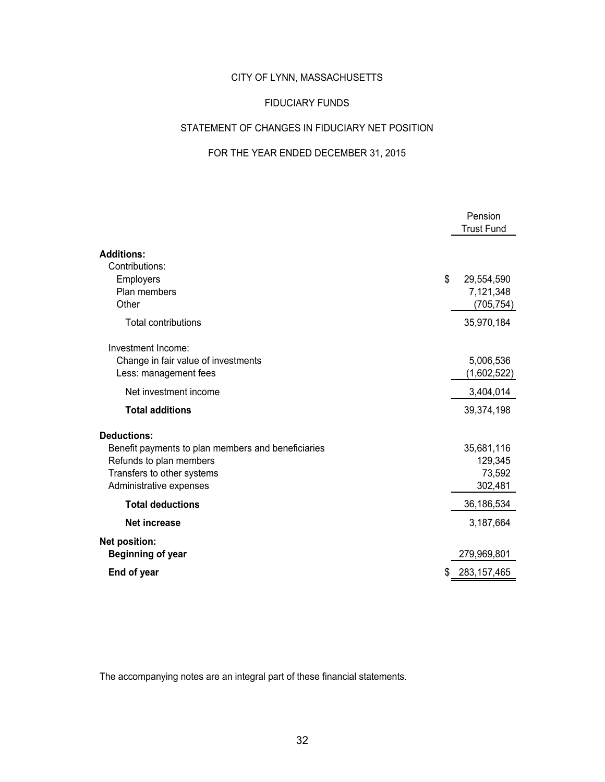### FIDUCIARY FUNDS

## STATEMENT OF CHANGES IN FIDUCIARY NET POSITION

### FOR THE YEAR ENDED DECEMBER 31, 2015

|                                                                                                                                                              | Pension<br><b>Trust Fund</b>                |
|--------------------------------------------------------------------------------------------------------------------------------------------------------------|---------------------------------------------|
| <b>Additions:</b>                                                                                                                                            |                                             |
| Contributions:<br>Employers<br>Plan members<br>Other                                                                                                         | \$<br>29,554,590<br>7,121,348<br>(705, 754) |
| <b>Total contributions</b>                                                                                                                                   | 35,970,184                                  |
| Investment Income:<br>Change in fair value of investments<br>Less: management fees                                                                           | 5,006,536<br>(1,602,522)                    |
| Net investment income                                                                                                                                        | 3,404,014                                   |
| <b>Total additions</b>                                                                                                                                       | 39,374,198                                  |
| <b>Deductions:</b><br>Benefit payments to plan members and beneficiaries<br>Refunds to plan members<br>Transfers to other systems<br>Administrative expenses | 35,681,116<br>129,345<br>73,592<br>302,481  |
| <b>Total deductions</b>                                                                                                                                      | 36,186,534                                  |
| <b>Net increase</b>                                                                                                                                          | 3,187,664                                   |
| <b>Net position:</b><br><b>Beginning of year</b>                                                                                                             | 279,969,801                                 |
| End of year                                                                                                                                                  | \$<br>283,157,465                           |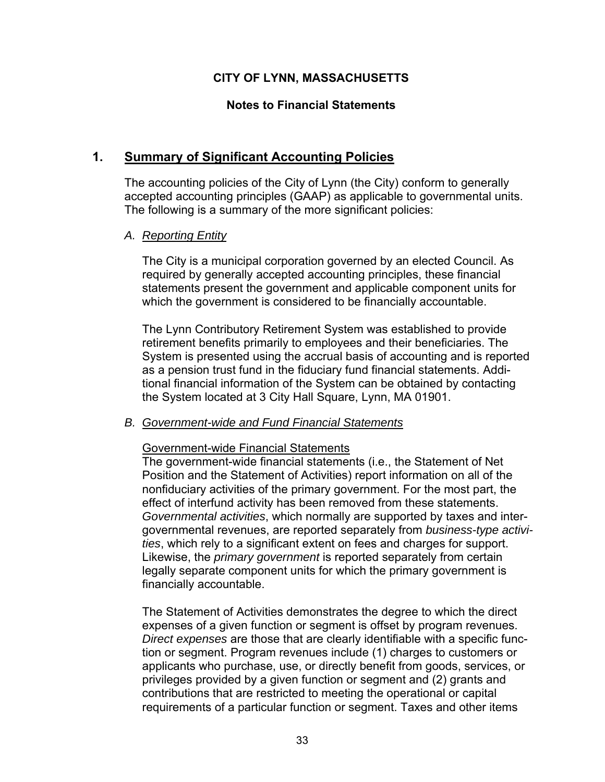# **Notes to Financial Statements**

# **1. Summary of Significant Accounting Policies**

The accounting policies of the City of Lynn (the City) conform to generally accepted accounting principles (GAAP) as applicable to governmental units. The following is a summary of the more significant policies:

## *A. Reporting Entity*

The City is a municipal corporation governed by an elected Council. As required by generally accepted accounting principles, these financial statements present the government and applicable component units for which the government is considered to be financially accountable.

The Lynn Contributory Retirement System was established to provide retirement benefits primarily to employees and their beneficiaries. The System is presented using the accrual basis of accounting and is reported as a pension trust fund in the fiduciary fund financial statements. Additional financial information of the System can be obtained by contacting the System located at 3 City Hall Square, Lynn, MA 01901.

### *B. Government-wide and Fund Financial Statements*

### Government-wide Financial Statements

The government-wide financial statements (i.e., the Statement of Net Position and the Statement of Activities) report information on all of the nonfiduciary activities of the primary government. For the most part, the effect of interfund activity has been removed from these statements. *Governmental activities*, which normally are supported by taxes and intergovernmental revenues, are reported separately from *business-type activities*, which rely to a significant extent on fees and charges for support. Likewise, the *primary government* is reported separately from certain legally separate component units for which the primary government is financially accountable.

The Statement of Activities demonstrates the degree to which the direct expenses of a given function or segment is offset by program revenues. *Direct expenses* are those that are clearly identifiable with a specific function or segment. Program revenues include (1) charges to customers or applicants who purchase, use, or directly benefit from goods, services, or privileges provided by a given function or segment and (2) grants and contributions that are restricted to meeting the operational or capital requirements of a particular function or segment. Taxes and other items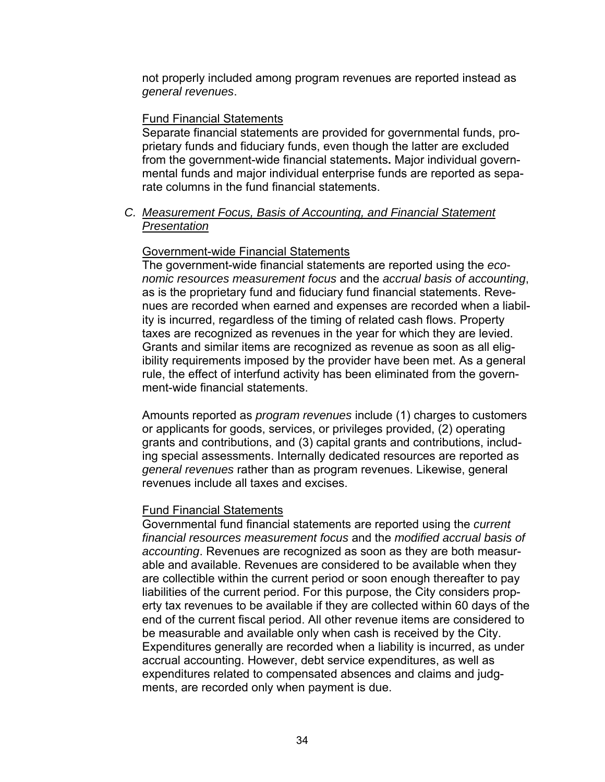not properly included among program revenues are reported instead as *general revenues*.

### Fund Financial Statements

Separate financial statements are provided for governmental funds, proprietary funds and fiduciary funds, even though the latter are excluded from the government-wide financial statements**.** Major individual governmental funds and major individual enterprise funds are reported as separate columns in the fund financial statements.

### *C. Measurement Focus, Basis of Accounting, and Financial Statement Presentation*

### Government-wide Financial Statements

The government-wide financial statements are reported using the *economic resources measurement focus* and the *accrual basis of accounting*, as is the proprietary fund and fiduciary fund financial statements. Revenues are recorded when earned and expenses are recorded when a liability is incurred, regardless of the timing of related cash flows. Property taxes are recognized as revenues in the year for which they are levied. Grants and similar items are recognized as revenue as soon as all eligibility requirements imposed by the provider have been met. As a general rule, the effect of interfund activity has been eliminated from the government-wide financial statements.

Amounts reported as *program revenues* include (1) charges to customers or applicants for goods, services, or privileges provided, (2) operating grants and contributions, and (3) capital grants and contributions, including special assessments. Internally dedicated resources are reported as *general revenues* rather than as program revenues. Likewise, general revenues include all taxes and excises.

#### Fund Financial Statements

Governmental fund financial statements are reported using the *current financial resources measurement focus* and the *modified accrual basis of accounting*. Revenues are recognized as soon as they are both measurable and available. Revenues are considered to be available when they are collectible within the current period or soon enough thereafter to pay liabilities of the current period. For this purpose, the City considers property tax revenues to be available if they are collected within 60 days of the end of the current fiscal period. All other revenue items are considered to be measurable and available only when cash is received by the City. Expenditures generally are recorded when a liability is incurred, as under accrual accounting. However, debt service expenditures, as well as expenditures related to compensated absences and claims and judgments, are recorded only when payment is due.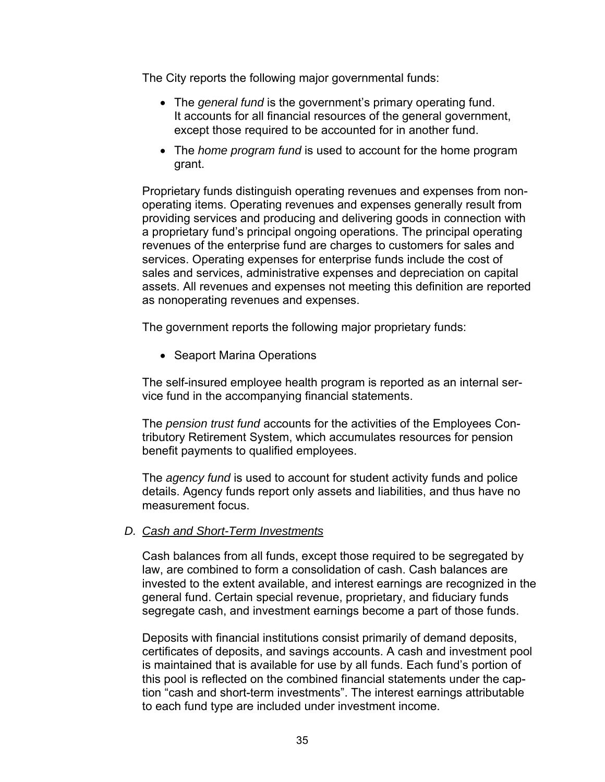The City reports the following major governmental funds:

- The *general fund* is the government's primary operating fund. It accounts for all financial resources of the general government, except those required to be accounted for in another fund.
- The *home program fund* is used to account for the home program grant.

Proprietary funds distinguish operating revenues and expenses from nonoperating items. Operating revenues and expenses generally result from providing services and producing and delivering goods in connection with a proprietary fund's principal ongoing operations. The principal operating revenues of the enterprise fund are charges to customers for sales and services. Operating expenses for enterprise funds include the cost of sales and services, administrative expenses and depreciation on capital assets. All revenues and expenses not meeting this definition are reported as nonoperating revenues and expenses.

The government reports the following major proprietary funds:

• Seaport Marina Operations

The self-insured employee health program is reported as an internal service fund in the accompanying financial statements.

The *pension trust fund* accounts for the activities of the Employees Contributory Retirement System, which accumulates resources for pension benefit payments to qualified employees.

The *agency fund* is used to account for student activity funds and police details. Agency funds report only assets and liabilities, and thus have no measurement focus.

### *D. Cash and Short-Term Investments*

Cash balances from all funds, except those required to be segregated by law, are combined to form a consolidation of cash. Cash balances are invested to the extent available, and interest earnings are recognized in the general fund. Certain special revenue, proprietary, and fiduciary funds segregate cash, and investment earnings become a part of those funds.

Deposits with financial institutions consist primarily of demand deposits, certificates of deposits, and savings accounts. A cash and investment pool is maintained that is available for use by all funds. Each fund's portion of this pool is reflected on the combined financial statements under the caption "cash and short-term investments". The interest earnings attributable to each fund type are included under investment income.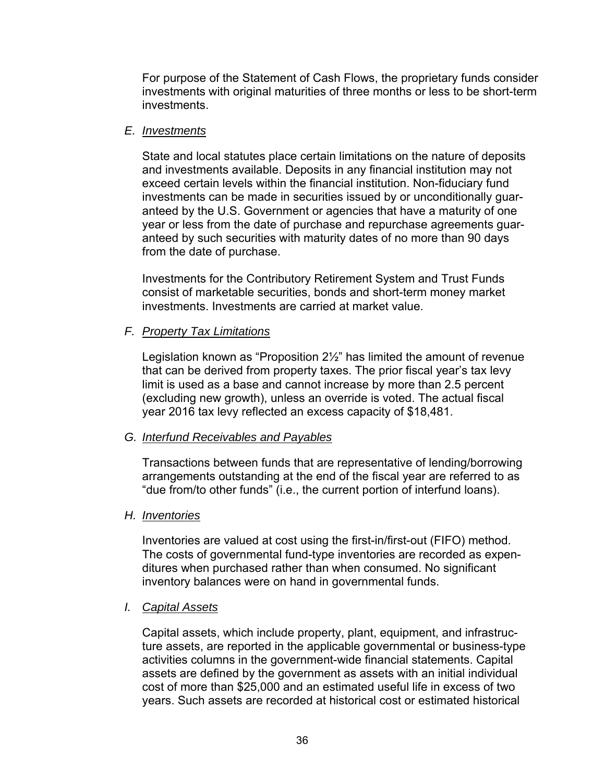For purpose of the Statement of Cash Flows, the proprietary funds consider investments with original maturities of three months or less to be short-term investments.

### *E. Investments*

State and local statutes place certain limitations on the nature of deposits and investments available. Deposits in any financial institution may not exceed certain levels within the financial institution. Non-fiduciary fund investments can be made in securities issued by or unconditionally guaranteed by the U.S. Government or agencies that have a maturity of one year or less from the date of purchase and repurchase agreements guaranteed by such securities with maturity dates of no more than 90 days from the date of purchase.

Investments for the Contributory Retirement System and Trust Funds consist of marketable securities, bonds and short-term money market investments. Investments are carried at market value.

### *F. Property Tax Limitations*

Legislation known as "Proposition 2½" has limited the amount of revenue that can be derived from property taxes. The prior fiscal year's tax levy limit is used as a base and cannot increase by more than 2.5 percent (excluding new growth), unless an override is voted. The actual fiscal year 2016 tax levy reflected an excess capacity of \$18,481.

### *G. Interfund Receivables and Payables*

Transactions between funds that are representative of lending/borrowing arrangements outstanding at the end of the fiscal year are referred to as "due from/to other funds" (i.e., the current portion of interfund loans).

### *H. Inventories*

Inventories are valued at cost using the first-in/first-out (FIFO) method. The costs of governmental fund-type inventories are recorded as expenditures when purchased rather than when consumed. No significant inventory balances were on hand in governmental funds.

### *I. Capital Assets*

Capital assets, which include property, plant, equipment, and infrastructure assets, are reported in the applicable governmental or business-type activities columns in the government-wide financial statements. Capital assets are defined by the government as assets with an initial individual cost of more than \$25,000 and an estimated useful life in excess of two years. Such assets are recorded at historical cost or estimated historical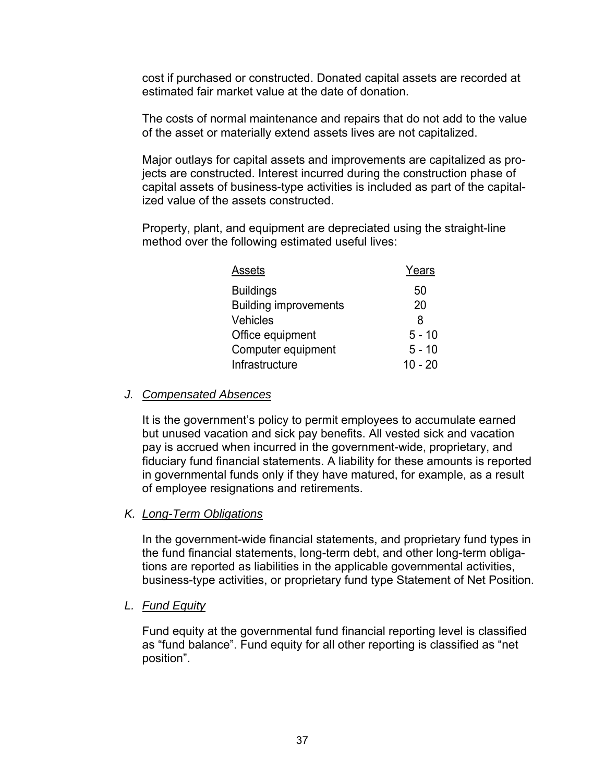cost if purchased or constructed. Donated capital assets are recorded at estimated fair market value at the date of donation.

The costs of normal maintenance and repairs that do not add to the value of the asset or materially extend assets lives are not capitalized.

Major outlays for capital assets and improvements are capitalized as projects are constructed. Interest incurred during the construction phase of capital assets of business-type activities is included as part of the capitalized value of the assets constructed.

Property, plant, and equipment are depreciated using the straight-line method over the following estimated useful lives:

| Years     |
|-----------|
| 50        |
| 20        |
| 8         |
| $5 - 10$  |
| $5 - 10$  |
| $10 - 20$ |
|           |

### *J. Compensated Absences*

It is the government's policy to permit employees to accumulate earned but unused vacation and sick pay benefits. All vested sick and vacation pay is accrued when incurred in the government-wide, proprietary, and fiduciary fund financial statements. A liability for these amounts is reported in governmental funds only if they have matured, for example, as a result of employee resignations and retirements.

### *K. Long-Term Obligations*

In the government-wide financial statements, and proprietary fund types in the fund financial statements, long-term debt, and other long-term obligations are reported as liabilities in the applicable governmental activities, business-type activities, or proprietary fund type Statement of Net Position.

### *L. Fund Equity*

Fund equity at the governmental fund financial reporting level is classified as "fund balance". Fund equity for all other reporting is classified as "net position".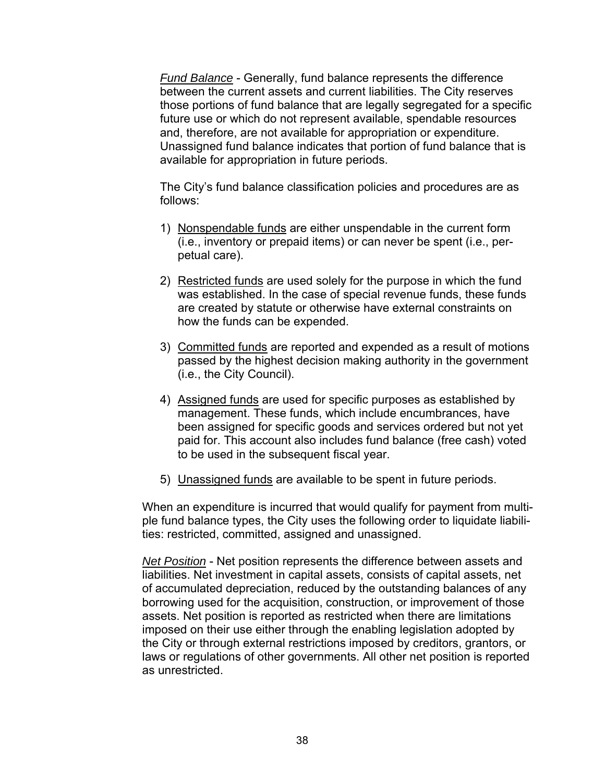*Fund Balance* - Generally, fund balance represents the difference between the current assets and current liabilities. The City reserves those portions of fund balance that are legally segregated for a specific future use or which do not represent available, spendable resources and, therefore, are not available for appropriation or expenditure. Unassigned fund balance indicates that portion of fund balance that is available for appropriation in future periods.

The City's fund balance classification policies and procedures are as follows:

- 1) Nonspendable funds are either unspendable in the current form (i.e., inventory or prepaid items) or can never be spent (i.e., perpetual care).
- 2) Restricted funds are used solely for the purpose in which the fund was established. In the case of special revenue funds, these funds are created by statute or otherwise have external constraints on how the funds can be expended.
- 3) Committed funds are reported and expended as a result of motions passed by the highest decision making authority in the government (i.e., the City Council).
- 4) Assigned funds are used for specific purposes as established by management. These funds, which include encumbrances, have been assigned for specific goods and services ordered but not yet paid for. This account also includes fund balance (free cash) voted to be used in the subsequent fiscal year.
- 5) Unassigned funds are available to be spent in future periods.

When an expenditure is incurred that would qualify for payment from multiple fund balance types, the City uses the following order to liquidate liabilities: restricted, committed, assigned and unassigned.

*Net Position* - Net position represents the difference between assets and liabilities. Net investment in capital assets, consists of capital assets, net of accumulated depreciation, reduced by the outstanding balances of any borrowing used for the acquisition, construction, or improvement of those assets. Net position is reported as restricted when there are limitations imposed on their use either through the enabling legislation adopted by the City or through external restrictions imposed by creditors, grantors, or laws or regulations of other governments. All other net position is reported as unrestricted.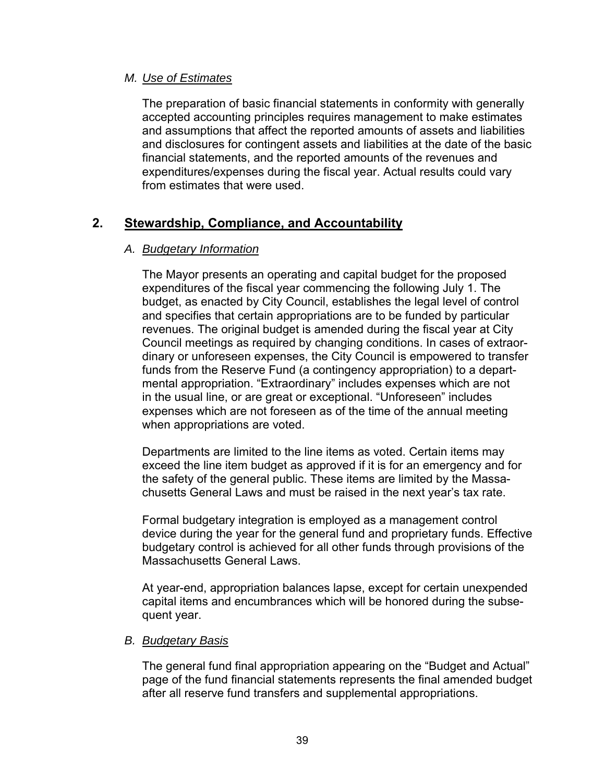### *M. Use of Estimates*

The preparation of basic financial statements in conformity with generally accepted accounting principles requires management to make estimates and assumptions that affect the reported amounts of assets and liabilities and disclosures for contingent assets and liabilities at the date of the basic financial statements, and the reported amounts of the revenues and expenditures/expenses during the fiscal year. Actual results could vary from estimates that were used.

# **2. Stewardship, Compliance, and Accountability**

### *A. Budgetary Information*

The Mayor presents an operating and capital budget for the proposed expenditures of the fiscal year commencing the following July 1. The budget, as enacted by City Council, establishes the legal level of control and specifies that certain appropriations are to be funded by particular revenues. The original budget is amended during the fiscal year at City Council meetings as required by changing conditions. In cases of extraordinary or unforeseen expenses, the City Council is empowered to transfer funds from the Reserve Fund (a contingency appropriation) to a departmental appropriation. "Extraordinary" includes expenses which are not in the usual line, or are great or exceptional. "Unforeseen" includes expenses which are not foreseen as of the time of the annual meeting when appropriations are voted.

Departments are limited to the line items as voted. Certain items may exceed the line item budget as approved if it is for an emergency and for the safety of the general public. These items are limited by the Massachusetts General Laws and must be raised in the next year's tax rate.

Formal budgetary integration is employed as a management control device during the year for the general fund and proprietary funds. Effective budgetary control is achieved for all other funds through provisions of the Massachusetts General Laws.

At year-end, appropriation balances lapse, except for certain unexpended capital items and encumbrances which will be honored during the subsequent year.

### *B. Budgetary Basis*

The general fund final appropriation appearing on the "Budget and Actual" page of the fund financial statements represents the final amended budget after all reserve fund transfers and supplemental appropriations.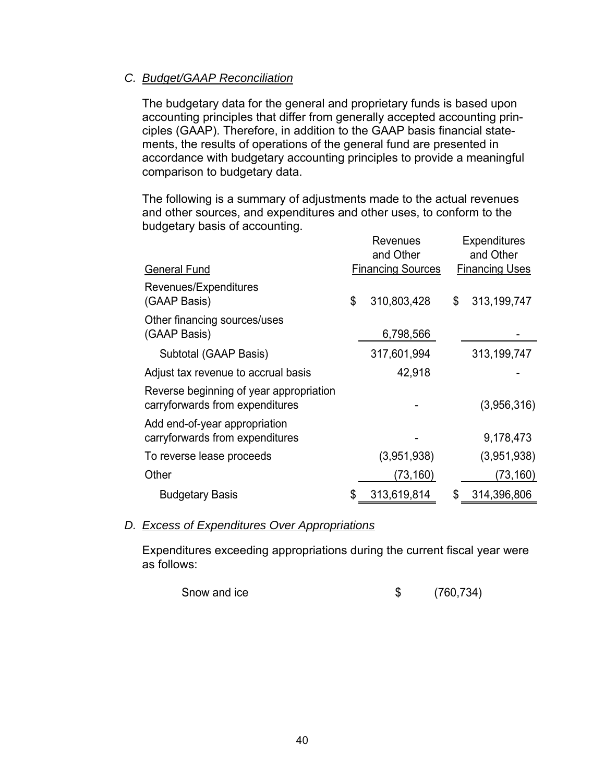### *C. Budget/GAAP Reconciliation*

The budgetary data for the general and proprietary funds is based upon accounting principles that differ from generally accepted accounting principles (GAAP). Therefore, in addition to the GAAP basis financial statements, the results of operations of the general fund are presented in accordance with budgetary accounting principles to provide a meaningful comparison to budgetary data.

The following is a summary of adjustments made to the actual revenues and other sources, and expenditures and other uses, to conform to the budgetary basis of accounting.

|                                                                            | Revenues<br>and Other |                          |    | Expenditures<br>and Other |
|----------------------------------------------------------------------------|-----------------------|--------------------------|----|---------------------------|
| <b>General Fund</b>                                                        |                       | <b>Financing Sources</b> |    | <b>Financing Uses</b>     |
| Revenues/Expenditures<br>(GAAP Basis)                                      | \$                    | 310,803,428              | \$ | 313,199,747               |
| Other financing sources/uses<br>(GAAP Basis)                               |                       | 6,798,566                |    |                           |
| Subtotal (GAAP Basis)                                                      |                       | 317,601,994              |    | 313,199,747               |
| Adjust tax revenue to accrual basis                                        |                       | 42,918                   |    |                           |
| Reverse beginning of year appropriation<br>carryforwards from expenditures |                       |                          |    | (3,956,316)               |
| Add end-of-year appropriation<br>carryforwards from expenditures           |                       |                          |    | 9,178,473                 |
| To reverse lease proceeds                                                  |                       | (3,951,938)              |    | (3,951,938)               |
| Other                                                                      |                       | (73, 160)                |    | (73, 160)                 |
| <b>Budgetary Basis</b>                                                     | \$                    | 313,619,814              | \$ | 314,396,806               |

### *D. Excess of Expenditures Over Appropriations*

Expenditures exceeding appropriations during the current fiscal year were as follows:

Snow and ice \$ (760,734)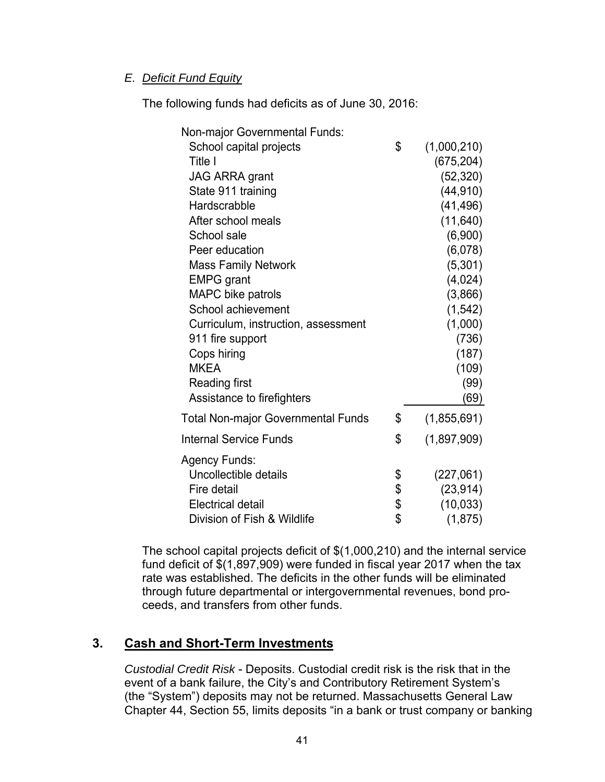### *E. Deficit Fund Equity*

The following funds had deficits as of June 30, 2016:

| <b>Non-major Governmental Funds:</b>      |                   |
|-------------------------------------------|-------------------|
| School capital projects                   | \$<br>(1,000,210) |
| Title I                                   | (675, 204)        |
| <b>JAG ARRA grant</b>                     | (52, 320)         |
| State 911 training                        | (44, 910)         |
| Hardscrabble                              | (41, 496)         |
| After school meals                        | (11, 640)         |
| School sale                               | (6,900)           |
| Peer education                            | (6,078)           |
| <b>Mass Family Network</b>                | (5,301)           |
| <b>EMPG</b> grant                         | (4,024)           |
| <b>MAPC</b> bike patrols                  | (3,866)           |
| School achievement                        | (1, 542)          |
| Curriculum, instruction, assessment       | (1,000)           |
| 911 fire support                          | (736)             |
| Cops hiring                               | (187)             |
| <b>MKEA</b>                               | (109)             |
| <b>Reading first</b>                      | (99)              |
| Assistance to firefighters                | (69)              |
| <b>Total Non-major Governmental Funds</b> | \$<br>(1,855,691) |
| <b>Internal Service Funds</b>             | \$<br>(1,897,909) |
| <b>Agency Funds:</b>                      |                   |
| Uncollectible details                     | \$<br>(227,061)   |
| Fire detail                               | \$<br>(23, 914)   |
| Electrical detail                         | \$<br>(10, 033)   |
| Division of Fish & Wildlife               | \$<br>(1, 875)    |

The school capital projects deficit of \$(1,000,210) and the internal service fund deficit of \$(1,897,909) were funded in fiscal year 2017 when the tax rate was established. The deficits in the other funds will be eliminated through future departmental or intergovernmental revenues, bond proceeds, and transfers from other funds.

# **3. Cash and Short-Term Investments**

*Custodial Credit Risk* - Deposits. Custodial credit risk is the risk that in the event of a bank failure, the City's and Contributory Retirement System's (the "System") deposits may not be returned. Massachusetts General Law Chapter 44, Section 55, limits deposits "in a bank or trust company or banking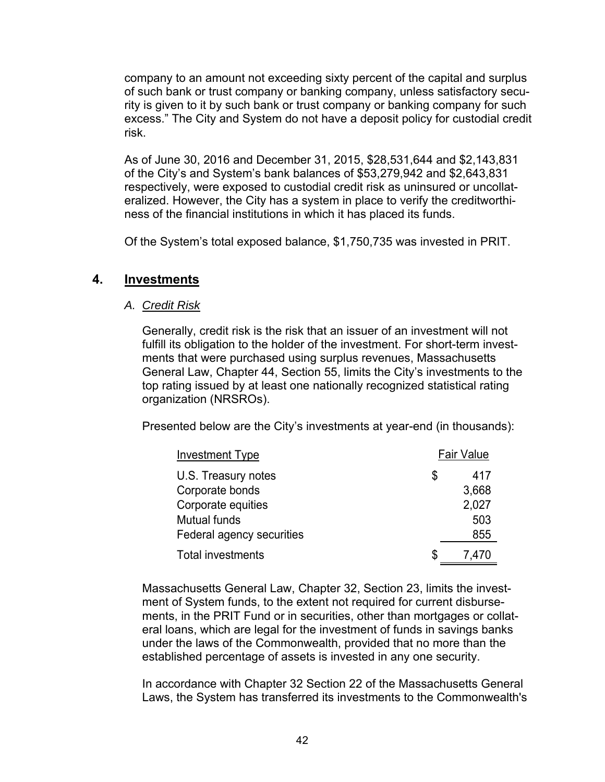company to an amount not exceeding sixty percent of the capital and surplus of such bank or trust company or banking company, unless satisfactory security is given to it by such bank or trust company or banking company for such excess." The City and System do not have a deposit policy for custodial credit risk.

As of June 30, 2016 and December 31, 2015, \$28,531,644 and \$2,143,831 of the City's and System's bank balances of \$53,279,942 and \$2,643,831 respectively, were exposed to custodial credit risk as uninsured or uncollateralized. However, the City has a system in place to verify the creditworthiness of the financial institutions in which it has placed its funds.

Of the System's total exposed balance, \$1,750,735 was invested in PRIT.

# **4. Investments**

### *A. Credit Risk*

Generally, credit risk is the risk that an issuer of an investment will not fulfill its obligation to the holder of the investment. For short-term investments that were purchased using surplus revenues, Massachusetts General Law, Chapter 44, Section 55, limits the City's investments to the top rating issued by at least one nationally recognized statistical rating organization (NRSROs).

Presented below are the City's investments at year-end (in thousands):

| <b>Investment Type</b>    | <b>Fair Value</b> |       |  |
|---------------------------|-------------------|-------|--|
| U.S. Treasury notes       | \$                | 417   |  |
| Corporate bonds           |                   | 3,668 |  |
| Corporate equities        |                   | 2,027 |  |
| <b>Mutual funds</b>       |                   | 503   |  |
| Federal agency securities |                   | 855   |  |
| <b>Total investments</b>  | \$                | 7,470 |  |

Massachusetts General Law, Chapter 32, Section 23, limits the investment of System funds, to the extent not required for current disbursements, in the PRIT Fund or in securities, other than mortgages or collateral loans, which are legal for the investment of funds in savings banks under the laws of the Commonwealth, provided that no more than the established percentage of assets is invested in any one security.

In accordance with Chapter 32 Section 22 of the Massachusetts General Laws, the System has transferred its investments to the Commonwealth's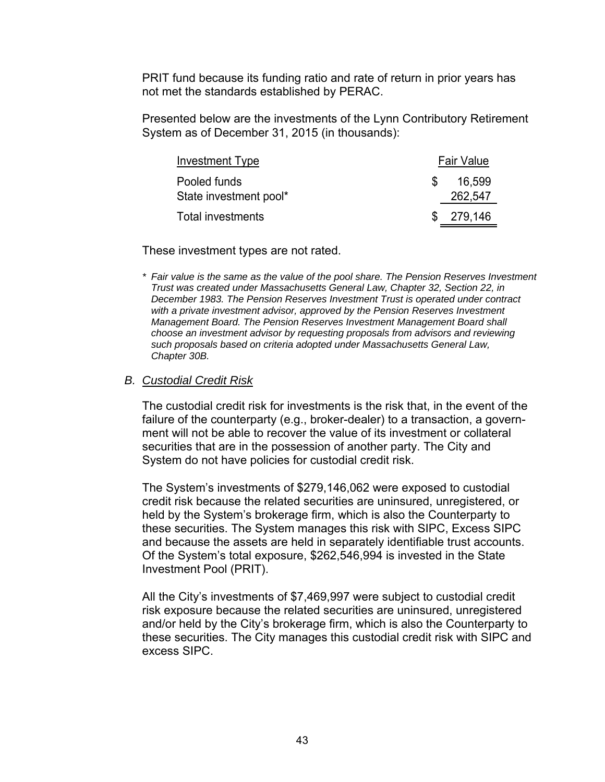PRIT fund because its funding ratio and rate of return in prior years has not met the standards established by PERAC.

Presented below are the investments of the Lynn Contributory Retirement System as of December 31, 2015 (in thousands):

| Investment Type                        |     | <b>Fair Value</b> |
|----------------------------------------|-----|-------------------|
| Pooled funds<br>State investment pool* | \$. | 16,599<br>262,547 |
| Total investments                      |     | \$279.146         |

These investment types are not rated.

*\* Fair value is the same as the value of the pool share. The Pension Reserves Investment Trust was created under Massachusetts General Law, Chapter 32, Section 22, in December 1983. The Pension Reserves Investment Trust is operated under contract with a private investment advisor, approved by the Pension Reserves Investment Management Board. The Pension Reserves Investment Management Board shall choose an investment advisor by requesting proposals from advisors and reviewing such proposals based on criteria adopted under Massachusetts General Law, Chapter 30B.* 

#### *B. Custodial Credit Risk*

The custodial credit risk for investments is the risk that, in the event of the failure of the counterparty (e.g., broker-dealer) to a transaction, a government will not be able to recover the value of its investment or collateral securities that are in the possession of another party. The City and System do not have policies for custodial credit risk.

The System's investments of \$279,146,062 were exposed to custodial credit risk because the related securities are uninsured, unregistered, or held by the System's brokerage firm, which is also the Counterparty to these securities. The System manages this risk with SIPC, Excess SIPC and because the assets are held in separately identifiable trust accounts. Of the System's total exposure, \$262,546,994 is invested in the State Investment Pool (PRIT).

All the City's investments of \$7,469,997 were subject to custodial credit risk exposure because the related securities are uninsured, unregistered and/or held by the City's brokerage firm, which is also the Counterparty to these securities. The City manages this custodial credit risk with SIPC and excess SIPC.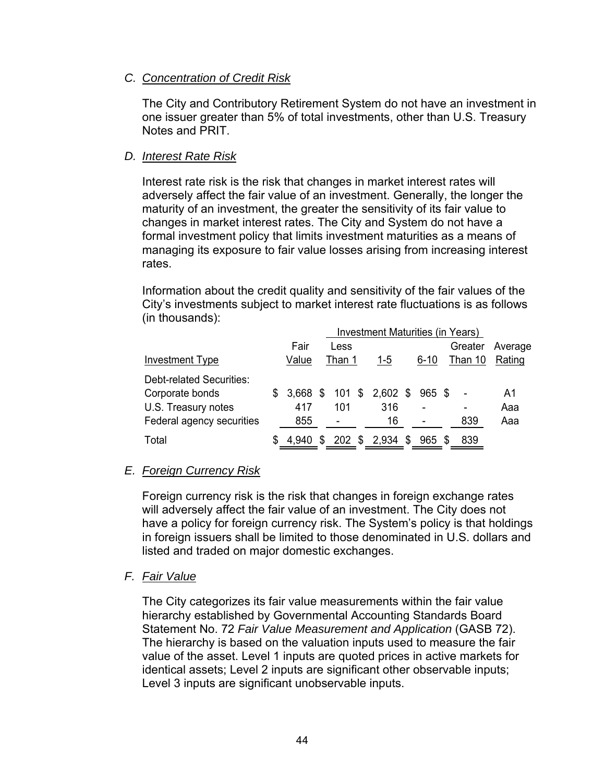### *C. Concentration of Credit Risk*

The City and Contributory Retirement System do not have an investment in one issuer greater than 5% of total investments, other than U.S. Treasury Notes and PRIT.

### *D. Interest Rate Risk*

Interest rate risk is the risk that changes in market interest rates will adversely affect the fair value of an investment. Generally, the longer the maturity of an investment, the greater the sensitivity of its fair value to changes in market interest rates. The City and System do not have a formal investment policy that limits investment maturities as a means of managing its exposure to fair value losses arising from increasing interest rates.

Information about the credit quality and sensitivity of the fair values of the City's investments subject to market interest rate fluctuations is as follows (in thousands):

|                           | <b>Investment Maturities (in Years)</b> |          |     |                  |  |                 |  |        |      |         |         |          |  |         |        |
|---------------------------|-----------------------------------------|----------|-----|------------------|--|-----------------|--|--------|------|---------|---------|----------|--|---------|--------|
|                           |                                         | Fair     |     | Less             |  |                 |  |        |      | Greater | Average |          |  |         |        |
| Investment Type           |                                         | Value    |     | Than 1           |  |                 |  |        |      | 1-5     |         | $6 - 10$ |  | Than 10 | Rating |
| Debt-related Securities:  |                                         |          |     |                  |  |                 |  |        |      |         |         |          |  |         |        |
| Corporate bonds           | S.                                      | 3.668 \$ |     |                  |  | 101 \$ 2,602 \$ |  | 965 \$ |      |         | A1      |          |  |         |        |
| U.S. Treasury notes       |                                         | 417      |     | 101              |  | 316             |  | ۰      |      |         | Aaa     |          |  |         |        |
| Federal agency securities |                                         | 855      |     |                  |  | 16              |  |        |      | 839     | Aaa     |          |  |         |        |
| Total                     | SS                                      | 4.940    | \$. | $202 \text{ } $$ |  | 2,934 \$        |  | 965    | - \$ | 839     |         |          |  |         |        |

### *E. Foreign Currency Risk*

Foreign currency risk is the risk that changes in foreign exchange rates will adversely affect the fair value of an investment. The City does not have a policy for foreign currency risk. The System's policy is that holdings in foreign issuers shall be limited to those denominated in U.S. dollars and listed and traded on major domestic exchanges.

### *F. Fair Value*

The City categorizes its fair value measurements within the fair value hierarchy established by Governmental Accounting Standards Board Statement No. 72 *Fair Value Measurement and Application* (GASB 72). The hierarchy is based on the valuation inputs used to measure the fair value of the asset. Level 1 inputs are quoted prices in active markets for identical assets; Level 2 inputs are significant other observable inputs; Level 3 inputs are significant unobservable inputs.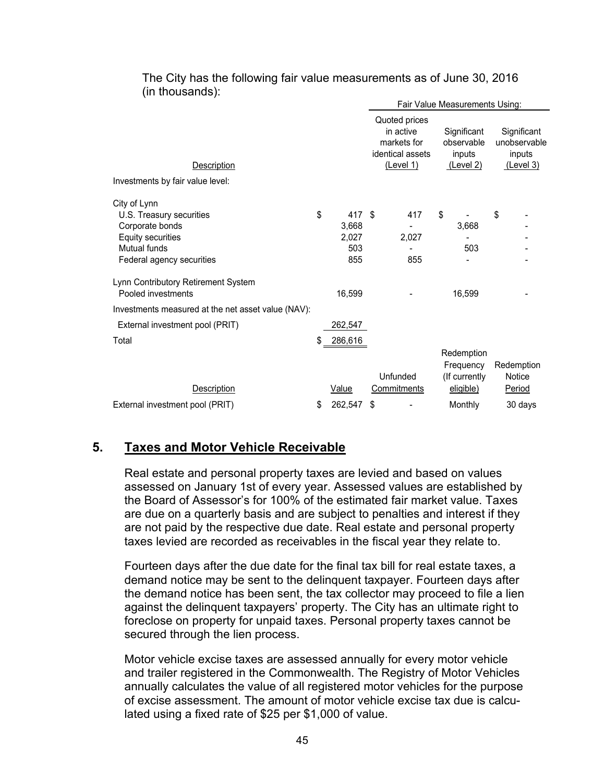|                                                                                                                                                      |    |                                        | Fair Value Measurements Using: |                                                                            |                                                         |                                          |    |                                                           |  |  |  |
|------------------------------------------------------------------------------------------------------------------------------------------------------|----|----------------------------------------|--------------------------------|----------------------------------------------------------------------------|---------------------------------------------------------|------------------------------------------|----|-----------------------------------------------------------|--|--|--|
| Description<br>Investments by fair value level:                                                                                                      |    |                                        |                                | Quoted prices<br>in active<br>markets for<br>identical assets<br>(Level 1) | Significant<br>observable<br>inputs<br><u>(Level 2)</u> |                                          |    | Significant<br>unobservable<br>inputs<br><u>(Level 3)</u> |  |  |  |
| City of Lynn                                                                                                                                         |    |                                        |                                |                                                                            |                                                         |                                          |    |                                                           |  |  |  |
| U.S. Treasury securities<br>Corporate bonds<br>Equity securities<br>Mutual funds<br>Federal agency securities<br>Lynn Contributory Retirement System | \$ | 417 \$<br>3,668<br>2,027<br>503<br>855 |                                | 417<br>2,027<br>855                                                        | \$                                                      | 3,668<br>503                             | \$ |                                                           |  |  |  |
| Pooled investments                                                                                                                                   |    | 16,599                                 |                                |                                                                            |                                                         | 16,599                                   |    |                                                           |  |  |  |
| Investments measured at the net asset value (NAV):                                                                                                   |    |                                        |                                |                                                                            |                                                         |                                          |    |                                                           |  |  |  |
| External investment pool (PRIT)                                                                                                                      |    | 262,547                                |                                |                                                                            |                                                         |                                          |    |                                                           |  |  |  |
| Total                                                                                                                                                |    | 286,616                                |                                | Unfunded                                                                   |                                                         | Redemption<br>Frequency<br>(If currently |    | Redemption<br>Notice                                      |  |  |  |
| <b>Description</b>                                                                                                                                   |    | Value                                  |                                | Commitments                                                                |                                                         | eligible)                                |    | Period                                                    |  |  |  |
| External investment pool (PRIT)                                                                                                                      | \$ | 262,547                                | \$                             |                                                                            |                                                         | Monthly                                  |    | 30 days                                                   |  |  |  |

The City has the following fair value measurements as of June 30, 2016 (in thousands):

### **5. Taxes and Motor Vehicle Receivable**

Real estate and personal property taxes are levied and based on values assessed on January 1st of every year. Assessed values are established by the Board of Assessor's for 100% of the estimated fair market value. Taxes are due on a quarterly basis and are subject to penalties and interest if they are not paid by the respective due date. Real estate and personal property taxes levied are recorded as receivables in the fiscal year they relate to.

Fourteen days after the due date for the final tax bill for real estate taxes, a demand notice may be sent to the delinquent taxpayer. Fourteen days after the demand notice has been sent, the tax collector may proceed to file a lien against the delinquent taxpayers' property. The City has an ultimate right to foreclose on property for unpaid taxes. Personal property taxes cannot be secured through the lien process.

Motor vehicle excise taxes are assessed annually for every motor vehicle and trailer registered in the Commonwealth. The Registry of Motor Vehicles annually calculates the value of all registered motor vehicles for the purpose of excise assessment. The amount of motor vehicle excise tax due is calculated using a fixed rate of \$25 per \$1,000 of value.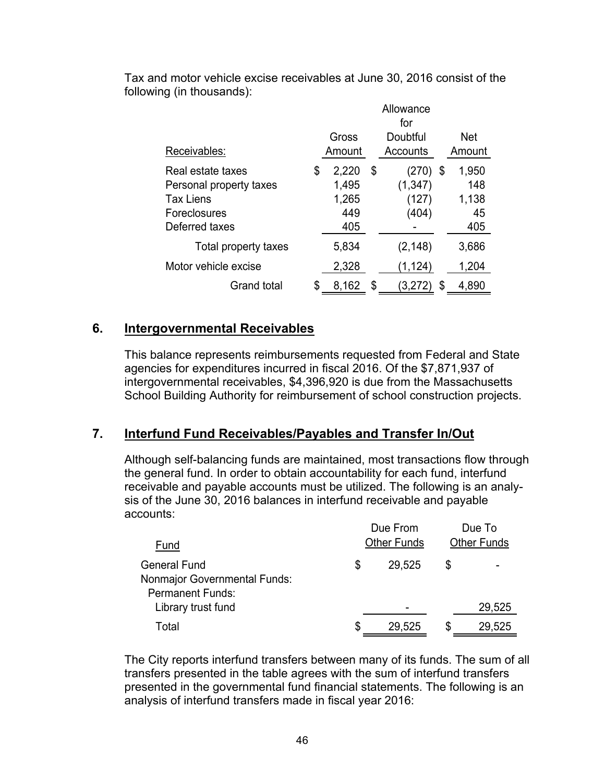|                         | Allowance<br>for |                 |    |                      |    |       |  |  |
|-------------------------|------------------|-----------------|----|----------------------|----|-------|--|--|
| Receivables:            |                  | Gross<br>Amount |    | <b>Net</b><br>Amount |    |       |  |  |
|                         |                  |                 |    | Accounts             |    |       |  |  |
| Real estate taxes       | \$               | 2,220           | \$ | (270) \$             |    | 1,950 |  |  |
| Personal property taxes |                  | 1,495           |    | (1, 347)             |    | 148   |  |  |
| <b>Tax Liens</b>        |                  | 1,265           |    | (127)                |    | 1,138 |  |  |
| Foreclosures            |                  | 449             |    | (404)                |    | 45    |  |  |
| Deferred taxes          |                  | 405             |    |                      |    | 405   |  |  |
| Total property taxes    |                  | 5,834           |    | (2, 148)             |    | 3,686 |  |  |
| Motor vehicle excise    |                  | 2,328           |    | (1,124)              |    | 1,204 |  |  |
| <b>Grand total</b>      |                  | 8,162           | \$ | 3,272                | \$ | 4,890 |  |  |

Tax and motor vehicle excise receivables at June 30, 2016 consist of the following (in thousands):

# **6. Intergovernmental Receivables**

This balance represents reimbursements requested from Federal and State agencies for expenditures incurred in fiscal 2016. Of the \$7,871,937 of intergovernmental receivables, \$4,396,920 is due from the Massachusetts School Building Authority for reimbursement of school construction projects.

# **7. Interfund Fund Receivables/Payables and Transfer In/Out**

Although self-balancing funds are maintained, most transactions flow through the general fund. In order to obtain accountability for each fund, interfund receivable and payable accounts must be utilized. The following is an analysis of the June 30, 2016 balances in interfund receivable and payable accounts:

| Fund                                                                                  |   | Due From<br><b>Other Funds</b> |   | Due To<br><b>Other Funds</b> |
|---------------------------------------------------------------------------------------|---|--------------------------------|---|------------------------------|
| <b>General Fund</b><br><b>Nonmajor Governmental Funds:</b><br><b>Permanent Funds:</b> | S | 29,525                         |   |                              |
| Library trust fund                                                                    |   |                                |   | 29,525                       |
| Total                                                                                 | S | 29,525                         | S | 29,525                       |
|                                                                                       |   |                                |   |                              |

The City reports interfund transfers between many of its funds. The sum of all transfers presented in the table agrees with the sum of interfund transfers presented in the governmental fund financial statements. The following is an analysis of interfund transfers made in fiscal year 2016: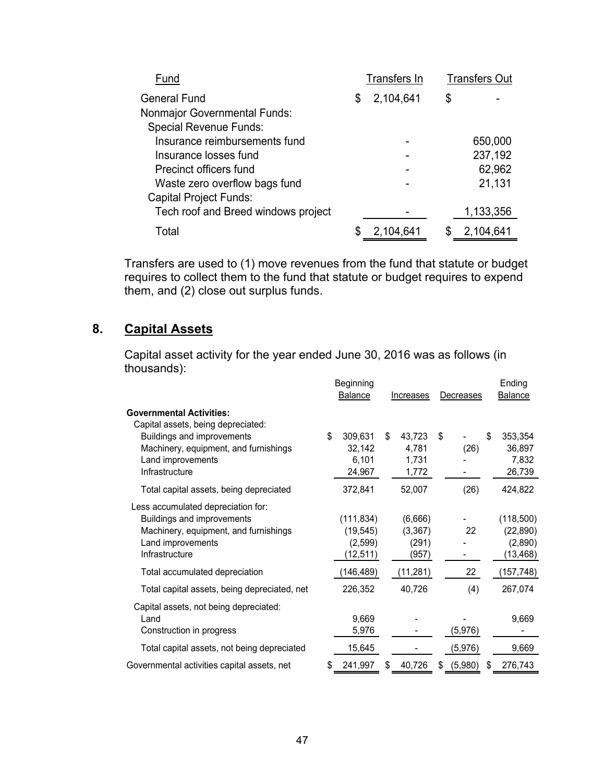| Fund                                | Transfers In<br><b>Transfers Out</b> |           |   |           |  |  |
|-------------------------------------|--------------------------------------|-----------|---|-----------|--|--|
| General Fund                        | S                                    | 2,104,641 | S |           |  |  |
| Nonmajor Governmental Funds:        |                                      |           |   |           |  |  |
| <b>Special Revenue Funds:</b>       |                                      |           |   |           |  |  |
| Insurance reimbursements fund       |                                      |           |   | 650,000   |  |  |
| Insurance losses fund               |                                      |           |   | 237,192   |  |  |
| Precinct officers fund              |                                      |           |   | 62,962    |  |  |
| Waste zero overflow bags fund       |                                      |           |   | 21,131    |  |  |
| <b>Capital Project Funds:</b>       |                                      |           |   |           |  |  |
| Tech roof and Breed windows project |                                      |           |   | 1,133,356 |  |  |
| Total                               |                                      | 2,104,641 | S | 2,104,641 |  |  |

Transfers are used to (1) move revenues from the fund that statute or budget requires to collect them to the fund that statute or budget requires to expend them, and (2) close out surplus funds.

# **8. Capital Assets**

Capital asset activity for the year ended June 30, 2016 was as follows (in thousands):

|   | <b>Beginning</b> |                                                               |           |                                                           |          |                   | Ending<br>Balance |
|---|------------------|---------------------------------------------------------------|-----------|-----------------------------------------------------------|----------|-------------------|-------------------|
|   |                  |                                                               |           |                                                           |          |                   |                   |
|   |                  |                                                               |           |                                                           |          |                   |                   |
|   |                  |                                                               |           |                                                           |          |                   | 353,354           |
|   |                  |                                                               |           |                                                           |          |                   | 36,897            |
|   |                  |                                                               |           |                                                           |          |                   | 7,832             |
|   |                  |                                                               |           |                                                           |          |                   | 26,739            |
|   | 372,841          |                                                               | 52,007    |                                                           | (26)     |                   | 424,822           |
|   |                  |                                                               |           |                                                           |          |                   |                   |
|   |                  |                                                               |           |                                                           |          |                   | (118,500)         |
|   | (19, 545)        |                                                               | (3, 367)  |                                                           | 22       |                   | (22, 890)         |
|   | (2,599)          |                                                               | (291)     |                                                           |          |                   | (2,890)           |
|   | (12, 511)        |                                                               | (957)     |                                                           |          |                   | (13, 468)         |
|   | (146, 489)       |                                                               | (11, 281) |                                                           | 22       |                   | (157,748)         |
|   | 226,352          |                                                               | 40,726    |                                                           | (4)      |                   | 267,074           |
|   |                  |                                                               |           |                                                           |          |                   |                   |
|   | 9,669            |                                                               |           |                                                           |          |                   | 9,669             |
|   | 5,976            |                                                               |           |                                                           | (5, 976) |                   |                   |
|   | 15,645           |                                                               |           |                                                           | (5, 976) |                   | 9,669             |
| S | 241,997          |                                                               | 40.726    | \$                                                        | (5,980)  | \$.               | 276,743           |
|   | \$               | Balance<br>309,631<br>32,142<br>6,101<br>24,967<br>(111, 834) | \$        | Increases<br>43,723<br>4,781<br>1,731<br>1,772<br>(6,666) | \$       | Decreases<br>(26) | \$                |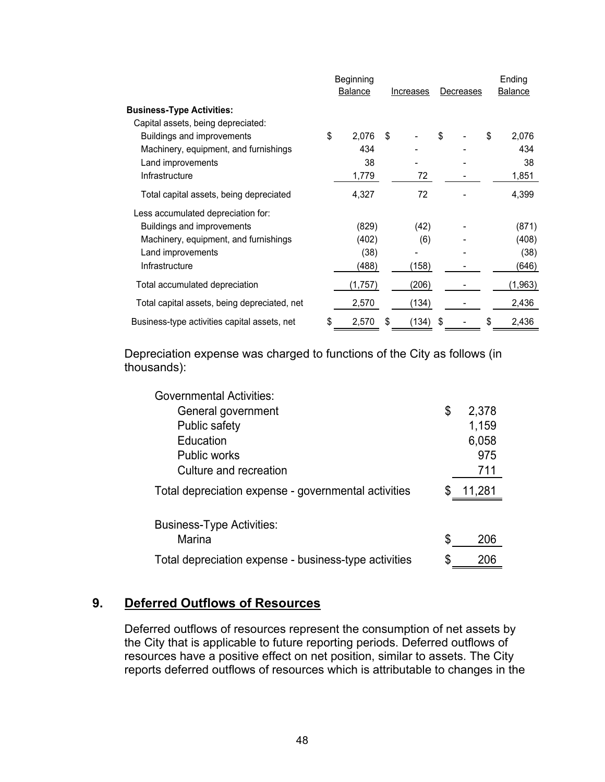|                                              | Beginning                   |    |           |    | Ending |                |         |
|----------------------------------------------|-----------------------------|----|-----------|----|--------|----------------|---------|
|                                              | <b>Balance</b><br>Increases |    | Decreases |    |        | <b>Balance</b> |         |
| <b>Business-Type Activities:</b>             |                             |    |           |    |        |                |         |
| Capital assets, being depreciated:           |                             |    |           |    |        |                |         |
| Buildings and improvements                   | \$<br>2,076                 | \$ |           | \$ |        | \$             | 2,076   |
| Machinery, equipment, and furnishings        | 434                         |    |           |    |        |                | 434     |
| Land improvements                            | 38                          |    |           |    |        |                | 38      |
| Infrastructure                               | 1,779                       |    | 72        |    |        |                | 1,851   |
| Total capital assets, being depreciated      | 4,327                       |    | 72        |    |        |                | 4,399   |
| Less accumulated depreciation for:           |                             |    |           |    |        |                |         |
| Buildings and improvements                   | (829)                       |    | (42)      |    |        |                | (871)   |
| Machinery, equipment, and furnishings        | (402)                       |    | (6)       |    |        |                | (408)   |
| Land improvements                            | (38)                        |    |           |    |        |                | (38)    |
| Infrastructure                               | (488)                       |    | (158)     |    |        |                | (646)   |
| Total accumulated depreciation               | (1,757)                     |    | (206)     |    |        |                | (1,963) |
| Total capital assets, being depreciated, net | 2,570                       |    | (134)     |    |        |                | 2,436   |
| Business-type activities capital assets, net | \$<br>2,570                 | \$ | (134)     | \$ |        | \$             | 2,436   |

Depreciation expense was charged to functions of the City as follows (in thousands):

| <b>Governmental Activities:</b>                       |             |
|-------------------------------------------------------|-------------|
| General government                                    | \$<br>2,378 |
| Public safety                                         | 1,159       |
| Education                                             | 6,058       |
| <b>Public works</b>                                   | 975         |
| Culture and recreation                                | 711         |
| Total depreciation expense - governmental activities  | 11,281      |
|                                                       |             |
| <b>Business-Type Activities:</b>                      |             |
| Marina                                                | 206         |
| Total depreciation expense - business-type activities | 206         |

# **9. Deferred Outflows of Resources**

Deferred outflows of resources represent the consumption of net assets by the City that is applicable to future reporting periods. Deferred outflows of resources have a positive effect on net position, similar to assets. The City reports deferred outflows of resources which is attributable to changes in the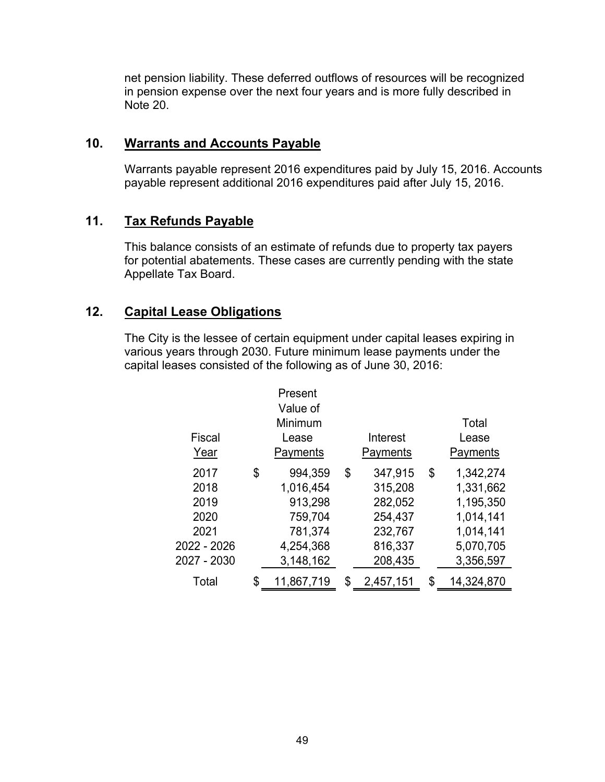net pension liability. These deferred outflows of resources will be recognized in pension expense over the next four years and is more fully described in Note 20.

### **10. Warrants and Accounts Payable**

Warrants payable represent 2016 expenditures paid by July 15, 2016. Accounts payable represent additional 2016 expenditures paid after July 15, 2016.

### **11. Tax Refunds Payable**

This balance consists of an estimate of refunds due to property tax payers for potential abatements. These cases are currently pending with the state Appellate Tax Board.

# **12. Capital Lease Obligations**

The City is the lessee of certain equipment under capital leases expiring in various years through 2030. Future minimum lease payments under the capital leases consisted of the following as of June 30, 2016:

| Fiscal<br>Year                                                     | Present<br>Value of<br>Minimum<br>Lease<br>Payments                                   | Interest<br>Payments                                                            | Total<br>Lease<br>Payments                                                                    |
|--------------------------------------------------------------------|---------------------------------------------------------------------------------------|---------------------------------------------------------------------------------|-----------------------------------------------------------------------------------------------|
| 2017<br>2018<br>2019<br>2020<br>2021<br>2022 - 2026<br>2027 - 2030 | \$<br>994,359<br>1,016,454<br>913,298<br>759,704<br>781,374<br>4,254,368<br>3,148,162 | \$<br>347,915<br>315,208<br>282,052<br>254,437<br>232,767<br>816,337<br>208,435 | \$<br>1,342,274<br>1,331,662<br>1,195,350<br>1,014,141<br>1,014,141<br>5,070,705<br>3,356,597 |
| Total                                                              | \$<br>11,867,719                                                                      | \$<br>2,457,151                                                                 | \$<br>14,324,870                                                                              |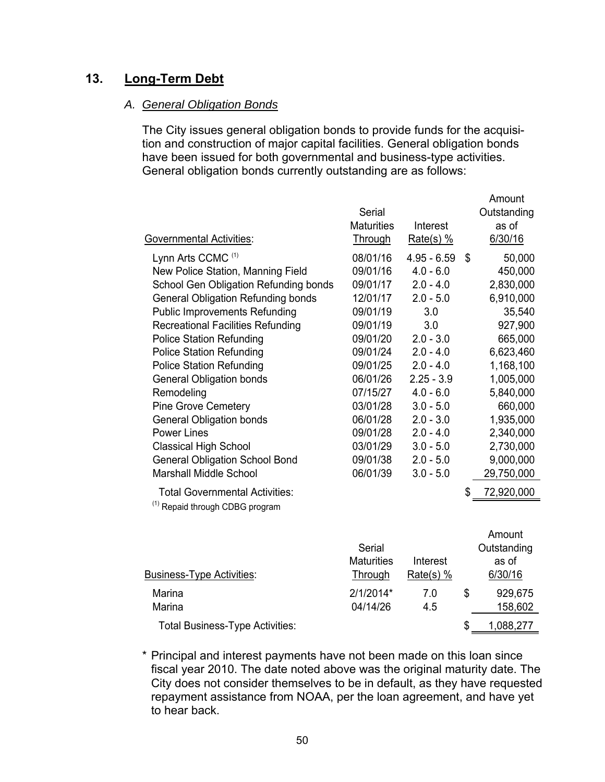# **13. Long-Term Debt**

### *A. General Obligation Bonds*

The City issues general obligation bonds to provide funds for the acquisition and construction of major capital facilities. General obligation bonds have been issued for both governmental and business-type activities. General obligation bonds currently outstanding are as follows:

Amount

| <b>Governmental Activities:</b>                                                     | Serial<br><b>Maturities</b><br>Through | Interest<br>$Rate(s)$ % | Outstanding<br>as of<br>6/30/16 |
|-------------------------------------------------------------------------------------|----------------------------------------|-------------------------|---------------------------------|
| Lynn Arts CCMC <sup>(1)</sup>                                                       | 08/01/16                               | $4.95 - 6.59$           | \$<br>50,000                    |
| New Police Station, Manning Field                                                   | 09/01/16                               | $4.0 - 6.0$             | 450,000                         |
| School Gen Obligation Refunding bonds                                               | 09/01/17                               | $2.0 - 4.0$             | 2,830,000                       |
| <b>General Obligation Refunding bonds</b>                                           | 12/01/17                               | $2.0 - 5.0$             | 6,910,000                       |
| <b>Public Improvements Refunding</b>                                                | 09/01/19                               | 3.0                     | 35,540                          |
| <b>Recreational Facilities Refunding</b>                                            | 09/01/19                               | 3.0                     | 927,900                         |
| <b>Police Station Refunding</b>                                                     | 09/01/20                               | $2.0 - 3.0$             | 665,000                         |
| <b>Police Station Refunding</b>                                                     | 09/01/24                               | $2.0 - 4.0$             | 6,623,460                       |
| <b>Police Station Refunding</b>                                                     | 09/01/25                               | $2.0 - 4.0$             | 1,168,100                       |
| <b>General Obligation bonds</b>                                                     | 06/01/26                               | $2.25 - 3.9$            | 1,005,000                       |
| Remodeling                                                                          | 07/15/27                               | $4.0 - 6.0$             | 5,840,000                       |
| <b>Pine Grove Cemetery</b>                                                          | 03/01/28                               | $3.0 - 5.0$             | 660,000                         |
| <b>General Obligation bonds</b>                                                     | 06/01/28                               | $2.0 - 3.0$             | 1,935,000                       |
| <b>Power Lines</b>                                                                  | 09/01/28                               | $2.0 - 4.0$             | 2,340,000                       |
| <b>Classical High School</b>                                                        | 03/01/29                               | $3.0 - 5.0$             | 2,730,000                       |
| <b>General Obligation School Bond</b>                                               | 09/01/38                               | $2.0 - 5.0$             | 9,000,000                       |
| <b>Marshall Middle School</b>                                                       | 06/01/39                               | $3.0 - 5.0$             | 29,750,000                      |
| <b>Total Governmental Activities:</b><br><sup>(1)</sup> Repaid through CDBG program |                                        |                         | \$<br>72,920,000                |
|                                                                                     |                                        |                         |                                 |
|                                                                                     |                                        |                         | Amount                          |
|                                                                                     | <b>Serial</b><br><b>Maturities</b>     | Interest                | Outstanding<br>as of            |
|                                                                                     |                                        |                         |                                 |
| <b>Business-Type Activities:</b>                                                    | Through                                | $Rate(s)$ %             | 6/30/16                         |
| Marina                                                                              | 2/1/2014*                              | 7.0                     | \$<br>929,675                   |
| Marina                                                                              | 04/14/26                               | 4.5                     | 158,602                         |
|                                                                                     |                                        |                         |                                 |

Total Business-Type Activities:  $$ 1,088,277$ 

\* Principal and interest payments have not been made on this loan since fiscal year 2010. The date noted above was the original maturity date. The City does not consider themselves to be in default, as they have requested repayment assistance from NOAA, per the loan agreement, and have yet to hear back.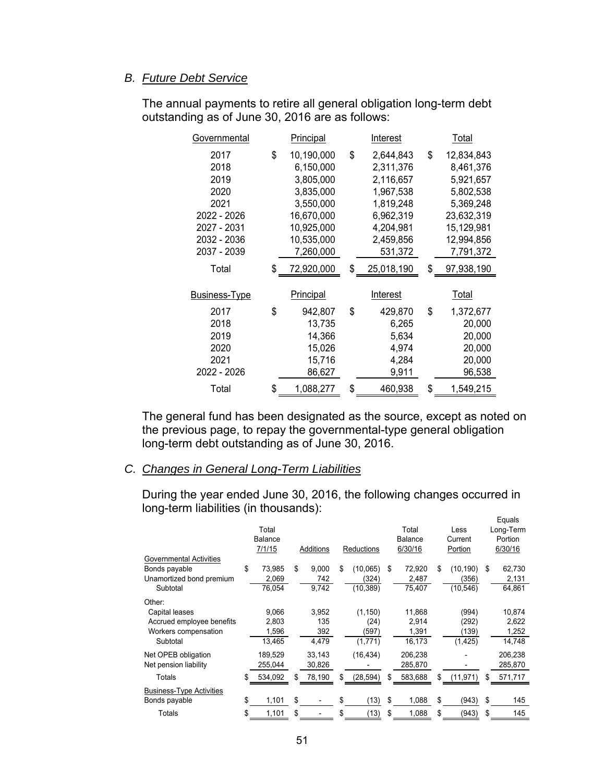### *B. Future Debt Service*

| Governmental                                                                                     | Principal                                                                                                                   | <b>Interest</b>                                                                                                       | <u>Total</u> |                                                                                                                       |  |
|--------------------------------------------------------------------------------------------------|-----------------------------------------------------------------------------------------------------------------------------|-----------------------------------------------------------------------------------------------------------------------|--------------|-----------------------------------------------------------------------------------------------------------------------|--|
| 2017<br>2018<br>2019<br>2020<br>2021<br>2022 - 2026<br>2027 - 2031<br>2032 - 2036<br>2037 - 2039 | \$<br>10,190,000<br>6,150,000<br>3,805,000<br>3,835,000<br>3,550,000<br>16,670,000<br>10,925,000<br>10,535,000<br>7,260,000 | \$<br>2,644,843<br>2,311,376<br>2,116,657<br>1,967,538<br>1,819,248<br>6,962,319<br>4,204,981<br>2,459,856<br>531,372 | \$           | 12,834,843<br>8,461,376<br>5,921,657<br>5,802,538<br>5,369,248<br>23,632,319<br>15,129,981<br>12,994,856<br>7,791,372 |  |
| Total                                                                                            | \$<br>72,920,000                                                                                                            | \$<br>25,018,190                                                                                                      | \$           | 97,938,190                                                                                                            |  |
| <b>Business-Type</b>                                                                             | Principal                                                                                                                   | Interest                                                                                                              |              | Total                                                                                                                 |  |
| 2017<br>2018<br>2019<br>2020<br>2021<br>2022 - 2026                                              | \$<br>942,807<br>13,735<br>14,366<br>15,026<br>15,716<br>86,627                                                             | \$<br>429,870<br>6,265<br>5,634<br>4,974<br>4,284<br>9,911                                                            | \$           | 1,372,677<br>20,000<br>20,000<br>20,000<br>20,000<br>96,538                                                           |  |
| Total                                                                                            | \$<br>1,088,277                                                                                                             | \$<br>460,938                                                                                                         | \$           | 1,549,215                                                                                                             |  |

The annual payments to retire all general obligation long-term debt outstanding as of June 30, 2016 are as follows:

The general fund has been designated as the source, except as noted on the previous page, to repay the governmental-type general obligation long-term debt outstanding as of June 30, 2016.

### *C. Changes in General Long-Term Liabilities*

During the year ended June 30, 2016, the following changes occurred in long-term liabilities (in thousands): Equals

|                                                                                           | Total<br><b>Balance</b><br>7/1/15 |    | Additions                    | Reductions                           |     | Total<br><b>Balance</b><br>6/30/16 | Less<br>Current<br>Portion            | Lyuun<br>Long-Term<br>Portion<br>6/30/16 |
|-------------------------------------------------------------------------------------------|-----------------------------------|----|------------------------------|--------------------------------------|-----|------------------------------------|---------------------------------------|------------------------------------------|
| <b>Governmental Activities</b><br>Bonds payable<br>Unamortized bond premium<br>Subtotal   | \$<br>73,985<br>2,069<br>76,054   | \$ | 9,000<br>742<br>9,742        | \$<br>(10,065)<br>(324)<br>(10, 389) | \$  | 72,920<br>2,487<br>75,407          | \$<br>(10, 190)<br>(356)<br>(10, 546) | \$<br>62,730<br>2,131<br>64,861          |
| Other:<br>Capital leases<br>Accrued employee benefits<br>Workers compensation<br>Subtotal | 9,066<br>2,803<br>1,596<br>13,465 |    | 3,952<br>135<br>392<br>4,479 | (1, 150)<br>(24)<br>(597)<br>(1,771) |     | 11,868<br>2,914<br>1,391<br>16,173 | (994)<br>(292)<br>(139)<br>(1, 425)   | 10,874<br>2,622<br>1,252<br>14,748       |
| Net OPEB obligation<br>Net pension liability                                              | 189,529<br>255,044                |    | 33,143<br>30,826             | (16, 434)                            |     | 206,238<br>285,870                 |                                       | 206,238<br>285,870                       |
| Totals                                                                                    | \$<br>534,092                     | S  | 78,190                       | \$<br>(28, 594)                      | \$. | 583,688                            | \$<br>(11, 971)                       | \$<br>571,717                            |
| <b>Business-Type Activities</b><br>Bonds payable                                          | \$<br>1,101                       | \$ |                              | \$<br>(13)                           | \$  | 1,088                              | \$<br>(943)                           | \$<br>145                                |
| Totals                                                                                    | \$<br>1,101                       | \$ |                              | \$<br>(13)                           | \$  | 1,088                              | \$<br>(943)                           | \$<br>145                                |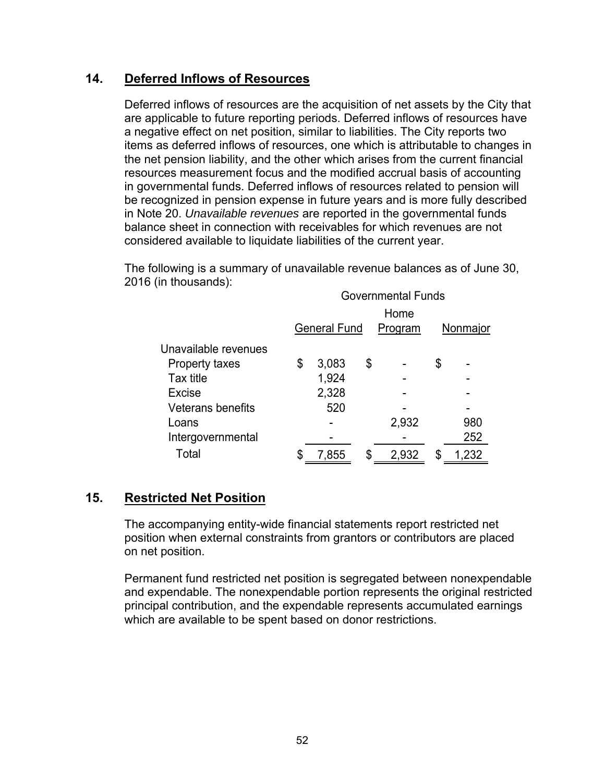### **14. Deferred Inflows of Resources**

Deferred inflows of resources are the acquisition of net assets by the City that are applicable to future reporting periods. Deferred inflows of resources have a negative effect on net position, similar to liabilities. The City reports two items as deferred inflows of resources, one which is attributable to changes in the net pension liability, and the other which arises from the current financial resources measurement focus and the modified accrual basis of accounting in governmental funds. Deferred inflows of resources related to pension will be recognized in pension expense in future years and is more fully described in Note 20. *Unavailable revenues* are reported in the governmental funds balance sheet in connection with receivables for which revenues are not considered available to liquidate liabilities of the current year.

The following is a summary of unavailable revenue balances as of June 30, 2016 (in thousands):

|                          | <b>Governmental Funds</b> |                     |    |         |    |          |  |  |
|--------------------------|---------------------------|---------------------|----|---------|----|----------|--|--|
|                          | Home                      |                     |    |         |    |          |  |  |
|                          |                           | <b>General Fund</b> |    | Program |    | Nonmajor |  |  |
| Unavailable revenues     |                           |                     |    |         |    |          |  |  |
| Property taxes           | \$                        | 3,083               | \$ |         | \$ |          |  |  |
| Tax title                |                           | 1,924               |    |         |    |          |  |  |
| <b>Excise</b>            |                           | 2,328               |    |         |    |          |  |  |
| <b>Veterans benefits</b> |                           | 520                 |    |         |    |          |  |  |
| Loans                    |                           |                     |    | 2,932   |    | 980      |  |  |
| Intergovernmental        |                           |                     |    |         |    | 252      |  |  |
| Total                    | \$                        | 7,855               | \$ | 2,932   | S  | 1,232    |  |  |

# **15. Restricted Net Position**

The accompanying entity-wide financial statements report restricted net position when external constraints from grantors or contributors are placed on net position.

Permanent fund restricted net position is segregated between nonexpendable and expendable. The nonexpendable portion represents the original restricted principal contribution, and the expendable represents accumulated earnings which are available to be spent based on donor restrictions.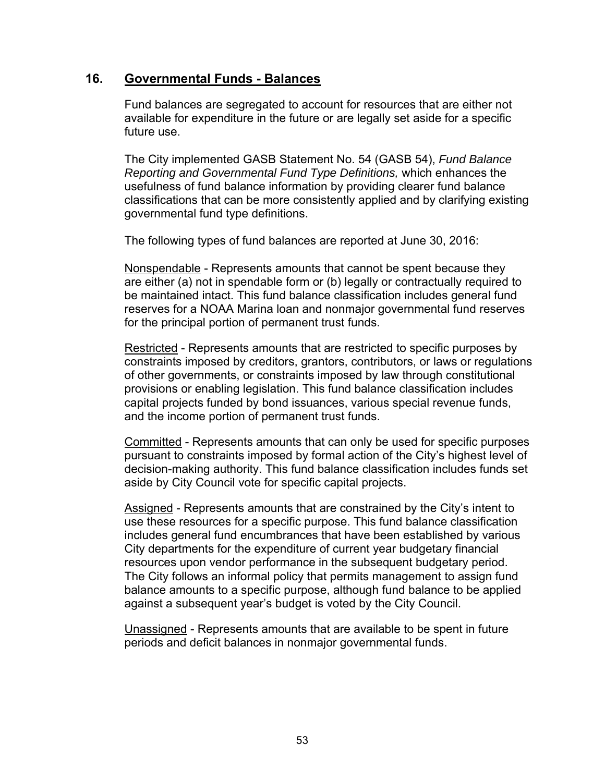### **16. Governmental Funds - Balances**

Fund balances are segregated to account for resources that are either not available for expenditure in the future or are legally set aside for a specific future use.

The City implemented GASB Statement No. 54 (GASB 54), *Fund Balance Reporting and Governmental Fund Type Definitions,* which enhances the usefulness of fund balance information by providing clearer fund balance classifications that can be more consistently applied and by clarifying existing governmental fund type definitions.

The following types of fund balances are reported at June 30, 2016:

Nonspendable - Represents amounts that cannot be spent because they are either (a) not in spendable form or (b) legally or contractually required to be maintained intact. This fund balance classification includes general fund reserves for a NOAA Marina loan and nonmajor governmental fund reserves for the principal portion of permanent trust funds.

Restricted - Represents amounts that are restricted to specific purposes by constraints imposed by creditors, grantors, contributors, or laws or regulations of other governments, or constraints imposed by law through constitutional provisions or enabling legislation. This fund balance classification includes capital projects funded by bond issuances, various special revenue funds, and the income portion of permanent trust funds.

Committed - Represents amounts that can only be used for specific purposes pursuant to constraints imposed by formal action of the City's highest level of decision-making authority. This fund balance classification includes funds set aside by City Council vote for specific capital projects.

Assigned - Represents amounts that are constrained by the City's intent to use these resources for a specific purpose. This fund balance classification includes general fund encumbrances that have been established by various City departments for the expenditure of current year budgetary financial resources upon vendor performance in the subsequent budgetary period. The City follows an informal policy that permits management to assign fund balance amounts to a specific purpose, although fund balance to be applied against a subsequent year's budget is voted by the City Council.

Unassigned - Represents amounts that are available to be spent in future periods and deficit balances in nonmajor governmental funds.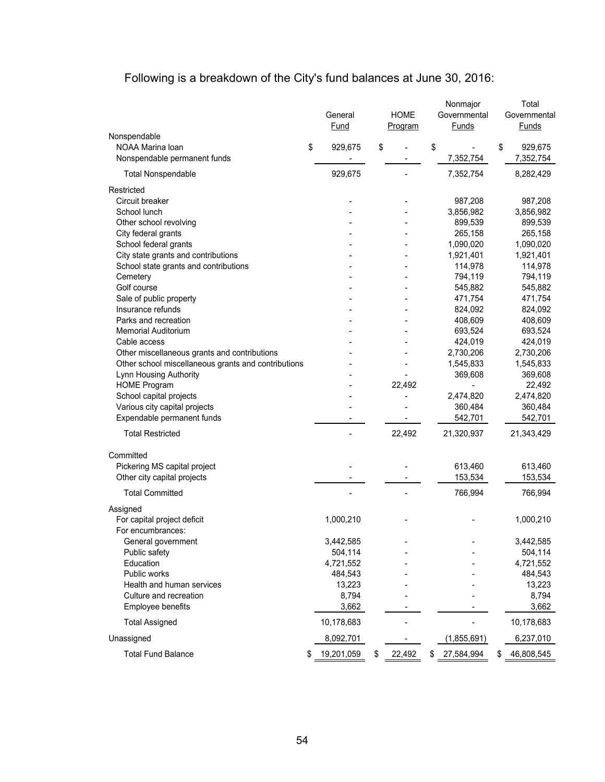# Following is a breakdown of the City's fund balances at June 30, 2016:

|                                                     | General<br>Fund      | <b>HOME</b><br>Program | Nonmajor<br>Governmental<br><b>Funds</b> | Total<br>Governmental<br>Funds |
|-----------------------------------------------------|----------------------|------------------------|------------------------------------------|--------------------------------|
| Nonspendable<br>NOAA Marina Ioan                    | \$<br>929,675        | \$                     | \$                                       | \$<br>929,675                  |
| Nonspendable permanent funds                        |                      |                        | 7,352,754                                | 7,352,754                      |
|                                                     |                      |                        |                                          |                                |
| <b>Total Nonspendable</b>                           | 929,675              |                        | 7,352,754                                | 8,282,429                      |
| Restricted                                          |                      |                        |                                          |                                |
| Circuit breaker                                     |                      |                        | 987,208                                  | 987,208                        |
| School lunch                                        |                      |                        | 3,856,982                                | 3,856,982                      |
| Other school revolving                              |                      |                        | 899,539                                  | 899,539                        |
| City federal grants                                 |                      |                        | 265,158                                  | 265,158                        |
| School federal grants                               |                      |                        | 1,090,020                                | 1,090,020                      |
| City state grants and contributions                 |                      |                        | 1,921,401                                | 1,921,401                      |
| School state grants and contributions               |                      |                        | 114,978                                  | 114,978                        |
| Cemetery                                            |                      |                        | 794,119                                  | 794,119                        |
| Golf course                                         |                      |                        | 545,882                                  | 545,882                        |
| Sale of public property                             |                      |                        | 471,754                                  | 471,754                        |
| Insurance refunds                                   |                      |                        | 824,092                                  | 824,092                        |
| Parks and recreation                                |                      |                        | 408,609                                  | 408,609                        |
| <b>Memorial Auditorium</b>                          |                      |                        | 693,524                                  | 693,524                        |
| Cable access                                        |                      |                        | 424,019                                  | 424,019                        |
| Other miscellaneous grants and contributions        |                      |                        | 2,730,206                                | 2,730,206                      |
| Other school miscellaneous grants and contributions |                      |                        | 1,545,833                                | 1,545,833                      |
| Lynn Housing Authority<br><b>HOME Program</b>       |                      |                        | 369,608                                  | 369,608<br>22,492              |
| School capital projects                             |                      | 22,492                 |                                          |                                |
| Various city capital projects                       |                      |                        | 2,474,820<br>360,484                     | 2,474,820<br>360,484           |
| Expendable permanent funds                          |                      |                        | 542,701                                  | 542,701                        |
|                                                     |                      |                        |                                          |                                |
| <b>Total Restricted</b>                             |                      | 22,492                 | 21,320,937                               | 21,343,429                     |
| Committed                                           |                      |                        |                                          |                                |
| Pickering MS capital project                        |                      |                        | 613,460                                  | 613,460                        |
| Other city capital projects                         |                      |                        | 153,534                                  | 153,534                        |
| <b>Total Committed</b>                              |                      |                        | 766,994                                  | 766,994                        |
|                                                     |                      |                        |                                          |                                |
| Assigned                                            |                      |                        |                                          |                                |
| For capital project deficit                         | 1,000,210            |                        |                                          | 1,000,210                      |
| For encumbrances:                                   |                      |                        |                                          |                                |
| General government                                  | 3,442,585            |                        |                                          | 3,442,585                      |
| Public safety<br>Education                          | 504,114<br>4,721,552 |                        |                                          | 504,114<br>4,721,552           |
| Public works                                        | 484,543              |                        |                                          |                                |
| Health and human services                           | 13,223               |                        |                                          | 484,543<br>13,223              |
| Culture and recreation                              | 8,794                |                        |                                          | 8,794                          |
| Employee benefits                                   | 3,662                |                        |                                          | 3,662                          |
| <b>Total Assigned</b>                               | 10,178,683           |                        |                                          | 10,178,683                     |
|                                                     |                      |                        |                                          |                                |
| Unassigned                                          | 8,092,701            |                        | (1,855,691)                              | 6,237,010                      |
| <b>Total Fund Balance</b>                           | \$<br>19,201,059     | \$<br>22,492           | \$<br>27,584,994                         | \$<br>46,808,545               |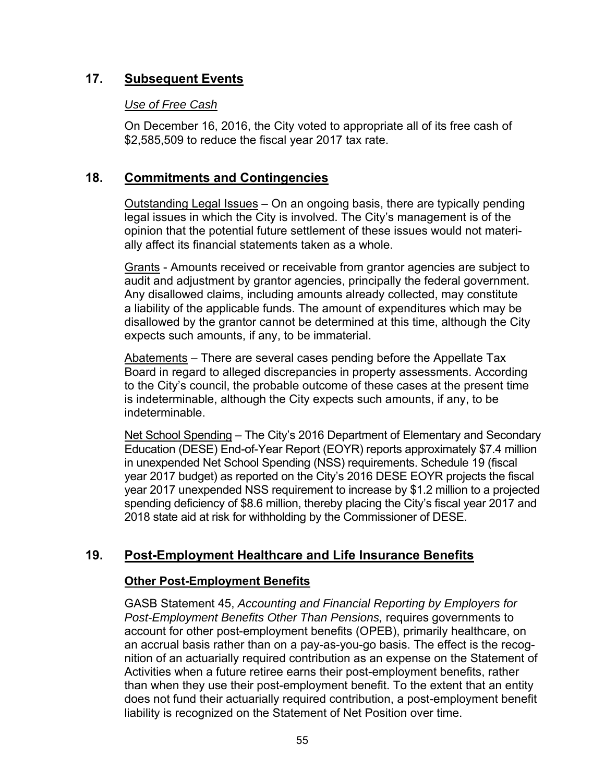# **17. Subsequent Events**

### *Use of Free Cash*

On December 16, 2016, the City voted to appropriate all of its free cash of \$2,585,509 to reduce the fiscal year 2017 tax rate.

### **18. Commitments and Contingencies**

Outstanding Legal Issues – On an ongoing basis, there are typically pending legal issues in which the City is involved. The City's management is of the opinion that the potential future settlement of these issues would not materially affect its financial statements taken as a whole.

Grants - Amounts received or receivable from grantor agencies are subject to audit and adjustment by grantor agencies, principally the federal government. Any disallowed claims, including amounts already collected, may constitute a liability of the applicable funds. The amount of expenditures which may be disallowed by the grantor cannot be determined at this time, although the City expects such amounts, if any, to be immaterial.

Abatements – There are several cases pending before the Appellate Tax Board in regard to alleged discrepancies in property assessments. According to the City's council, the probable outcome of these cases at the present time is indeterminable, although the City expects such amounts, if any, to be indeterminable.

Net School Spending – The City's 2016 Department of Elementary and Secondary Education (DESE) End-of-Year Report (EOYR) reports approximately \$7.4 million in unexpended Net School Spending (NSS) requirements. Schedule 19 (fiscal year 2017 budget) as reported on the City's 2016 DESE EOYR projects the fiscal year 2017 unexpended NSS requirement to increase by \$1.2 million to a projected spending deficiency of \$8.6 million, thereby placing the City's fiscal year 2017 and 2018 state aid at risk for withholding by the Commissioner of DESE.

# **19. Post-Employment Healthcare and Life Insurance Benefits**

### **Other Post-Employment Benefits**

GASB Statement 45, *Accounting and Financial Reporting by Employers for Post-Employment Benefits Other Than Pensions,* requires governments to account for other post-employment benefits (OPEB), primarily healthcare, on an accrual basis rather than on a pay-as-you-go basis. The effect is the recognition of an actuarially required contribution as an expense on the Statement of Activities when a future retiree earns their post-employment benefits, rather than when they use their post-employment benefit. To the extent that an entity does not fund their actuarially required contribution, a post-employment benefit liability is recognized on the Statement of Net Position over time.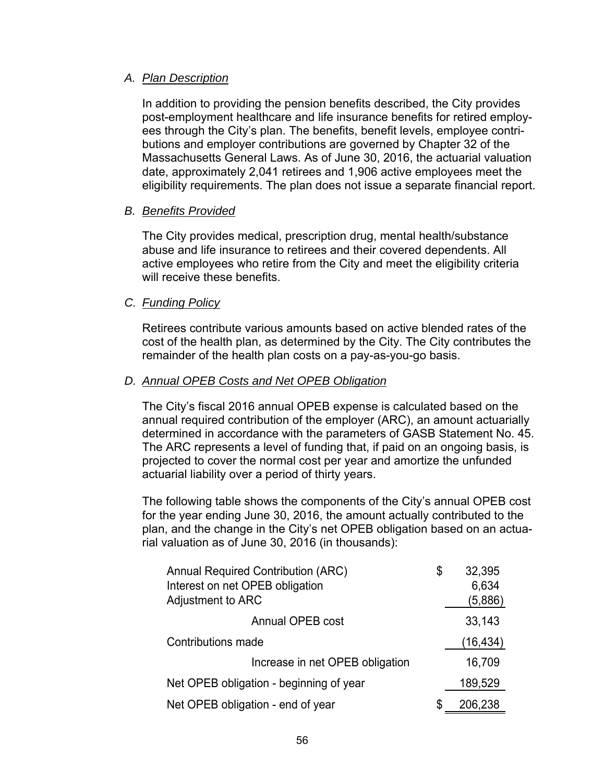### *A. Plan Description*

In addition to providing the pension benefits described, the City provides post-employment healthcare and life insurance benefits for retired employees through the City's plan. The benefits, benefit levels, employee contributions and employer contributions are governed by Chapter 32 of the Massachusetts General Laws. As of June 30, 2016, the actuarial valuation date, approximately 2,041 retirees and 1,906 active employees meet the eligibility requirements. The plan does not issue a separate financial report.

### *B. Benefits Provided*

The City provides medical, prescription drug, mental health/substance abuse and life insurance to retirees and their covered dependents. All active employees who retire from the City and meet the eligibility criteria will receive these benefits.

### *C. Funding Policy*

Retirees contribute various amounts based on active blended rates of the cost of the health plan, as determined by the City. The City contributes the remainder of the health plan costs on a pay-as-you-go basis.

### *D. Annual OPEB Costs and Net OPEB Obligation*

The City's fiscal 2016 annual OPEB expense is calculated based on the annual required contribution of the employer (ARC), an amount actuarially determined in accordance with the parameters of GASB Statement No. 45. The ARC represents a level of funding that, if paid on an ongoing basis, is projected to cover the normal cost per year and amortize the unfunded actuarial liability over a period of thirty years.

The following table shows the components of the City's annual OPEB cost for the year ending June 30, 2016, the amount actually contributed to the plan, and the change in the City's net OPEB obligation based on an actuarial valuation as of June 30, 2016 (in thousands):

| <b>Annual Required Contribution (ARC)</b> | \$<br>32,395  |
|-------------------------------------------|---------------|
| Interest on net OPEB obligation           | 6,634         |
| Adjustment to ARC                         | (5,886)       |
| Annual OPEB cost                          | 33,143        |
| Contributions made                        | (16, 434)     |
| Increase in net OPEB obligation           | 16,709        |
| Net OPEB obligation - beginning of year   | 189,529       |
| Net OPEB obligation - end of year         | \$<br>206,238 |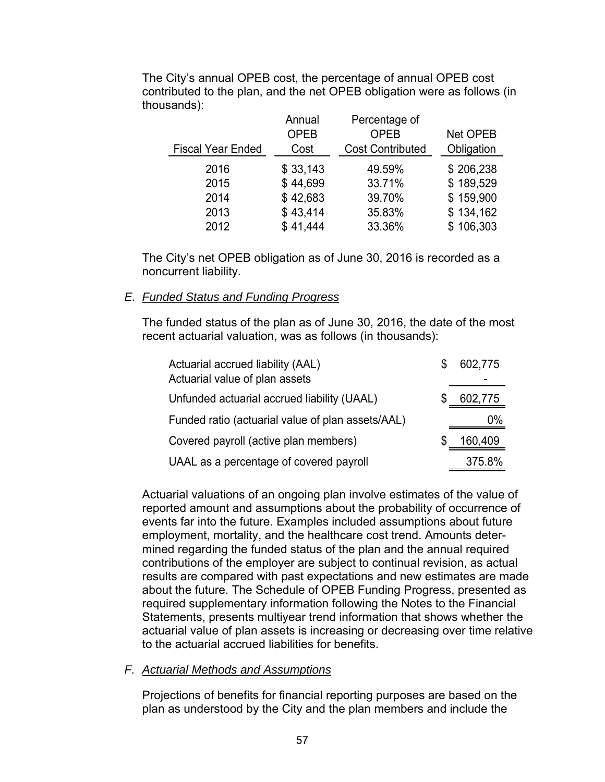|                          | Annual<br><b>OPEB</b> | Percentage of<br><b>OPEB</b> | <b>Net OPEB</b> |
|--------------------------|-----------------------|------------------------------|-----------------|
| <b>Fiscal Year Ended</b> | Cost                  | <b>Cost Contributed</b>      | Obligation      |
| 2016                     | \$33,143              | 49.59%                       | \$206,238       |
| 2015                     | \$44,699              | 33.71%                       | \$189,529       |
| 2014                     | \$42,683              | 39.70%                       | \$159,900       |
| 2013                     | \$43,414              | 35.83%                       | \$134,162       |
| 2012                     | \$41,444              | 33.36%                       | \$106,303       |

The City's annual OPEB cost, the percentage of annual OPEB cost contributed to the plan, and the net OPEB obligation were as follows (in thousands):

The City's net OPEB obligation as of June 30, 2016 is recorded as a noncurrent liability.

### *E. Funded Status and Funding Progress*

The funded status of the plan as of June 30, 2016, the date of the most recent actuarial valuation, was as follows (in thousands):

| Actuarial accrued liability (AAL)                 | 602,775 |
|---------------------------------------------------|---------|
| Actuarial value of plan assets                    |         |
| Unfunded actuarial accrued liability (UAAL)       | 602,775 |
| Funded ratio (actuarial value of plan assets/AAL) | 0%      |
| Covered payroll (active plan members)             | 160,409 |
| UAAL as a percentage of covered payroll           | 375.8%  |

Actuarial valuations of an ongoing plan involve estimates of the value of reported amount and assumptions about the probability of occurrence of events far into the future. Examples included assumptions about future employment, mortality, and the healthcare cost trend. Amounts determined regarding the funded status of the plan and the annual required contributions of the employer are subject to continual revision, as actual results are compared with past expectations and new estimates are made about the future. The Schedule of OPEB Funding Progress, presented as required supplementary information following the Notes to the Financial Statements, presents multiyear trend information that shows whether the actuarial value of plan assets is increasing or decreasing over time relative to the actuarial accrued liabilities for benefits.

### *F. Actuarial Methods and Assumptions*

Projections of benefits for financial reporting purposes are based on the plan as understood by the City and the plan members and include the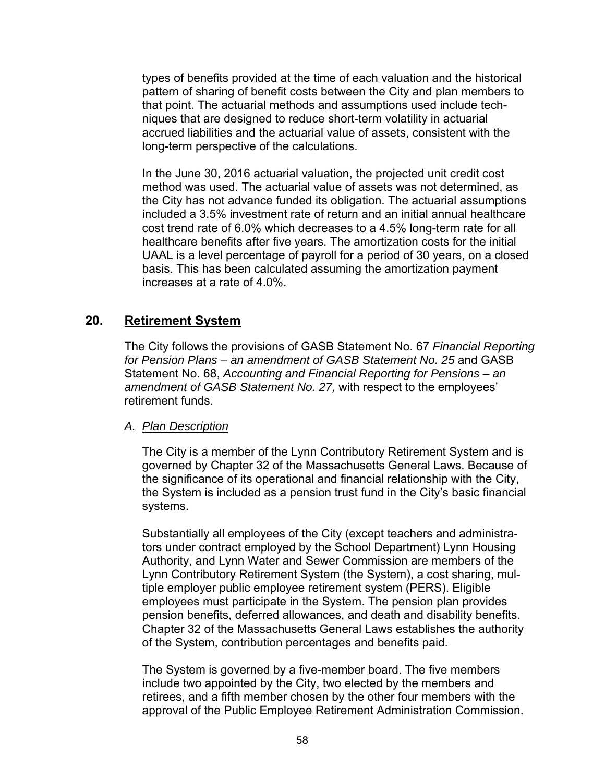types of benefits provided at the time of each valuation and the historical pattern of sharing of benefit costs between the City and plan members to that point. The actuarial methods and assumptions used include techniques that are designed to reduce short-term volatility in actuarial accrued liabilities and the actuarial value of assets, consistent with the long-term perspective of the calculations.

In the June 30, 2016 actuarial valuation, the projected unit credit cost method was used. The actuarial value of assets was not determined, as the City has not advance funded its obligation. The actuarial assumptions included a 3.5% investment rate of return and an initial annual healthcare cost trend rate of 6.0% which decreases to a 4.5% long-term rate for all healthcare benefits after five years. The amortization costs for the initial UAAL is a level percentage of payroll for a period of 30 years, on a closed basis. This has been calculated assuming the amortization payment increases at a rate of 4.0%.

### **20. Retirement System**

The City follows the provisions of GASB Statement No. 67 *Financial Reporting*  for Pension Plans – an amendment of GASB Statement No. 25 and GASB Statement No. 68, *Accounting and Financial Reporting for Pensions – an amendment of GASB Statement No. 27,* with respect to the employees' retirement funds.

### *A. Plan Description*

The City is a member of the Lynn Contributory Retirement System and is governed by Chapter 32 of the Massachusetts General Laws. Because of the significance of its operational and financial relationship with the City, the System is included as a pension trust fund in the City's basic financial systems.

Substantially all employees of the City (except teachers and administrators under contract employed by the School Department) Lynn Housing Authority, and Lynn Water and Sewer Commission are members of the Lynn Contributory Retirement System (the System), a cost sharing, multiple employer public employee retirement system (PERS). Eligible employees must participate in the System. The pension plan provides pension benefits, deferred allowances, and death and disability benefits. Chapter 32 of the Massachusetts General Laws establishes the authority of the System, contribution percentages and benefits paid.

The System is governed by a five-member board. The five members include two appointed by the City, two elected by the members and retirees, and a fifth member chosen by the other four members with the approval of the Public Employee Retirement Administration Commission.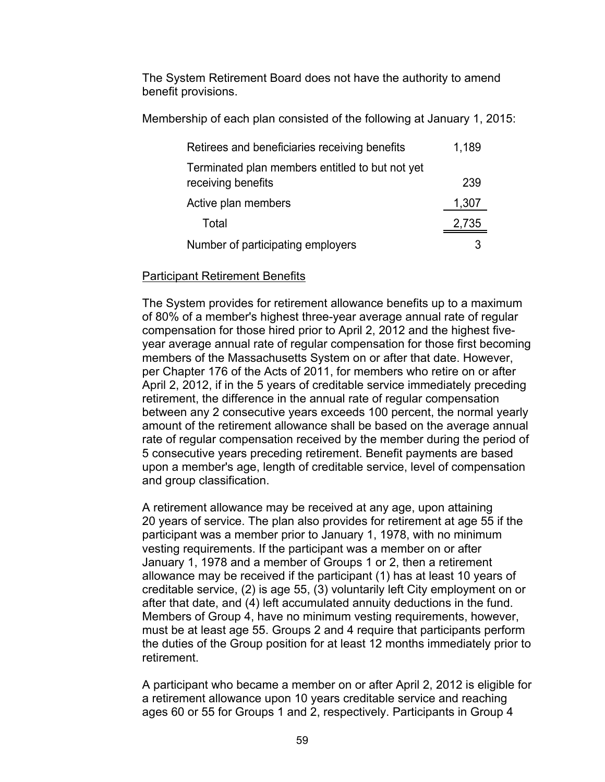The System Retirement Board does not have the authority to amend benefit provisions.

Membership of each plan consisted of the following at January 1, 2015:

| Retirees and beneficiaries receiving benefits                         | 1,189 |
|-----------------------------------------------------------------------|-------|
| Terminated plan members entitled to but not yet<br>receiving benefits | 239   |
| Active plan members                                                   | 1,307 |
| Total                                                                 | 2,735 |
| Number of participating employers                                     |       |

### Participant Retirement Benefits

The System provides for retirement allowance benefits up to a maximum of 80% of a member's highest three-year average annual rate of regular compensation for those hired prior to April 2, 2012 and the highest fiveyear average annual rate of regular compensation for those first becoming members of the Massachusetts System on or after that date. However, per Chapter 176 of the Acts of 2011, for members who retire on or after April 2, 2012, if in the 5 years of creditable service immediately preceding retirement, the difference in the annual rate of regular compensation between any 2 consecutive years exceeds 100 percent, the normal yearly amount of the retirement allowance shall be based on the average annual rate of regular compensation received by the member during the period of 5 consecutive years preceding retirement. Benefit payments are based upon a member's age, length of creditable service, level of compensation and group classification.

A retirement allowance may be received at any age, upon attaining 20 years of service. The plan also provides for retirement at age 55 if the participant was a member prior to January 1, 1978, with no minimum vesting requirements. If the participant was a member on or after January 1, 1978 and a member of Groups 1 or 2, then a retirement allowance may be received if the participant (1) has at least 10 years of creditable service, (2) is age 55, (3) voluntarily left City employment on or after that date, and (4) left accumulated annuity deductions in the fund. Members of Group 4, have no minimum vesting requirements, however, must be at least age 55. Groups 2 and 4 require that participants perform the duties of the Group position for at least 12 months immediately prior to retirement.

A participant who became a member on or after April 2, 2012 is eligible for a retirement allowance upon 10 years creditable service and reaching ages 60 or 55 for Groups 1 and 2, respectively. Participants in Group 4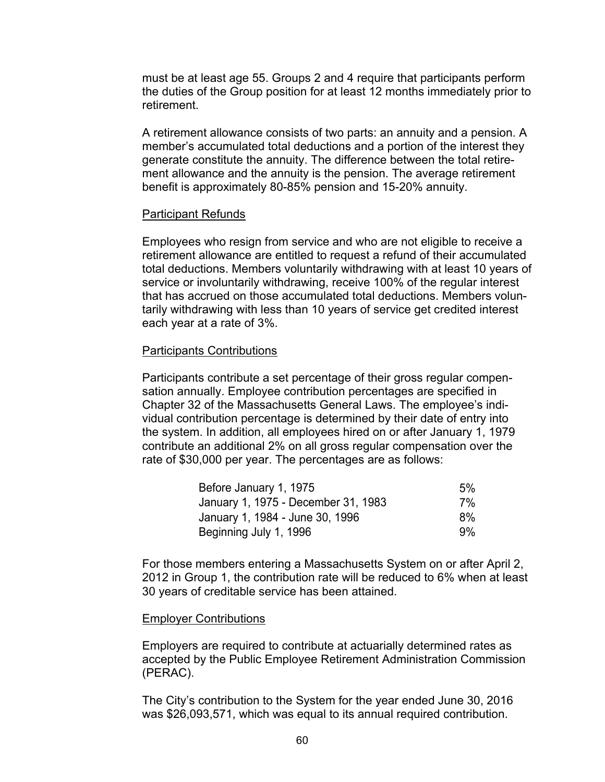must be at least age 55. Groups 2 and 4 require that participants perform the duties of the Group position for at least 12 months immediately prior to retirement.

A retirement allowance consists of two parts: an annuity and a pension. A member's accumulated total deductions and a portion of the interest they generate constitute the annuity. The difference between the total retirement allowance and the annuity is the pension. The average retirement benefit is approximately 80-85% pension and 15-20% annuity.

#### Participant Refunds

Employees who resign from service and who are not eligible to receive a retirement allowance are entitled to request a refund of their accumulated total deductions. Members voluntarily withdrawing with at least 10 years of service or involuntarily withdrawing, receive 100% of the regular interest that has accrued on those accumulated total deductions. Members voluntarily withdrawing with less than 10 years of service get credited interest each year at a rate of 3%.

#### Participants Contributions

Participants contribute a set percentage of their gross regular compensation annually. Employee contribution percentages are specified in Chapter 32 of the Massachusetts General Laws. The employee's individual contribution percentage is determined by their date of entry into the system. In addition, all employees hired on or after January 1, 1979 contribute an additional 2% on all gross regular compensation over the rate of \$30,000 per year. The percentages are as follows:

| Before January 1, 1975              | 5% |
|-------------------------------------|----|
| January 1, 1975 - December 31, 1983 | 7% |
| January 1, 1984 - June 30, 1996     | 8% |
| Beginning July 1, 1996              | 9% |

For those members entering a Massachusetts System on or after April 2, 2012 in Group 1, the contribution rate will be reduced to 6% when at least 30 years of creditable service has been attained.

#### Employer Contributions

Employers are required to contribute at actuarially determined rates as accepted by the Public Employee Retirement Administration Commission (PERAC).

The City's contribution to the System for the year ended June 30, 2016 was \$26,093,571, which was equal to its annual required contribution.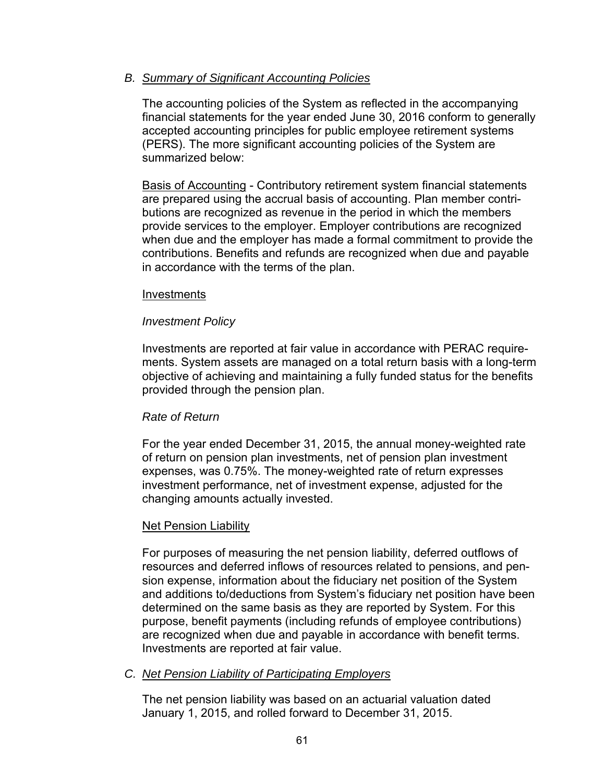### *B. Summary of Significant Accounting Policies*

The accounting policies of the System as reflected in the accompanying financial statements for the year ended June 30, 2016 conform to generally accepted accounting principles for public employee retirement systems (PERS). The more significant accounting policies of the System are summarized below:

Basis of Accounting - Contributory retirement system financial statements are prepared using the accrual basis of accounting. Plan member contributions are recognized as revenue in the period in which the members provide services to the employer. Employer contributions are recognized when due and the employer has made a formal commitment to provide the contributions. Benefits and refunds are recognized when due and payable in accordance with the terms of the plan.

### Investments

### *Investment Policy*

Investments are reported at fair value in accordance with PERAC requirements. System assets are managed on a total return basis with a long-term objective of achieving and maintaining a fully funded status for the benefits provided through the pension plan.

### *Rate of Return*

For the year ended December 31, 2015, the annual money-weighted rate of return on pension plan investments, net of pension plan investment expenses, was 0.75%. The money-weighted rate of return expresses investment performance, net of investment expense, adjusted for the changing amounts actually invested.

### <u>Net Pension Liability</u>

For purposes of measuring the net pension liability, deferred outflows of resources and deferred inflows of resources related to pensions, and pension expense, information about the fiduciary net position of the System and additions to/deductions from System's fiduciary net position have been determined on the same basis as they are reported by System. For this purpose, benefit payments (including refunds of employee contributions) are recognized when due and payable in accordance with benefit terms. Investments are reported at fair value.

### *C. Net Pension Liability of Participating Employers*

The net pension liability was based on an actuarial valuation dated January 1, 2015, and rolled forward to December 31, 2015.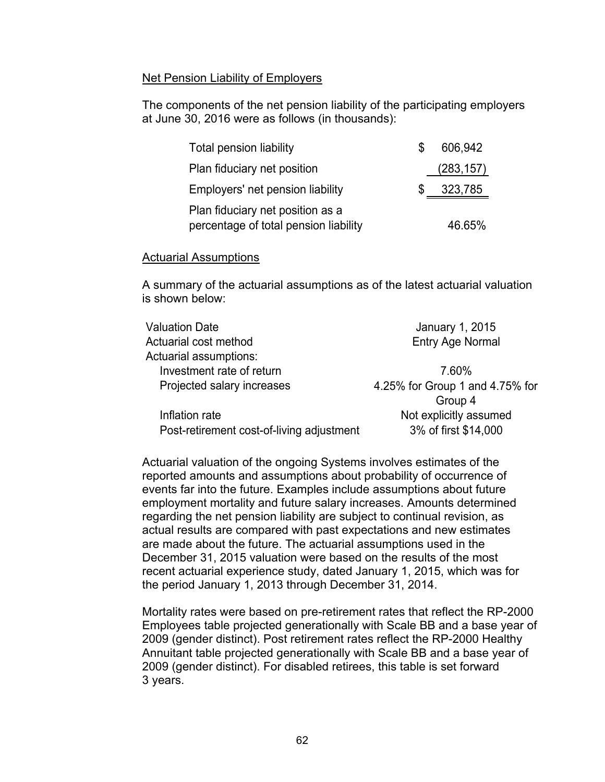### Net Pension Liability of Employers

The components of the net pension liability of the participating employers at June 30, 2016 were as follows (in thousands):

| <b>Total pension liability</b>                                            | 606,942    |
|---------------------------------------------------------------------------|------------|
| Plan fiduciary net position                                               | (283, 157) |
| Employers' net pension liability                                          | 323,785    |
| Plan fiduciary net position as a<br>percentage of total pension liability | 46.65%     |

### Actuarial Assumptions

A summary of the actuarial assumptions as of the latest actuarial valuation is shown below:

| <b>Valuation Date</b>                     | January 1, 2015                 |
|-------------------------------------------|---------------------------------|
| Actuarial cost method                     | <b>Entry Age Normal</b>         |
| Actuarial assumptions:                    |                                 |
| Investment rate of return                 | 7.60%                           |
| Projected salary increases                | 4.25% for Group 1 and 4.75% for |
|                                           | Group 4                         |
| Inflation rate                            | Not explicitly assumed          |
| Post-retirement cost-of-living adjustment | 3% of first \$14,000            |
|                                           |                                 |

Actuarial valuation of the ongoing Systems involves estimates of the reported amounts and assumptions about probability of occurrence of events far into the future. Examples include assumptions about future employment mortality and future salary increases. Amounts determined regarding the net pension liability are subject to continual revision, as actual results are compared with past expectations and new estimates are made about the future. The actuarial assumptions used in the December 31, 2015 valuation were based on the results of the most recent actuarial experience study, dated January 1, 2015, which was for the period January 1, 2013 through December 31, 2014.

Mortality rates were based on pre-retirement rates that reflect the RP-2000 Employees table projected generationally with Scale BB and a base year of 2009 (gender distinct). Post retirement rates reflect the RP-2000 Healthy Annuitant table projected generationally with Scale BB and a base year of 2009 (gender distinct). For disabled retirees, this table is set forward 3 years.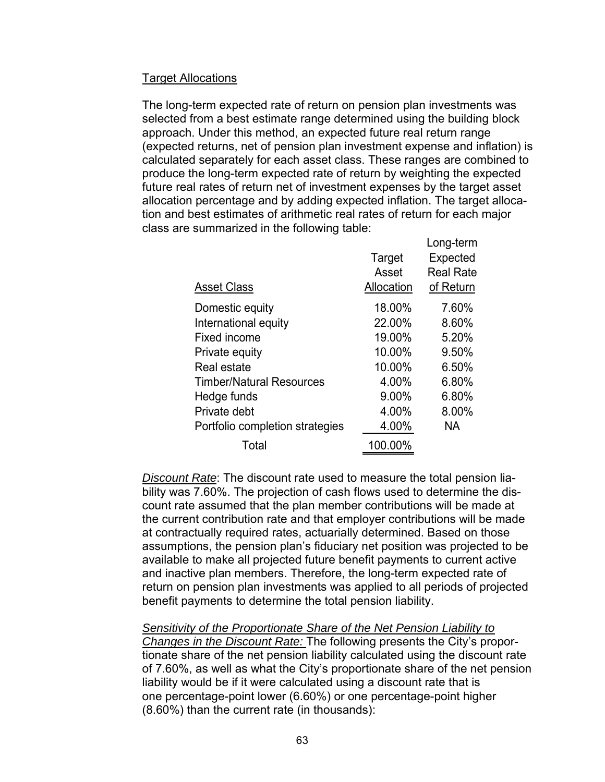### Target Allocations

The long-term expected rate of return on pension plan investments was selected from a best estimate range determined using the building block approach. Under this method, an expected future real return range (expected returns, net of pension plan investment expense and inflation) is calculated separately for each asset class. These ranges are combined to produce the long-term expected rate of return by weighting the expected future real rates of return net of investment expenses by the target asset allocation percentage and by adding expected inflation. The target allocation and best estimates of arithmetic real rates of return for each major class are summarized in the following table:

|                                 |            | Long-term        |
|---------------------------------|------------|------------------|
|                                 | Target     | Expected         |
|                                 | Asset      | <b>Real Rate</b> |
| <b>Asset Class</b>              | Allocation | of Return        |
| Domestic equity                 | 18.00%     | 7.60%            |
| International equity            | 22.00%     | 8.60%            |
| Fixed income                    | 19.00%     | 5.20%            |
| Private equity                  | 10.00%     | 9.50%            |
| Real estate                     | 10.00%     | 6.50%            |
| <b>Timber/Natural Resources</b> | 4.00%      | 6.80%            |
| Hedge funds                     | 9.00%      | 6.80%            |
| Private debt                    | 4.00%      | 8.00%            |
| Portfolio completion strategies | 4.00%      | NA.              |
| Total                           | 100.00%    |                  |

*Discount Rate*: The discount rate used to measure the total pension liability was 7.60%. The projection of cash flows used to determine the discount rate assumed that the plan member contributions will be made at the current contribution rate and that employer contributions will be made at contractually required rates, actuarially determined. Based on those assumptions, the pension plan's fiduciary net position was projected to be available to make all projected future benefit payments to current active and inactive plan members. Therefore, the long-term expected rate of return on pension plan investments was applied to all periods of projected benefit payments to determine the total pension liability.

*Sensitivity of the Proportionate Share of the Net Pension Liability to Changes in the Discount Rate:* The following presents the City's proportionate share of the net pension liability calculated using the discount rate of 7.60%, as well as what the City's proportionate share of the net pension liability would be if it were calculated using a discount rate that is one percentage-point lower (6.60%) or one percentage-point higher (8.60%) than the current rate (in thousands):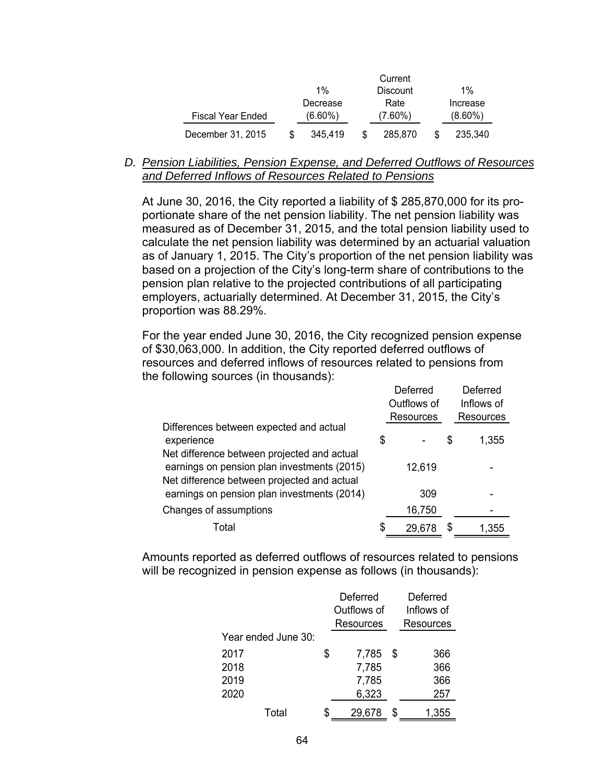|                          | Current |            |    |                 |            |
|--------------------------|---------|------------|----|-----------------|------------|
|                          |         | $1\%$      |    | <b>Discount</b> | $1\%$      |
|                          |         | Decrease   |    | Rate            | Increase   |
| <b>Fiscal Year Ended</b> |         | $(6.60\%)$ |    | $(7.60\%)$      | $(8.60\%)$ |
| December 31, 2015        |         | 345.419    | \$ | 285,870         | 235.340    |

*D. Pension Liabilities, Pension Expense, and Deferred Outflows of Resources and Deferred Inflows of Resources Related to Pensions* 

At June 30, 2016, the City reported a liability of \$ 285,870,000 for its proportionate share of the net pension liability. The net pension liability was measured as of December 31, 2015, and the total pension liability used to calculate the net pension liability was determined by an actuarial valuation as of January 1, 2015. The City's proportion of the net pension liability was based on a projection of the City's long-term share of contributions to the pension plan relative to the projected contributions of all participating employers, actuarially determined. At December 31, 2015, the City's proportion was 88.29%.

For the year ended June 30, 2016, the City recognized pension expense of \$30,063,000. In addition, the City reported deferred outflows of resources and deferred inflows of resources related to pensions from the following sources (in thousands):

|                                             |    | Deferred    |   | Deferred   |
|---------------------------------------------|----|-------------|---|------------|
|                                             |    | Outflows of |   | Inflows of |
|                                             |    | Resources   |   | Resources  |
| Differences between expected and actual     |    |             |   |            |
| experience                                  | \$ |             | S | 1,355      |
| Net difference between projected and actual |    |             |   |            |
| earnings on pension plan investments (2015) |    | 12,619      |   |            |
| Net difference between projected and actual |    |             |   |            |
| earnings on pension plan investments (2014) |    | 309         |   |            |
| Changes of assumptions                      |    | 16,750      |   |            |
| Total                                       | S  | 29,678      |   | 1.355      |

Amounts reported as deferred outflows of resources related to pensions will be recognized in pension expense as follows (in thousands):

|                     |   | Deferred    | Deferred   |                  |  |  |
|---------------------|---|-------------|------------|------------------|--|--|
|                     |   | Outflows of | Inflows of |                  |  |  |
|                     |   | Resources   |            | <b>Resources</b> |  |  |
| Year ended June 30: |   |             |            |                  |  |  |
| 2017                | S | 7,785       | S          | 366              |  |  |
| 2018                |   | 7,785       |            | 366              |  |  |
| 2019                |   | 7,785       |            | 366              |  |  |
| 2020                |   | 6,323       |            | 257              |  |  |
| Total               |   | 29,678      | S          | 1,355            |  |  |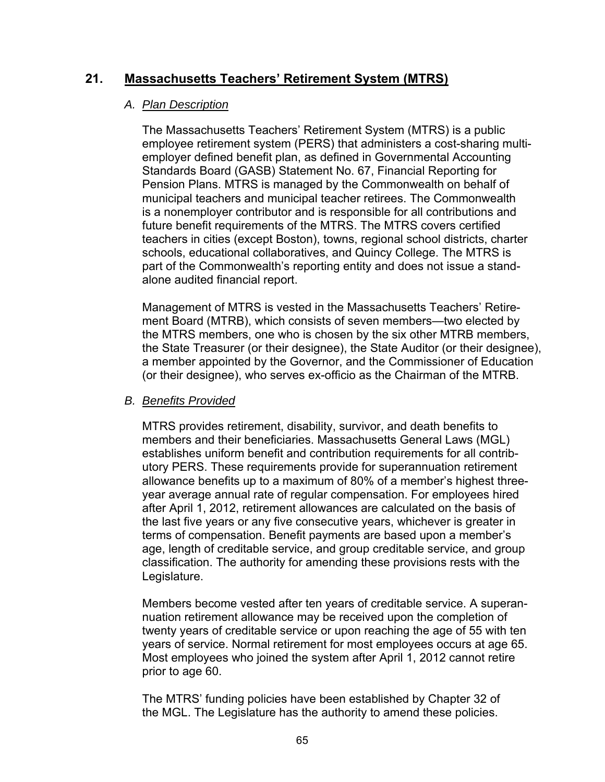# **21. Massachusetts Teachers' Retirement System (MTRS)**

### *A. Plan Description*

The Massachusetts Teachers' Retirement System (MTRS) is a public employee retirement system (PERS) that administers a cost-sharing multiemployer defined benefit plan, as defined in Governmental Accounting Standards Board (GASB) Statement No. 67, Financial Reporting for Pension Plans. MTRS is managed by the Commonwealth on behalf of municipal teachers and municipal teacher retirees. The Commonwealth is a nonemployer contributor and is responsible for all contributions and future benefit requirements of the MTRS. The MTRS covers certified teachers in cities (except Boston), towns, regional school districts, charter schools, educational collaboratives, and Quincy College. The MTRS is part of the Commonwealth's reporting entity and does not issue a standalone audited financial report.

Management of MTRS is vested in the Massachusetts Teachers' Retirement Board (MTRB), which consists of seven members—two elected by the MTRS members, one who is chosen by the six other MTRB members, the State Treasurer (or their designee), the State Auditor (or their designee), a member appointed by the Governor, and the Commissioner of Education (or their designee), who serves ex-officio as the Chairman of the MTRB.

### *B. Benefits Provided*

MTRS provides retirement, disability, survivor, and death benefits to members and their beneficiaries. Massachusetts General Laws (MGL) establishes uniform benefit and contribution requirements for all contributory PERS. These requirements provide for superannuation retirement allowance benefits up to a maximum of 80% of a member's highest threeyear average annual rate of regular compensation. For employees hired after April 1, 2012, retirement allowances are calculated on the basis of the last five years or any five consecutive years, whichever is greater in terms of compensation. Benefit payments are based upon a member's age, length of creditable service, and group creditable service, and group classification. The authority for amending these provisions rests with the Legislature.

Members become vested after ten years of creditable service. A superannuation retirement allowance may be received upon the completion of twenty years of creditable service or upon reaching the age of 55 with ten years of service. Normal retirement for most employees occurs at age 65. Most employees who joined the system after April 1, 2012 cannot retire prior to age 60.

The MTRS' funding policies have been established by Chapter 32 of the MGL. The Legislature has the authority to amend these policies.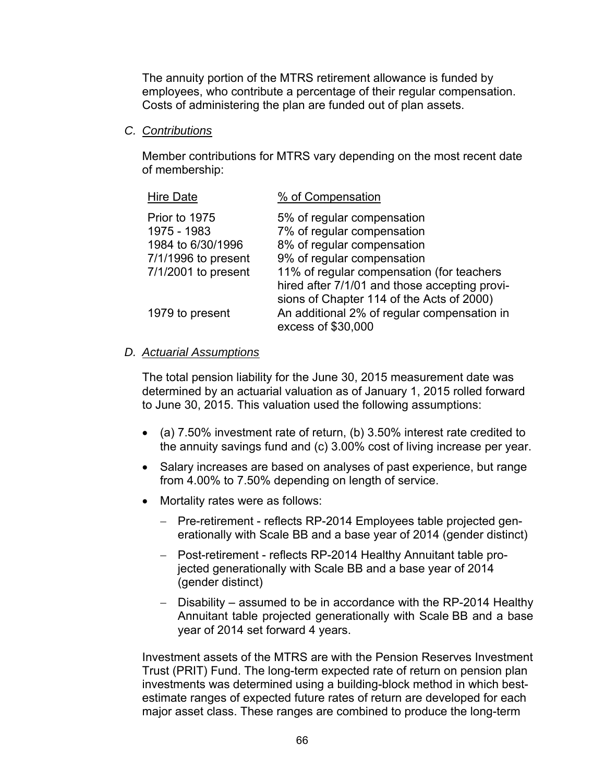The annuity portion of the MTRS retirement allowance is funded by employees, who contribute a percentage of their regular compensation. Costs of administering the plan are funded out of plan assets.

### *C. Contributions*

Member contributions for MTRS vary depending on the most recent date of membership:

| <b>Hire Date</b>                                  | % of Compensation                                                                                                                         |
|---------------------------------------------------|-------------------------------------------------------------------------------------------------------------------------------------------|
| Prior to 1975<br>1975 - 1983<br>1984 to 6/30/1996 | 5% of regular compensation<br>7% of regular compensation<br>8% of regular compensation                                                    |
| $7/1/1996$ to present<br>7/1/2001 to present      | 9% of regular compensation<br>11% of regular compensation (for teachers                                                                   |
| 1979 to present                                   | hired after 7/1/01 and those accepting provi-<br>sions of Chapter 114 of the Acts of 2000)<br>An additional 2% of regular compensation in |
|                                                   | excess of \$30,000                                                                                                                        |

### *D. Actuarial Assumptions*

The total pension liability for the June 30, 2015 measurement date was determined by an actuarial valuation as of January 1, 2015 rolled forward to June 30, 2015. This valuation used the following assumptions:

- (a) 7.50% investment rate of return, (b) 3.50% interest rate credited to the annuity savings fund and (c) 3.00% cost of living increase per year.
- Salary increases are based on analyses of past experience, but range from 4.00% to 7.50% depending on length of service.
- Mortality rates were as follows:
	- Pre-retirement reflects RP-2014 Employees table projected generationally with Scale BB and a base year of 2014 (gender distinct)
	- Post-retirement reflects RP-2014 Healthy Annuitant table projected generationally with Scale BB and a base year of 2014 (gender distinct)
	- Disability assumed to be in accordance with the RP-2014 Healthy Annuitant table projected generationally with Scale BB and a base year of 2014 set forward 4 years.

Investment assets of the MTRS are with the Pension Reserves Investment Trust (PRIT) Fund. The long-term expected rate of return on pension plan investments was determined using a building-block method in which bestestimate ranges of expected future rates of return are developed for each major asset class. These ranges are combined to produce the long-term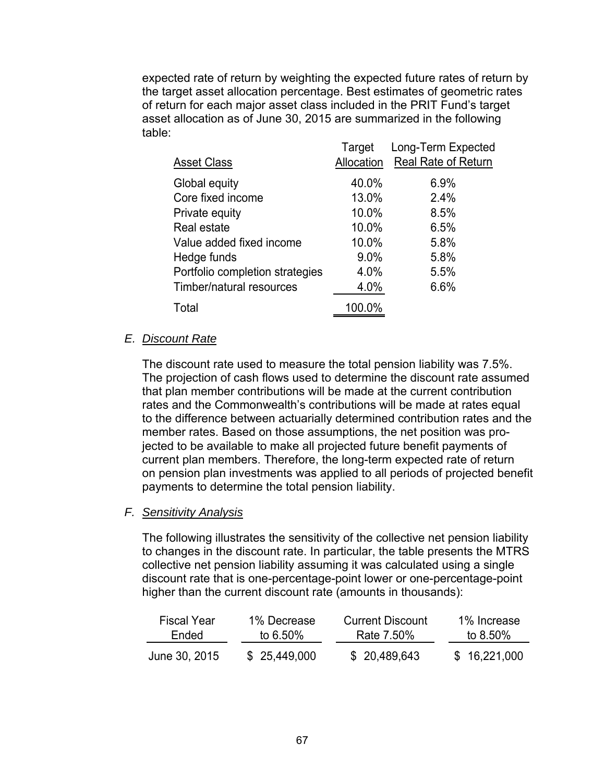expected rate of return by weighting the expected future rates of return by the target asset allocation percentage. Best estimates of geometric rates of return for each major asset class included in the PRIT Fund's target asset allocation as of June 30, 2015 are summarized in the following table:

|                                 | Target     | Long-Term Expected         |
|---------------------------------|------------|----------------------------|
| <b>Asset Class</b>              | Allocation | <b>Real Rate of Return</b> |
| Global equity                   | 40.0%      | 6.9%                       |
| Core fixed income               | 13.0%      | 2.4%                       |
| Private equity                  | 10.0%      | 8.5%                       |
| Real estate                     | 10.0%      | 6.5%                       |
| Value added fixed income        | 10.0%      | 5.8%                       |
| Hedge funds                     | 9.0%       | 5.8%                       |
| Portfolio completion strategies | 4.0%       | 5.5%                       |
| Timber/natural resources        | 4.0%       | 6.6%                       |
| Total                           | 100.0%     |                            |
|                                 |            |                            |

### *E. Discount Rate*

The discount rate used to measure the total pension liability was 7.5%. The projection of cash flows used to determine the discount rate assumed that plan member contributions will be made at the current contribution rates and the Commonwealth's contributions will be made at rates equal to the difference between actuarially determined contribution rates and the member rates. Based on those assumptions, the net position was projected to be available to make all projected future benefit payments of current plan members. Therefore, the long-term expected rate of return on pension plan investments was applied to all periods of projected benefit payments to determine the total pension liability.

### *F. Sensitivity Analysis*

The following illustrates the sensitivity of the collective net pension liability to changes in the discount rate. In particular, the table presents the MTRS collective net pension liability assuming it was calculated using a single discount rate that is one-percentage-point lower or one-percentage-point higher than the current discount rate (amounts in thousands):

| Fiscal Year   | 1% Decrease  | <b>Current Discount</b> | 1% Increase  |
|---------------|--------------|-------------------------|--------------|
| <b>Fnded</b>  | to $6.50\%$  | Rate 7.50%              | to $8.50\%$  |
| June 30, 2015 | \$25,449,000 | \$20,489,643            | \$16.221.000 |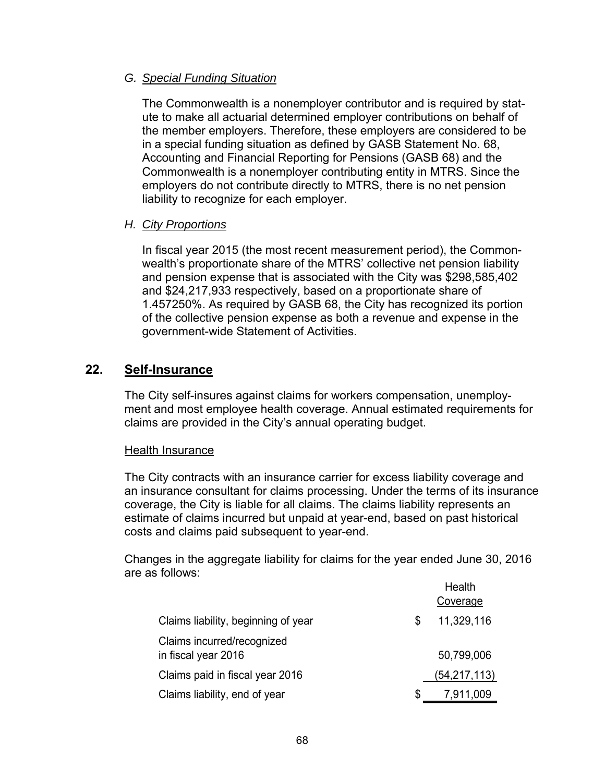### *G. Special Funding Situation*

The Commonwealth is a nonemployer contributor and is required by statute to make all actuarial determined employer contributions on behalf of the member employers. Therefore, these employers are considered to be in a special funding situation as defined by GASB Statement No. 68, Accounting and Financial Reporting for Pensions (GASB 68) and the Commonwealth is a nonemployer contributing entity in MTRS. Since the employers do not contribute directly to MTRS, there is no net pension liability to recognize for each employer.

### *H. City Proportions*

In fiscal year 2015 (the most recent measurement period), the Commonwealth's proportionate share of the MTRS' collective net pension liability and pension expense that is associated with the City was \$298,585,402 and \$24,217,933 respectively, based on a proportionate share of 1.457250%. As required by GASB 68, the City has recognized its portion of the collective pension expense as both a revenue and expense in the government-wide Statement of Activities.

# **22. Self-Insurance**

The City self-insures against claims for workers compensation, unemployment and most employee health coverage. Annual estimated requirements for claims are provided in the City's annual operating budget.

### Health Insurance

The City contracts with an insurance carrier for excess liability coverage and an insurance consultant for claims processing. Under the terms of its insurance coverage, the City is liable for all claims. The claims liability represents an estimate of claims incurred but unpaid at year-end, based on past historical costs and claims paid subsequent to year-end.

Changes in the aggregate liability for claims for the year ended June 30, 2016 are as follows:

|                                                   |    | Health         |
|---------------------------------------------------|----|----------------|
|                                                   |    | Coverage       |
| Claims liability, beginning of year               | S. | 11,329,116     |
| Claims incurred/recognized<br>in fiscal year 2016 |    | 50,799,006     |
| Claims paid in fiscal year 2016                   |    | (54, 217, 113) |
| Claims liability, end of year                     | Ж, | 7,911,009      |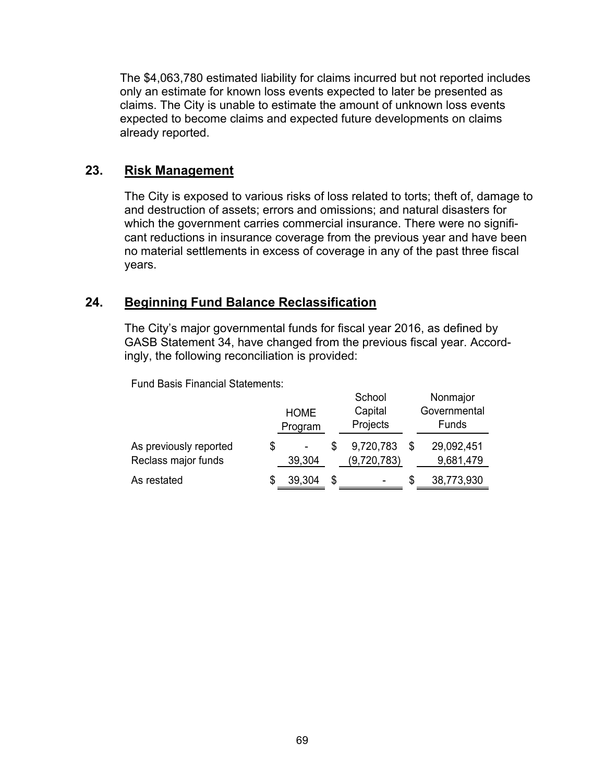The \$4,063,780 estimated liability for claims incurred but not reported includes only an estimate for known loss events expected to later be presented as claims. The City is unable to estimate the amount of unknown loss events expected to become claims and expected future developments on claims already reported.

# **23. Risk Management**

The City is exposed to various risks of loss related to torts; theft of, damage to and destruction of assets; errors and omissions; and natural disasters for which the government carries commercial insurance. There were no significant reductions in insurance coverage from the previous year and have been no material settlements in excess of coverage in any of the past three fiscal years.

# **24. Beginning Fund Balance Reclassification**

The City's major governmental funds for fiscal year 2016, as defined by GASB Statement 34, have changed from the previous fiscal year. Accordingly, the following reconciliation is provided:

Fund Basis Financial Statements:

|                                               | <b>HOME</b><br>Program | School<br>Capital<br>Projects |   | Nonmajor<br>Governmental<br>Funds |
|-----------------------------------------------|------------------------|-------------------------------|---|-----------------------------------|
| As previously reported<br>Reclass major funds | \$<br>39,304           | 9,720,783<br>(9,720,783)      |   | 29,092,451<br>9,681,479           |
| As restated                                   | 39,304                 | \$                            | S | 38,773,930                        |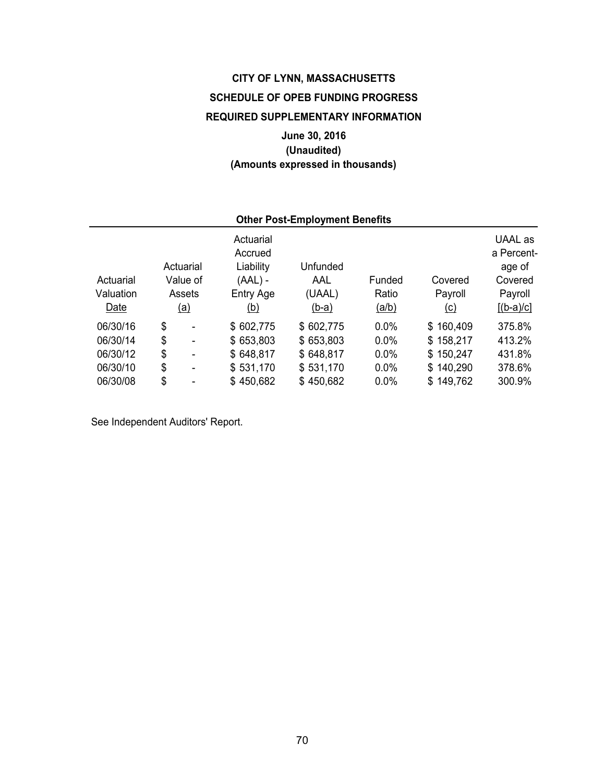# **CITY OF LYNN, MASSACHUSETTS SCHEDULE OF OPEB FUNDING PROGRESS REQUIRED SUPPLEMENTARY INFORMATION**

# **June 30, 2016 (Unaudited) (Amounts expressed in thousands)**

| <b>Other Post-Employment Benefits</b> |    |                |                                   |           |              |            |                                 |  |  |
|---------------------------------------|----|----------------|-----------------------------------|-----------|--------------|------------|---------------------------------|--|--|
|                                       |    | Actuarial      | Actuarial<br>Accrued<br>Liability | Unfunded  |              |            | UAAL as<br>a Percent-<br>age of |  |  |
| Actuarial                             |    | Value of       | $(AAL)$ -                         | AAL       | Funded       | Covered    | Covered                         |  |  |
| Valuation                             |    | Assets         | Entry Age                         | (UAAL)    | Ratio        | Payroll    | Payroll                         |  |  |
| Date                                  | \$ | <u>(a)</u>     | <u>(b)</u>                        | $(b-a)$   | <u>(a/b)</u> | <u>(c)</u> | $[(b-a)/c]$                     |  |  |
| 06/30/16                              |    | $\blacksquare$ | \$602,775                         | \$602,775 | 0.0%         | \$160,409  | 375.8%                          |  |  |
| 06/30/14                              | \$ | $\blacksquare$ | \$653,803                         | \$653,803 | 0.0%         | \$158,217  | 413.2%                          |  |  |
| 06/30/12                              | \$ | $\blacksquare$ | \$648,817                         | \$648,817 | 0.0%         | \$150,247  | 431.8%                          |  |  |
| 06/30/10                              | \$ | $\blacksquare$ | \$531,170                         | \$531,170 | $0.0\%$      | \$140,290  | 378.6%                          |  |  |
| 06/30/08                              | \$ | ۰              | \$450,682                         | \$450,682 | $0.0\%$      | \$149,762  | 300.9%                          |  |  |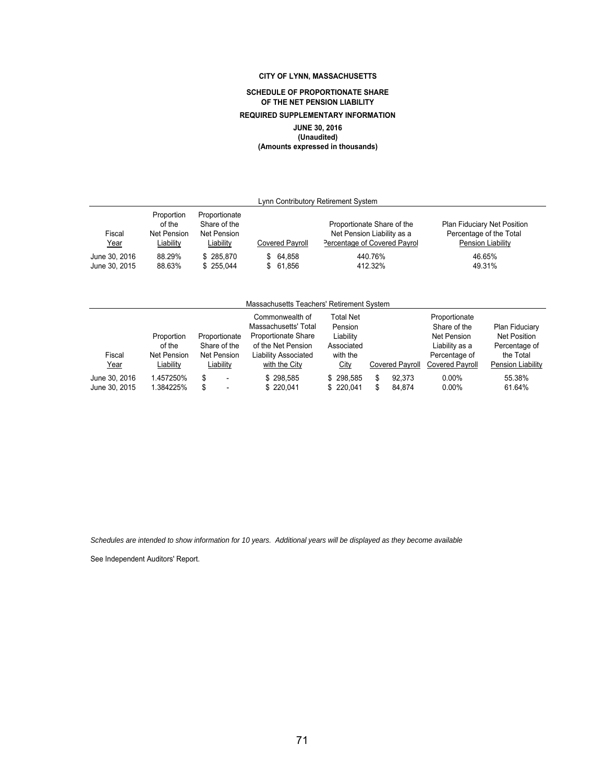### **CITY OF LYNN, MASSACHUSETTS**

### **SCHEDULE OF PROPORTIONATE SHARE OF THE NET PENSION LIABILITY**

### **REQUIRED SUPPLEMENTARY INFORMATION**

## **JUNE 30, 2016**

**(Unaudited) (Amounts expressed in thousands)**

| Lynn Contributory Retirement System |                                                  |                                                           |                 |                                                                                          |                                                                                    |  |  |  |
|-------------------------------------|--------------------------------------------------|-----------------------------------------------------------|-----------------|------------------------------------------------------------------------------------------|------------------------------------------------------------------------------------|--|--|--|
| Fiscal<br><u>Year</u>               | Proportion<br>of the<br>Net Pension<br>Liability | Proportionate<br>Share of the<br>Net Pension<br>Liability | Covered Payroll | Proportionate Share of the<br>Net Pension Liability as a<br>Percentage of Covered Payrol | <b>Plan Fiduciary Net Position</b><br>Percentage of the Total<br>Pension Liability |  |  |  |
| June 30, 2016                       | 88.29%                                           | \$285.870                                                 | 64.858<br>\$    | 440.76%                                                                                  | 46.65%                                                                             |  |  |  |
| June 30, 2015                       | 88.63%                                           | \$ 255.044                                                | 61.856<br>S.    | 412.32%                                                                                  | 49.31%                                                                             |  |  |  |
|                                     |                                                  |                                                           |                 |                                                                                          |                                                                                    |  |  |  |

### Massachusetts Teachers' Retirement System

| Fiscal<br><u>Year</u>          | Proportion<br>of the<br><b>Net Pension</b><br>Liability | Proportionate<br>Share of the<br>Net Pension<br>Liability | Commonwealth of<br>Massachusetts' Total<br><b>Proportionate Share</b><br>of the Net Pension<br>Liability Associated<br>with the City | <b>Total Net</b><br>Pension<br>Liability<br>Associated<br>with the<br>City | <b>Covered Pavroll</b> |                  | Proportionate<br>Share of the<br>Net Pension<br>Liability as a<br>Percentage of<br>Covered Payroll | Plan Fiduciary<br><b>Net Position</b><br>Percentage of<br>the Total<br>Pension Liability |
|--------------------------------|---------------------------------------------------------|-----------------------------------------------------------|--------------------------------------------------------------------------------------------------------------------------------------|----------------------------------------------------------------------------|------------------------|------------------|----------------------------------------------------------------------------------------------------|------------------------------------------------------------------------------------------|
| June 30, 2016<br>June 30, 2015 | 1.457250%<br>1.384225%                                  | S<br>\$<br>$\overline{a}$                                 | \$298.585<br>\$220.041                                                                                                               | \$298.585<br>\$220.041                                                     |                        | 92.373<br>84.874 | $0.00\%$<br>$0.00\%$                                                                               | 55.38%<br>61.64%                                                                         |

*Schedules are intended to show information for 10 years. Additional years will be displayed as they become available*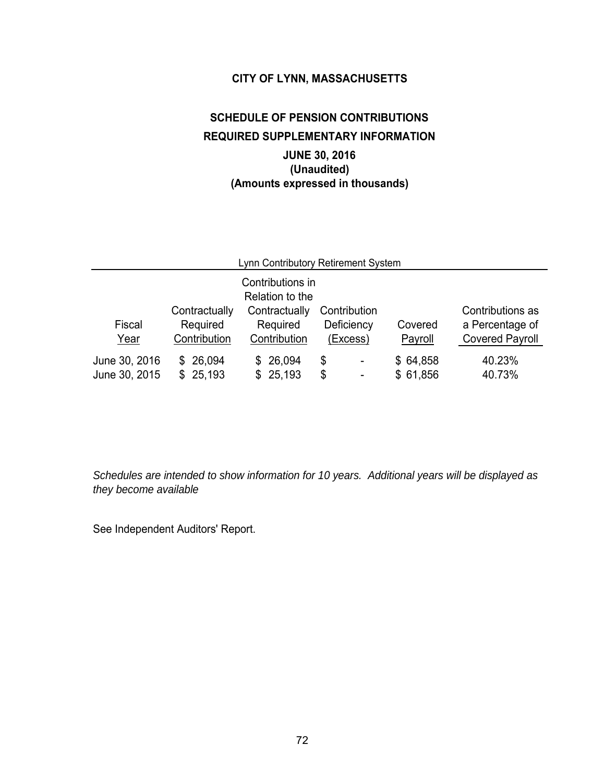## **CITY OF LYNN, MASSACHUSETTS**

# **SCHEDULE OF PENSION CONTRIBUTIONS REQUIRED SUPPLEMENTARY INFORMATION JUNE 30, 2016 (Unaudited) (Amounts expressed in thousands)**

| Lynn Contributory Retirement System |                                           |                                                                                  |                                        |                      |                                                               |  |  |  |  |
|-------------------------------------|-------------------------------------------|----------------------------------------------------------------------------------|----------------------------------------|----------------------|---------------------------------------------------------------|--|--|--|--|
| Fiscal<br>Year                      | Contractually<br>Required<br>Contribution | Contributions in<br>Relation to the<br>Contractually<br>Required<br>Contribution | Contribution<br>Deficiency<br>(Excess) | Covered<br>Payroll   | Contributions as<br>a Percentage of<br><b>Covered Payroll</b> |  |  |  |  |
| June 30, 2016<br>June 30, 2015      | \$26,094<br>\$25,193                      | 26,094<br>\$.<br>25,193<br>\$.                                                   | \$<br>÷,<br>\$<br>$\overline{a}$       | \$64,858<br>\$61,856 | 40.23%<br>40.73%                                              |  |  |  |  |

*Schedules are intended to show information for 10 years. Additional years will be displayed as they become available*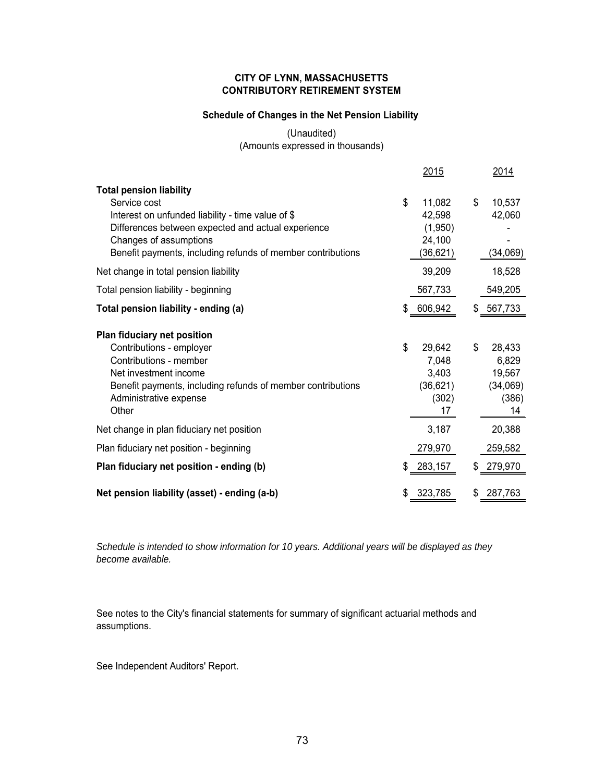## **CITY OF LYNN, MASSACHUSETTS CONTRIBUTORY RETIREMENT SYSTEM**

# **Schedule of Changes in the Net Pension Liability**

## (Unaudited) (Amounts expressed in thousands)

|                                                                                                                                                   | <u> 2015</u>                               | <u> 2014 </u>                              |
|---------------------------------------------------------------------------------------------------------------------------------------------------|--------------------------------------------|--------------------------------------------|
| <b>Total pension liability</b><br>Service cost<br>Interest on unfunded liability - time value of \$                                               | \$<br>11,082<br>42,598                     | \$<br>10,537<br>42,060                     |
| Differences between expected and actual experience<br>Changes of assumptions<br>Benefit payments, including refunds of member contributions       | (1,950)<br>24,100<br>(36,621)              | (34,069)                                   |
| Net change in total pension liability                                                                                                             | 39,209                                     | 18,528                                     |
| Total pension liability - beginning                                                                                                               | 567,733                                    | 549,205                                    |
| Total pension liability - ending (a)                                                                                                              | \$<br>606,942                              | \$<br>567,733                              |
| Plan fiduciary net position<br>Contributions - employer                                                                                           | \$<br>29,642                               | \$<br>28,433                               |
| Contributions - member<br>Net investment income<br>Benefit payments, including refunds of member contributions<br>Administrative expense<br>Other | 7,048<br>3,403<br>(36, 621)<br>(302)<br>17 | 6,829<br>19,567<br>(34,069)<br>(386)<br>14 |
| Net change in plan fiduciary net position                                                                                                         | 3,187                                      | 20,388                                     |
| Plan fiduciary net position - beginning                                                                                                           | 279,970                                    | 259,582                                    |
| Plan fiduciary net position - ending (b)                                                                                                          | \$<br>283,157                              | \$<br>279,970                              |
| Net pension liability (asset) - ending (a-b)                                                                                                      | \$<br>323,785                              | \$<br>287,763                              |

*Schedule is intended to show information for 10 years. Additional years will be displayed as they become available.*

See notes to the City's financial statements for summary of significant actuarial methods and assumptions.